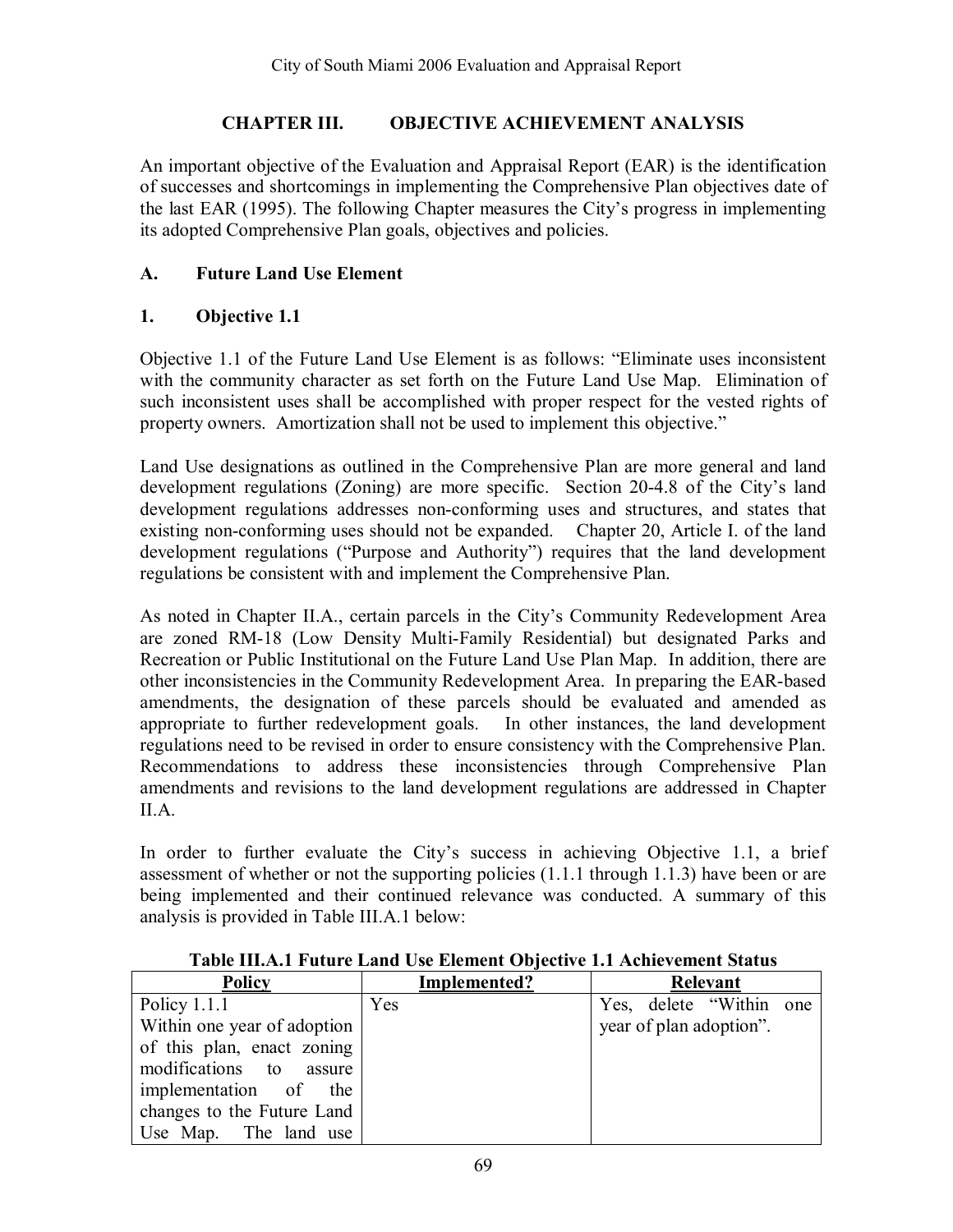#### **CHAPTER III. OBJECTIVE ACHIEVEMENT ANALYSIS**

An important objective of the Evaluation and Appraisal Report (EAR) is the identification of successes and shortcomings in implementing the Comprehensive Plan objectives date of the last EAR (1995). The following Chapter measures the Cityís progress in implementing its adopted Comprehensive Plan goals, objectives and policies.

### **A. Future Land Use Element**

### **1. Objective 1.1**

Objective 1.1 of the Future Land Use Element is as follows: "Eliminate uses inconsistent with the community character as set forth on the Future Land Use Map. Elimination of such inconsistent uses shall be accomplished with proper respect for the vested rights of property owners. Amortization shall not be used to implement this objective."

Land Use designations as outlined in the Comprehensive Plan are more general and land development regulations (Zoning) are more specific. Section 20-4.8 of the City's land development regulations addresses non-conforming uses and structures, and states that existing non-conforming uses should not be expanded. Chapter 20, Article I. of the land development regulations ("Purpose and Authority") requires that the land development regulations be consistent with and implement the Comprehensive Plan.

As noted in Chapter II.A., certain parcels in the City's Community Redevelopment Area are zoned RM-18 (Low Density Multi-Family Residential) but designated Parks and Recreation or Public Institutional on the Future Land Use Plan Map. In addition, there are other inconsistencies in the Community Redevelopment Area. In preparing the EAR-based amendments, the designation of these parcels should be evaluated and amended as appropriate to further redevelopment goals. In other instances, the land development regulations need to be revised in order to ensure consistency with the Comprehensive Plan. Recommendations to address these inconsistencies through Comprehensive Plan amendments and revisions to the land development regulations are addressed in Chapter II.A.

In order to further evaluate the City's success in achieving Objective 1.1, a brief assessment of whether or not the supporting policies (1.1.1 through 1.1.3) have been or are being implemented and their continued relevance was conducted. A summary of this analysis is provided in Table III.A.1 below:

| <b>Policy</b>               | Implemented? | Relevant                 |
|-----------------------------|--------------|--------------------------|
| Policy $1.1.1$              | Yes          | Yes, delete "Within one" |
| Within one year of adoption |              | year of plan adoption".  |
| of this plan, enact zoning  |              |                          |
| modifications to assure     |              |                          |
| implementation of the       |              |                          |
| changes to the Future Land  |              |                          |
| Use Map. The land use       |              |                          |

**Table III.A.1 Future Land Use Element Objective 1.1 Achievement Status**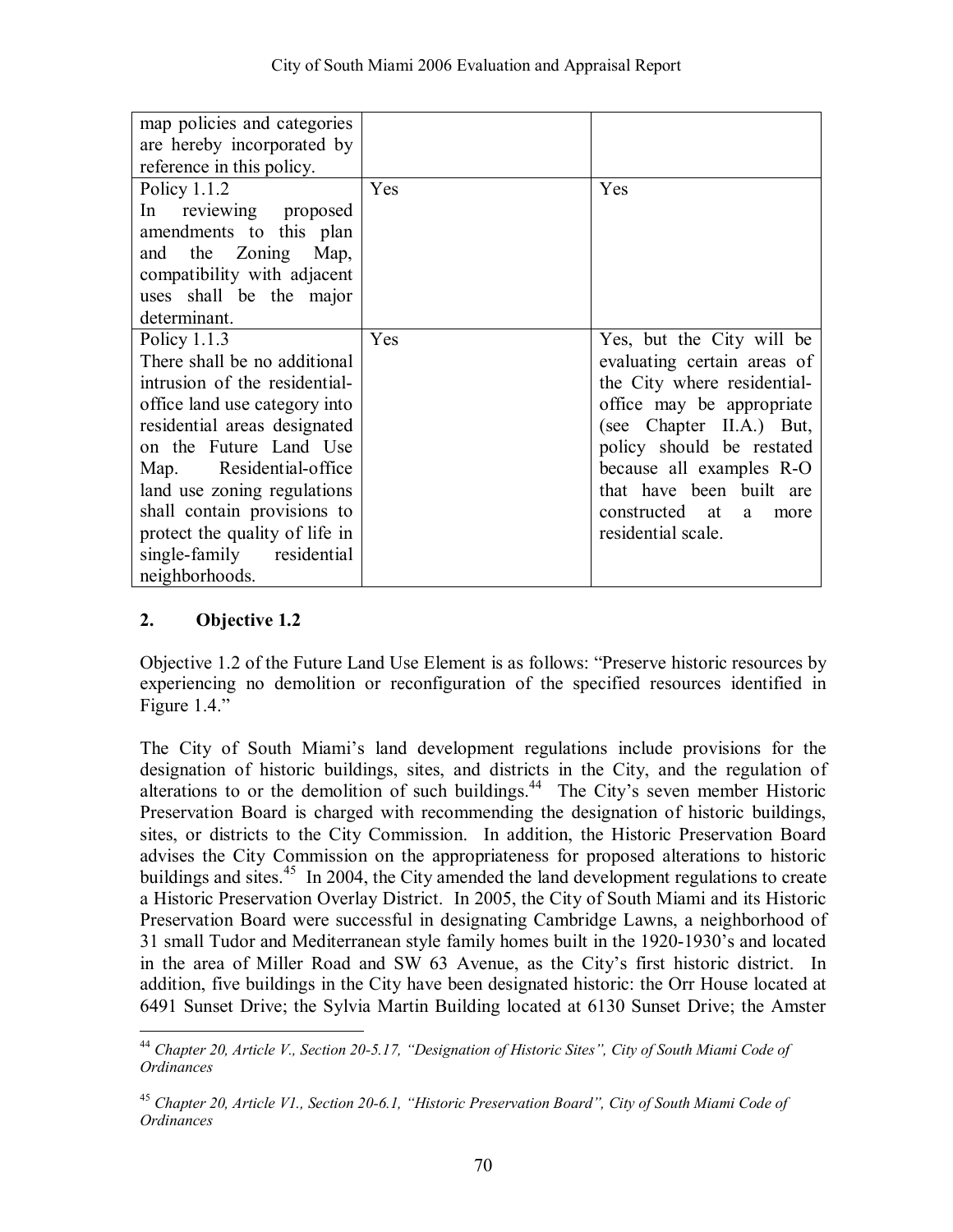| map policies and categories<br>are hereby incorporated by<br>reference in this policy.                                                                                                                                                                                                                                                               |     |                                                                                                                                                                                                                                                                                            |
|------------------------------------------------------------------------------------------------------------------------------------------------------------------------------------------------------------------------------------------------------------------------------------------------------------------------------------------------------|-----|--------------------------------------------------------------------------------------------------------------------------------------------------------------------------------------------------------------------------------------------------------------------------------------------|
| Policy $1.1.2$<br>In reviewing proposed<br>amendments to this plan<br>and the Zoning<br>Map,<br>compatibility with adjacent<br>uses shall be the major<br>determinant.                                                                                                                                                                               | Yes | Yes                                                                                                                                                                                                                                                                                        |
| Policy $1.1.3$<br>There shall be no additional<br>intrusion of the residential-<br>office land use category into<br>residential areas designated<br>on the Future Land Use<br>Map. Residential-office<br>land use zoning regulations<br>shall contain provisions to<br>protect the quality of life in<br>single-family residential<br>neighborhoods. | Yes | Yes, but the City will be<br>evaluating certain areas of<br>the City where residential-<br>office may be appropriate<br>(see Chapter II.A.) But,<br>policy should be restated<br>because all examples R-O<br>that have been built are<br>constructed at<br>a<br>more<br>residential scale. |

Objective 1.2 of the Future Land Use Element is as follows: "Preserve historic resources by experiencing no demolition or reconfiguration of the specified resources identified in Figure  $1.4$ ."

The City of South Miami's land development regulations include provisions for the designation of historic buildings, sites, and districts in the City, and the regulation of alterations to or the demolition of such buildings.<sup>44</sup> The City's seven member Historic Preservation Board is charged with recommending the designation of historic buildings, sites, or districts to the City Commission. In addition, the Historic Preservation Board advises the City Commission on the appropriateness for proposed alterations to historic buildings and sites.<sup>45</sup> In 2004, the City amended the land development regulations to create a Historic Preservation Overlay District. In 2005, the City of South Miami and its Historic Preservation Board were successful in designating Cambridge Lawns, a neighborhood of 31 small Tudor and Mediterranean style family homes built in the 1920-1930's and located in the area of Miller Road and SW 63 Avenue, as the City's first historic district. In addition, five buildings in the City have been designated historic: the Orr House located at 6491 Sunset Drive; the Sylvia Martin Building located at 6130 Sunset Drive; the Amster

 $\overline{a}$ <sup>44</sup> Chapter 20, Article V., Section 20-5.17, "Designation of Historic Sites", City of South Miami Code of *Ordinances*

<sup>&</sup>lt;sup>45</sup> Chapter 20, Article V1., Section 20-6.1, "Historic Preservation Board", City of South Miami Code of *Ordinances*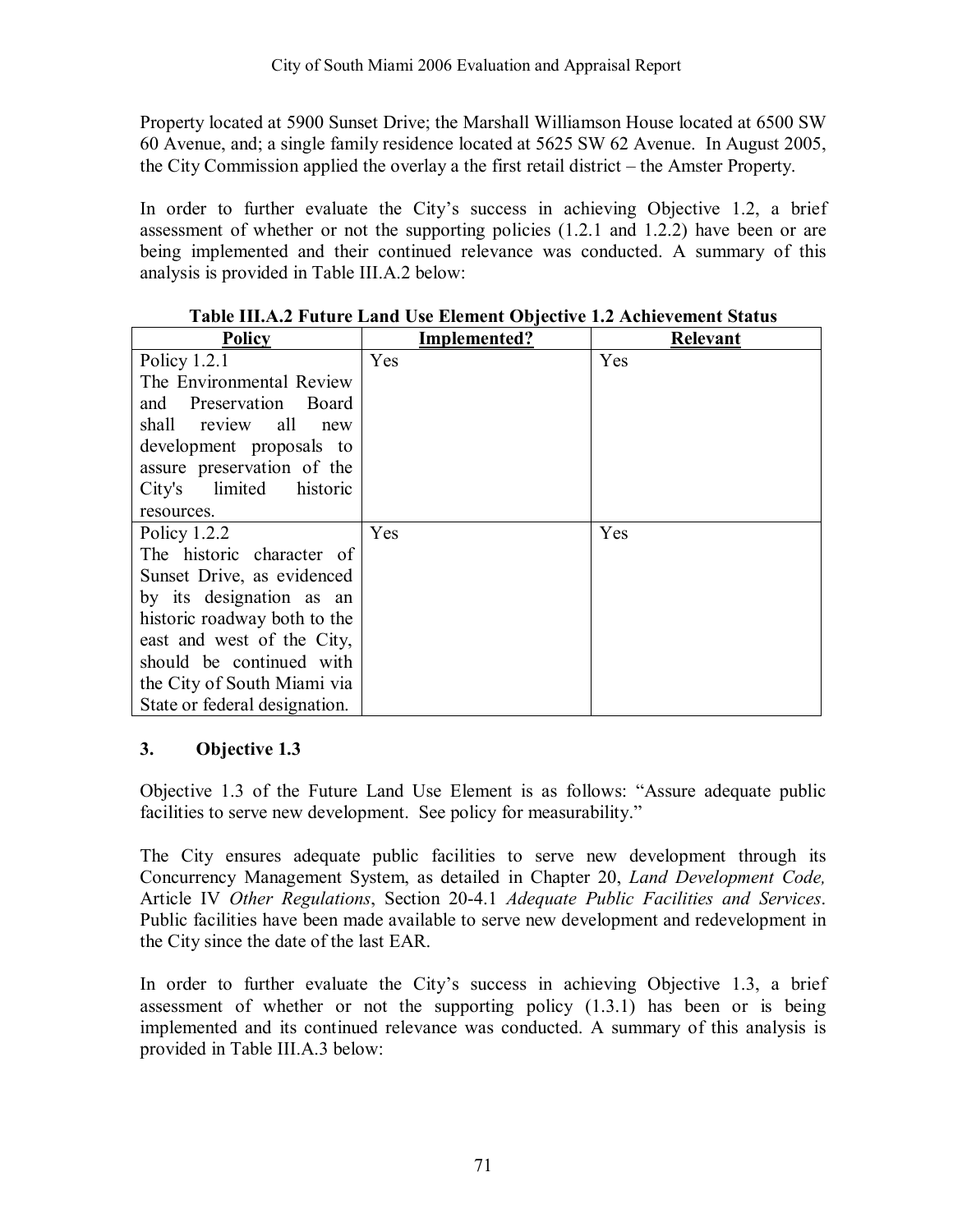Property located at 5900 Sunset Drive; the Marshall Williamson House located at 6500 SW 60 Avenue, and; a single family residence located at 5625 SW 62 Avenue. In August 2005, the City Commission applied the overlay a the first retail district  $-$  the Amster Property.

In order to further evaluate the Cityís success in achieving Objective 1.2, a brief assessment of whether or not the supporting policies (1.2.1 and 1.2.2) have been or are being implemented and their continued relevance was conducted. A summary of this analysis is provided in Table III.A.2 below:

| <b>Policy</b>                 | Implemented? | <b>Relevant</b> |
|-------------------------------|--------------|-----------------|
| Policy $1.2.1$                | <b>Yes</b>   | Yes             |
| The Environmental Review      |              |                 |
| and Preservation<br>– Board   |              |                 |
| shall review all<br>new       |              |                 |
| development proposals to      |              |                 |
| assure preservation of the    |              |                 |
| City's limited historic       |              |                 |
| resources.                    |              |                 |
| Policy $1.2.2$                | Yes          | Yes             |
| The historic character of     |              |                 |
| Sunset Drive, as evidenced    |              |                 |
| by its designation as an      |              |                 |
| historic roadway both to the  |              |                 |
| east and west of the City,    |              |                 |
| should be continued with      |              |                 |
| the City of South Miami via   |              |                 |
| State or federal designation. |              |                 |

### **Table III.A.2 Future Land Use Element Objective 1.2 Achievement Status**

### **3. Objective 1.3**

Objective 1.3 of the Future Land Use Element is as follows: "Assure adequate public facilities to serve new development. See policy for measurability."

The City ensures adequate public facilities to serve new development through its Concurrency Management System, as detailed in Chapter 20, *Land Development Code,*  Article IV *Other Regulations*, Section 20-4.1 *Adequate Public Facilities and Services*. Public facilities have been made available to serve new development and redevelopment in the City since the date of the last EAR.

In order to further evaluate the City's success in achieving Objective 1.3, a brief assessment of whether or not the supporting policy (1.3.1) has been or is being implemented and its continued relevance was conducted. A summary of this analysis is provided in Table III.A.3 below: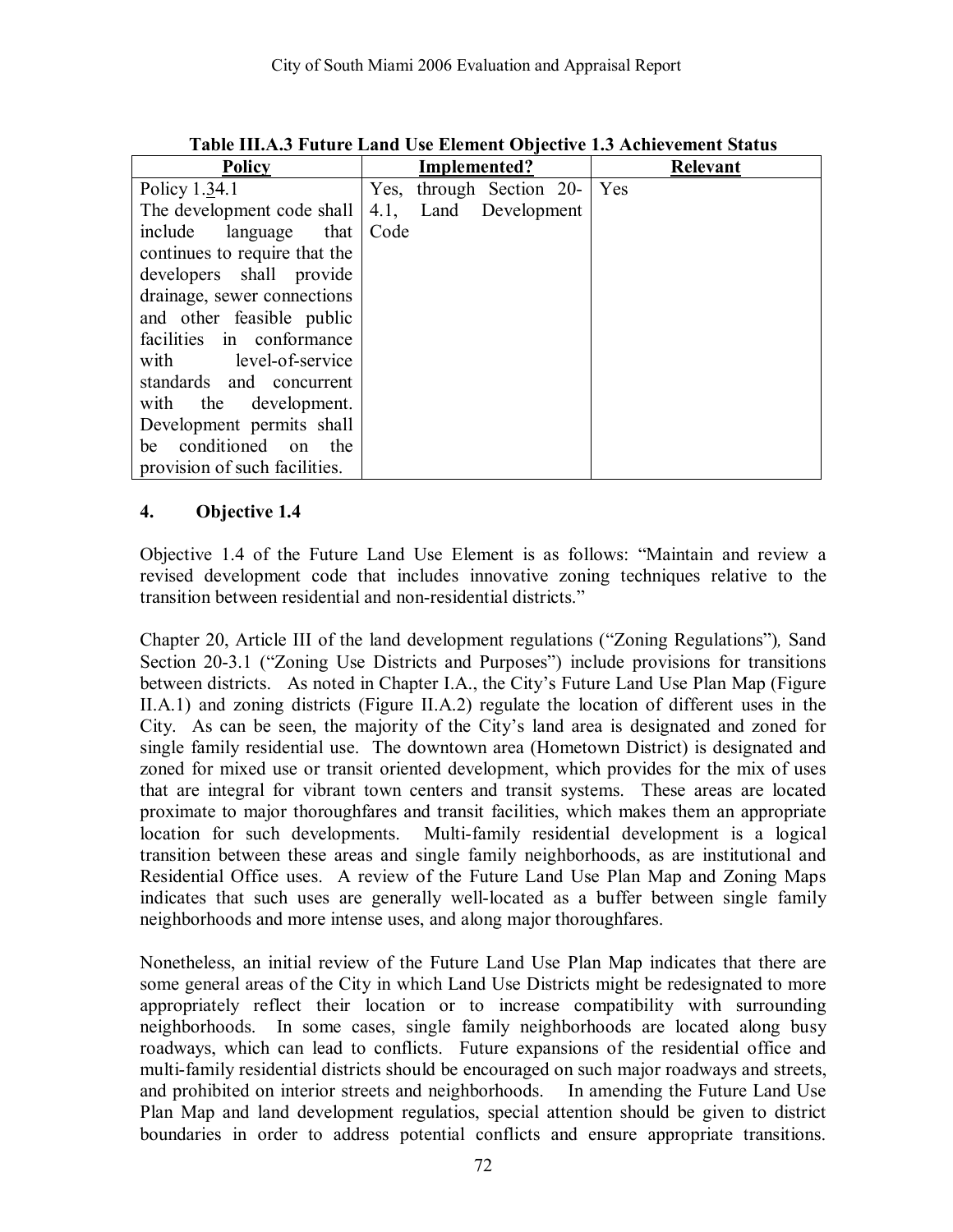| <b>Policy</b>                 | Implemented?                | <b>Relevant</b> |
|-------------------------------|-----------------------------|-----------------|
| Policy 1.34.1                 | through Section 20-<br>Yes, | Yes             |
| The development code shall    | Land Development<br>4.1,    |                 |
| include<br>that<br>language   | Code                        |                 |
| continues to require that the |                             |                 |
| developers shall provide      |                             |                 |
| drainage, sewer connections   |                             |                 |
| and other feasible public     |                             |                 |
| facilities in conformance     |                             |                 |
| with level-of-service         |                             |                 |
| standards and concurrent      |                             |                 |
| with the development.         |                             |                 |
| Development permits shall     |                             |                 |
| conditioned on<br>the<br>be   |                             |                 |
| provision of such facilities. |                             |                 |

**Table III.A.3 Future Land Use Element Objective 1.3 Achievement Status** 

Objective 1.4 of the Future Land Use Element is as follows: "Maintain and review a revised development code that includes innovative zoning techniques relative to the transition between residential and non-residential districts."

Chapter 20, Article III of the land development regulations ("Zoning Regulations"), Sand Section 20-3.1 ("Zoning Use Districts and Purposes") include provisions for transitions between districts. As noted in Chapter I.A., the City's Future Land Use Plan Map (Figure II.A.1) and zoning districts (Figure II.A.2) regulate the location of different uses in the City. As can be seen, the majority of the City's land area is designated and zoned for single family residential use. The downtown area (Hometown District) is designated and zoned for mixed use or transit oriented development, which provides for the mix of uses that are integral for vibrant town centers and transit systems. These areas are located proximate to major thoroughfares and transit facilities, which makes them an appropriate location for such developments. Multi-family residential development is a logical transition between these areas and single family neighborhoods, as are institutional and Residential Office uses. A review of the Future Land Use Plan Map and Zoning Maps indicates that such uses are generally well-located as a buffer between single family neighborhoods and more intense uses, and along major thoroughfares.

Nonetheless, an initial review of the Future Land Use Plan Map indicates that there are some general areas of the City in which Land Use Districts might be redesignated to more appropriately reflect their location or to increase compatibility with surrounding neighborhoods. In some cases, single family neighborhoods are located along busy roadways, which can lead to conflicts. Future expansions of the residential office and multi-family residential districts should be encouraged on such major roadways and streets, and prohibited on interior streets and neighborhoods. In amending the Future Land Use Plan Map and land development regulatios, special attention should be given to district boundaries in order to address potential conflicts and ensure appropriate transitions.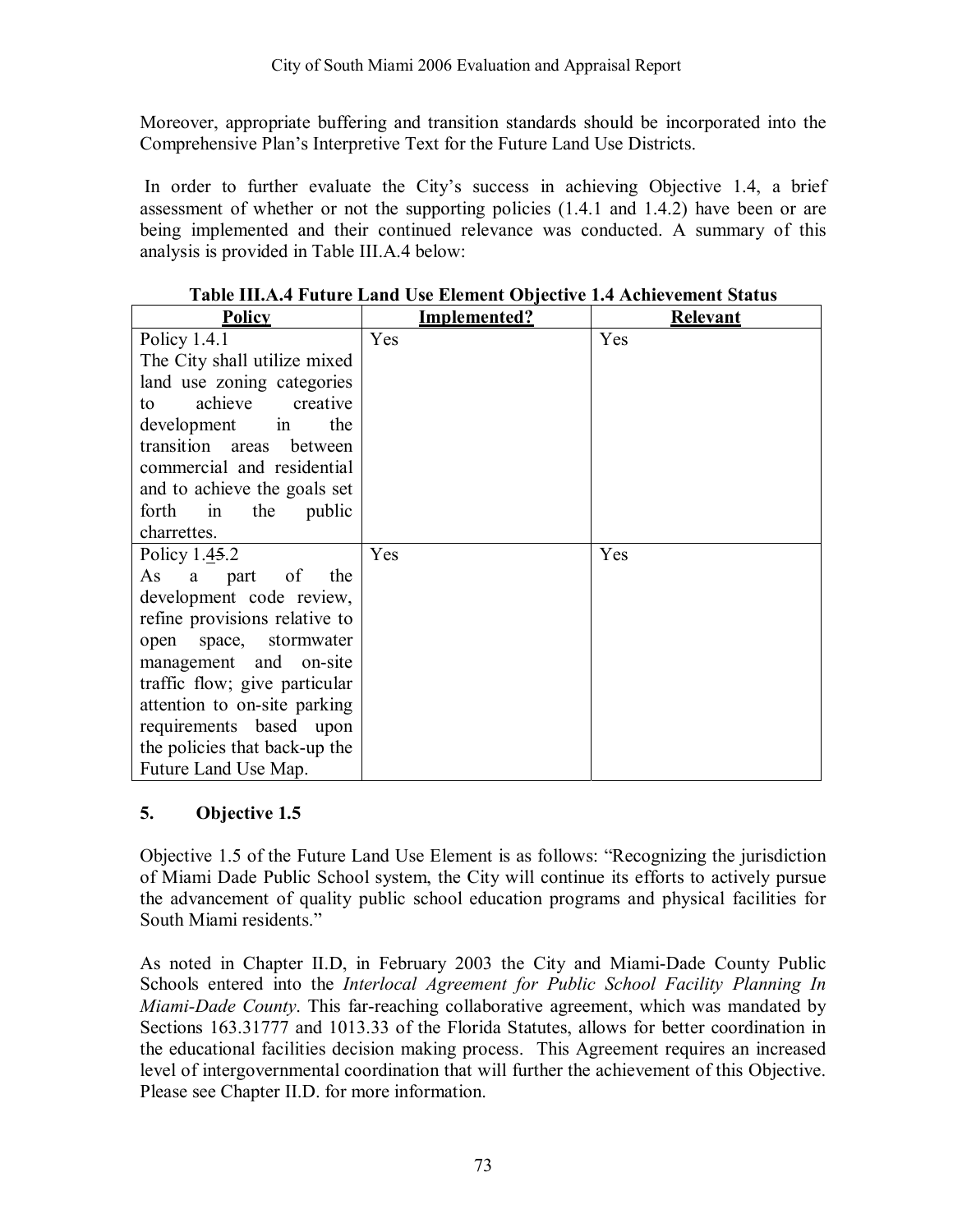Moreover, appropriate buffering and transition standards should be incorporated into the Comprehensive Plan's Interpretive Text for the Future Land Use Districts.

In order to further evaluate the City's success in achieving Objective 1.4, a brief assessment of whether or not the supporting policies (1.4.1 and 1.4.2) have been or are being implemented and their continued relevance was conducted. A summary of this analysis is provided in Table III.A.4 below:

| <b>Policy</b>                 | Implemented? | <b>Relevant</b> |
|-------------------------------|--------------|-----------------|
| Policy $1.4.1$                | Yes          | Yes             |
| The City shall utilize mixed  |              |                 |
| land use zoning categories    |              |                 |
| achieve<br>creative<br>to     |              |                 |
| the<br>development<br>1n      |              |                 |
| transition areas<br>between   |              |                 |
| commercial and residential    |              |                 |
| and to achieve the goals set  |              |                 |
| the<br>public<br>forth in     |              |                 |
| charrettes.                   |              |                 |
| Policy $1.45.2$               | Yes          | Yes             |
| the<br>As<br>part of<br>a     |              |                 |
| development code review,      |              |                 |
| refine provisions relative to |              |                 |
| open space, stormwater        |              |                 |
| management and on-site        |              |                 |
| traffic flow; give particular |              |                 |
| attention to on-site parking  |              |                 |
| requirements based upon       |              |                 |
| the policies that back-up the |              |                 |
| Future Land Use Map.          |              |                 |

**Table III.A.4 Future Land Use Element Objective 1.4 Achievement Status** 

### **5. Objective 1.5**

Objective 1.5 of the Future Land Use Element is as follows: "Recognizing the jurisdiction of Miami Dade Public School system, the City will continue its efforts to actively pursue the advancement of quality public school education programs and physical facilities for South Miami residents."

As noted in Chapter II.D, in February 2003 the City and Miami-Dade County Public Schools entered into the *Interlocal Agreement for Public School Facility Planning In Miami-Dade County*. This far-reaching collaborative agreement, which was mandated by Sections 163.31777 and 1013.33 of the Florida Statutes, allows for better coordination in the educational facilities decision making process. This Agreement requires an increased level of intergovernmental coordination that will further the achievement of this Objective. Please see Chapter II.D. for more information.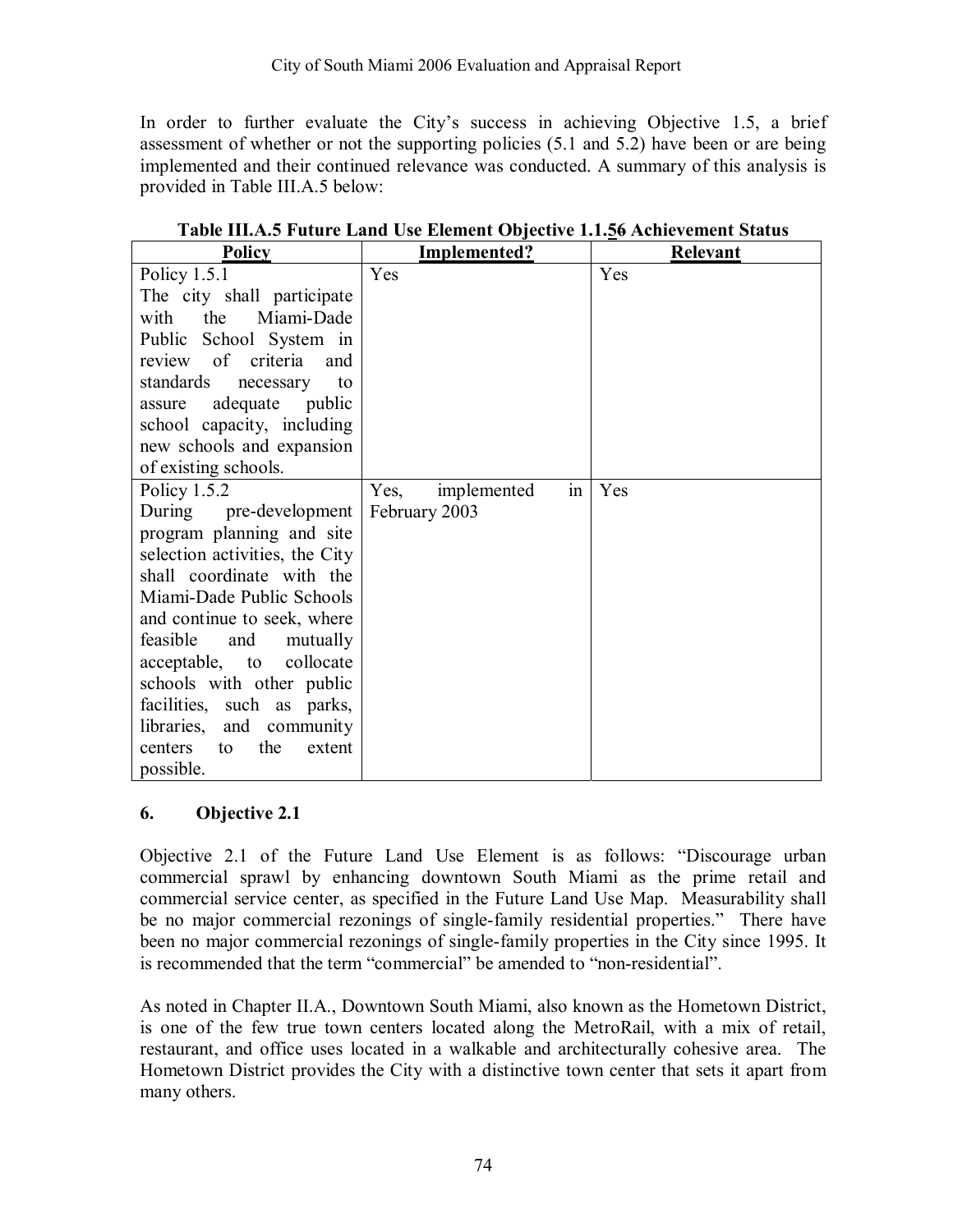In order to further evaluate the Cityís success in achieving Objective 1.5, a brief assessment of whether or not the supporting policies (5.1 and 5.2) have been or are being implemented and their continued relevance was conducted. A summary of this analysis is provided in Table III.A.5 below:

| <b>Policy</b>                  | Implemented?              | <b>Relevant</b> |
|--------------------------------|---------------------------|-----------------|
| Policy $1.5.1$                 | Yes                       | Yes             |
| The city shall participate     |                           |                 |
| the<br>Miami-Dade<br>with      |                           |                 |
| Public School System in        |                           |                 |
| of criteria<br>and<br>review   |                           |                 |
| standards<br>to<br>necessary   |                           |                 |
| adequate public<br>assure      |                           |                 |
| school capacity, including     |                           |                 |
| new schools and expansion      |                           |                 |
| of existing schools.           |                           |                 |
| Policy 1.5.2                   | Yes,<br>implemented<br>1n | Yes             |
| During<br>pre-development      | February 2003             |                 |
| program planning and site      |                           |                 |
| selection activities, the City |                           |                 |
| shall coordinate with the      |                           |                 |
| Miami-Dade Public Schools      |                           |                 |
| and continue to seek, where    |                           |                 |
| feasible<br>and<br>mutually    |                           |                 |
| collocate<br>acceptable, to    |                           |                 |
| schools with other public      |                           |                 |
| facilities, such as parks,     |                           |                 |
| libraries, and community       |                           |                 |
| the<br>extent<br>centers<br>to |                           |                 |
| possible.                      |                           |                 |

**Table III.A.5 Future Land Use Element Objective 1.1.56 Achievement Status** 

#### **6. Objective 2.1**

Objective 2.1 of the Future Land Use Element is as follows: "Discourage urban commercial sprawl by enhancing downtown South Miami as the prime retail and commercial service center, as specified in the Future Land Use Map. Measurability shall be no major commercial rezonings of single-family residential properties." There have been no major commercial rezonings of single-family properties in the City since 1995. It is recommended that the term "commercial" be amended to "non-residential".

As noted in Chapter II.A., Downtown South Miami, also known as the Hometown District, is one of the few true town centers located along the MetroRail, with a mix of retail, restaurant, and office uses located in a walkable and architecturally cohesive area. The Hometown District provides the City with a distinctive town center that sets it apart from many others.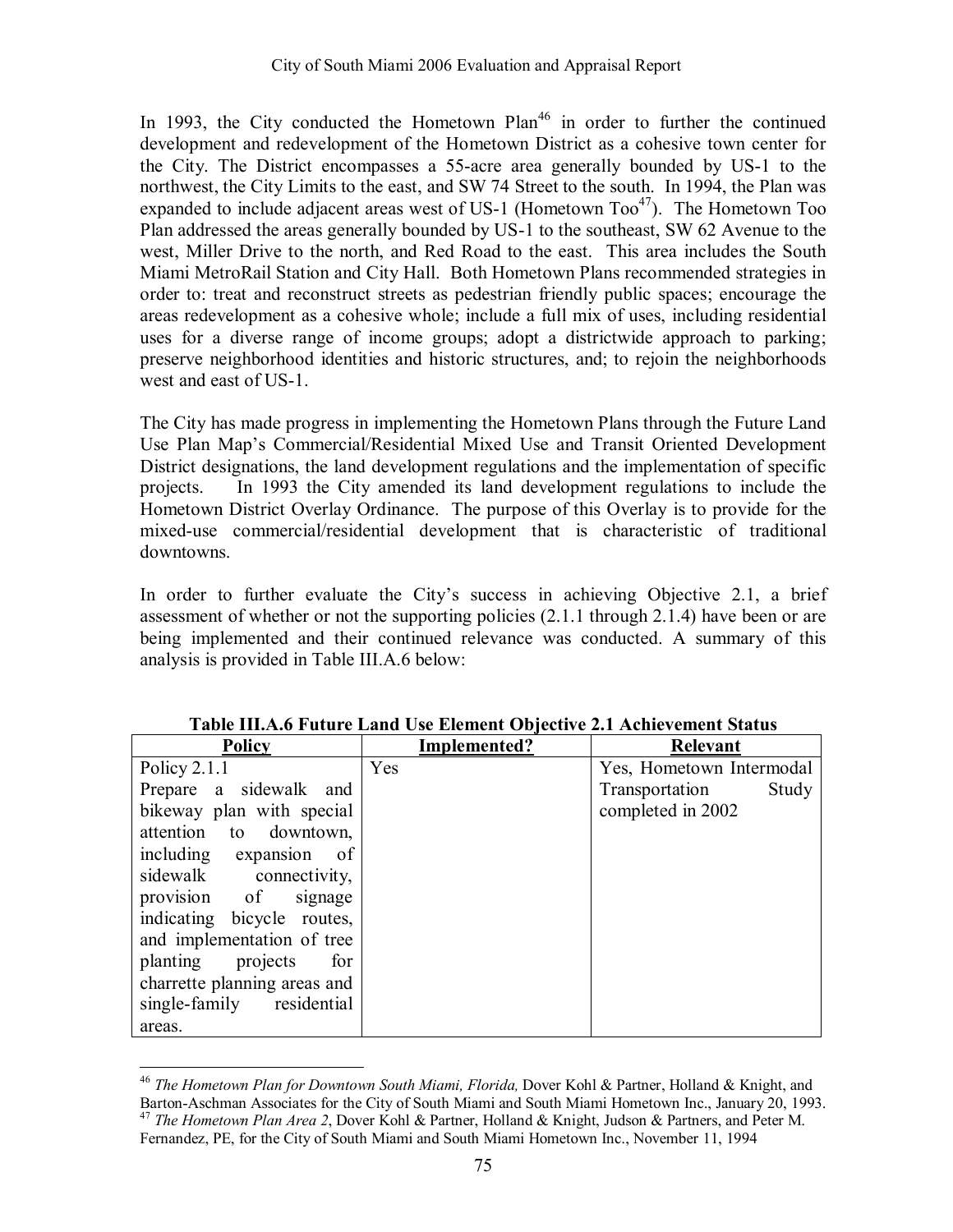In 1993, the City conducted the Hometown Plan<sup>46</sup> in order to further the continued development and redevelopment of the Hometown District as a cohesive town center for the City. The District encompasses a 55-acre area generally bounded by US-1 to the northwest, the City Limits to the east, and SW 74 Street to the south. In 1994, the Plan was expanded to include adjacent areas west of US-1 (Hometown  $Too^{47}$ ). The Hometown Too Plan addressed the areas generally bounded by US-1 to the southeast, SW 62 Avenue to the west, Miller Drive to the north, and Red Road to the east. This area includes the South Miami MetroRail Station and City Hall. Both Hometown Plans recommended strategies in order to: treat and reconstruct streets as pedestrian friendly public spaces; encourage the areas redevelopment as a cohesive whole; include a full mix of uses, including residential uses for a diverse range of income groups; adopt a districtwide approach to parking; preserve neighborhood identities and historic structures, and; to rejoin the neighborhoods west and east of US-1.

The City has made progress in implementing the Hometown Plans through the Future Land Use Plan Map's Commercial/Residential Mixed Use and Transit Oriented Development District designations, the land development regulations and the implementation of specific projects. In 1993 the City amended its land development regulations to include the Hometown District Overlay Ordinance. The purpose of this Overlay is to provide for the mixed-use commercial/residential development that is characteristic of traditional downtowns.

In order to further evaluate the City's success in achieving Objective 2.1, a brief assessment of whether or not the supporting policies (2.1.1 through 2.1.4) have been or are being implemented and their continued relevance was conducted. A summary of this analysis is provided in Table III.A.6 below:

| <b>Policy</b>                | Implemented? | <b>Relevant</b>          |
|------------------------------|--------------|--------------------------|
| Policy $2.1.1$               | Yes          | Yes, Hometown Intermodal |
| Prepare a sidewalk and       |              | Transportation<br>Study  |
| bikeway plan with special    |              | completed in 2002        |
| attention to downtown,       |              |                          |
| including expansion<br>- of  |              |                          |
| sidewalk connectivity,       |              |                          |
| provision of<br>signage      |              |                          |
| indicating bicycle routes,   |              |                          |
| and implementation of tree   |              |                          |
| planting projects<br>for     |              |                          |
| charrette planning areas and |              |                          |
| single-family residential    |              |                          |
| areas.                       |              |                          |

**Table III.A.6 Future Land Use Element Objective 2.1 Achievement Status** 

 $\overline{a}$ <sup>46</sup> *The Hometown Plan for Downtown South Miami, Florida, Dover Kohl & Partner, Holland & Knight, and* Barton-Aschman Associates for the City of South Miami and South Miami Hometown Inc., January 20, 1993. <sup>47</sup> *The Hometown Plan Area 2*, Dover Kohl & Partner, Holland & Knight, Judson & Partners, and Peter M.

Fernandez, PE, for the City of South Miami and South Miami Hometown Inc., November 11, 1994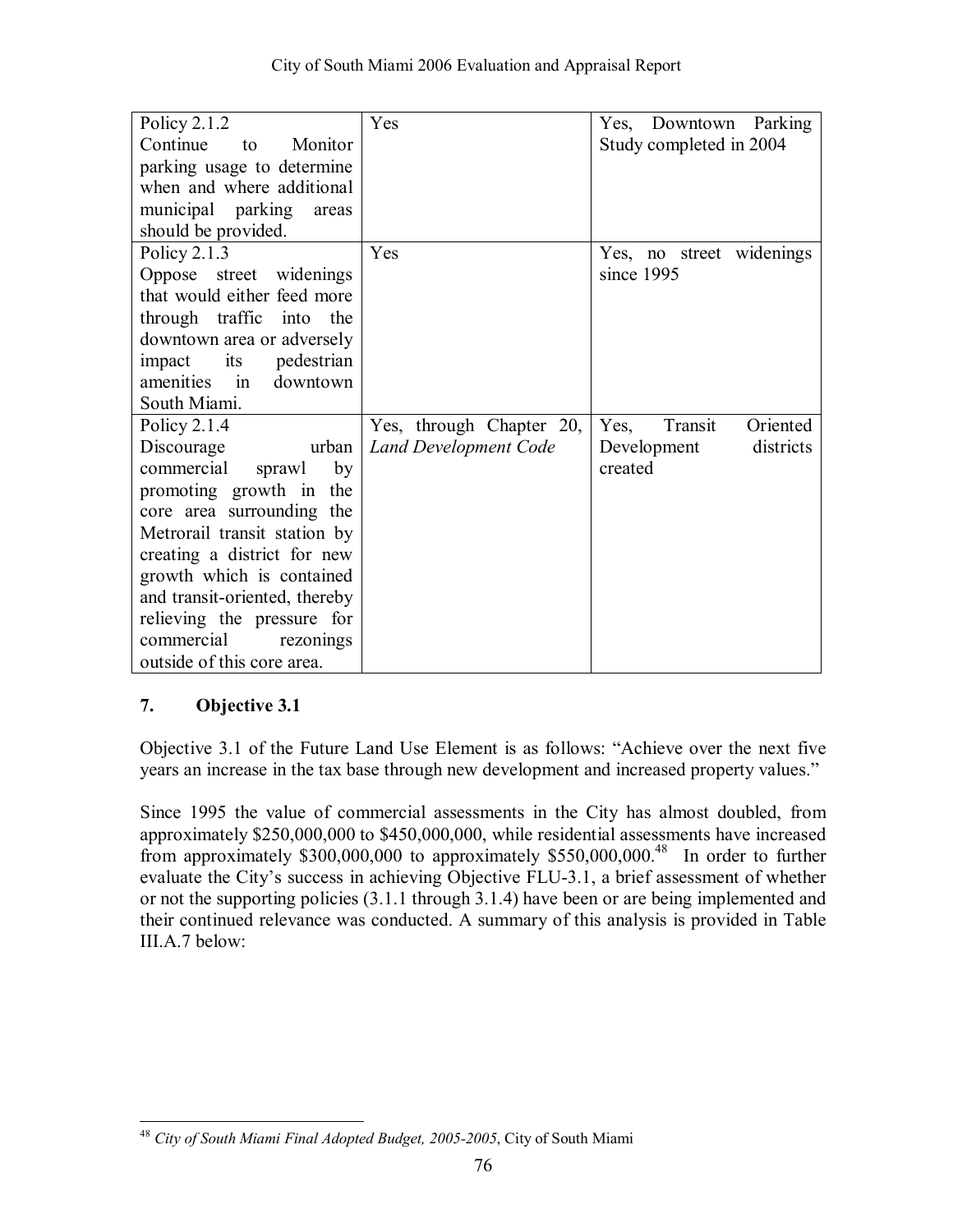| Policy $2.1.2$                                   | Yes                          | Yes, Downtown Parking       |
|--------------------------------------------------|------------------------------|-----------------------------|
| Continue<br>Monitor<br>to                        |                              | Study completed in 2004     |
| parking usage to determine                       |                              |                             |
| when and where additional                        |                              |                             |
| municipal parking<br>areas                       |                              |                             |
| should be provided.                              |                              |                             |
| Policy $2.1.3$                                   | Yes                          | Yes, no street widenings    |
| Oppose street widenings                          |                              | since 1995                  |
| that would either feed more                      |                              |                             |
| through traffic into<br>the                      |                              |                             |
| downtown area or adversely                       |                              |                             |
| its<br>pedestrian<br>impact                      |                              |                             |
| amenities<br>downtown<br>$\overline{\mathbf{m}}$ |                              |                             |
| South Miami.                                     |                              |                             |
| Policy $2.1.4$                                   | Yes, through Chapter 20,     | Transit<br>Oriented<br>Yes, |
| Discourage<br>urban                              | <b>Land Development Code</b> | districts<br>Development    |
| commercial<br>by<br>sprawl                       |                              | created                     |
| promoting growth in the                          |                              |                             |
| core area surrounding the                        |                              |                             |
| Metrorail transit station by                     |                              |                             |
| creating a district for new                      |                              |                             |
| growth which is contained                        |                              |                             |
| and transit-oriented, thereby                    |                              |                             |
| relieving the pressure for                       |                              |                             |
| commercial<br>rezonings                          |                              |                             |
| outside of this core area.                       |                              |                             |

Objective 3.1 of the Future Land Use Element is as follows: "Achieve over the next five years an increase in the tax base through new development and increased property values."

Since 1995 the value of commercial assessments in the City has almost doubled, from approximately \$250,000,000 to \$450,000,000, while residential assessments have increased from approximately \$300,000,000 to approximately \$550,000,000.48 In order to further evaluate the City's success in achieving Objective FLU-3.1, a brief assessment of whether or not the supporting policies (3.1.1 through 3.1.4) have been or are being implemented and their continued relevance was conducted. A summary of this analysis is provided in Table III.A.7 below:

 $\overline{a}$ <sup>48</sup> *City of South Miami Final Adopted Budget, 2005-2005*, City of South Miami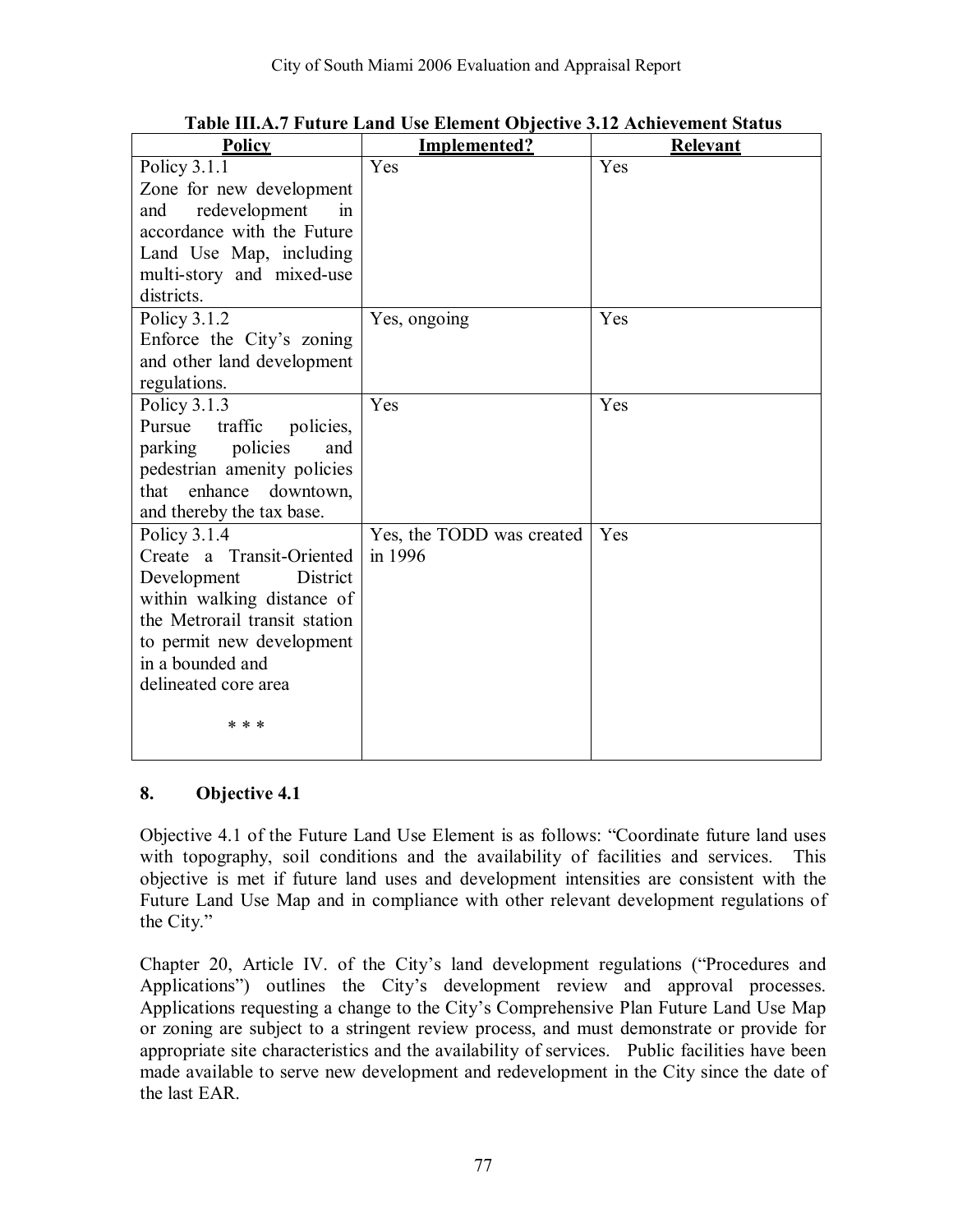| <b>Policy</b>                                               | Implemented?              | <b>Relevant</b> |
|-------------------------------------------------------------|---------------------------|-----------------|
| Policy 3.1.1                                                | Yes                       | Yes             |
| Zone for new development                                    |                           |                 |
| redevelopment<br>and<br>in                                  |                           |                 |
| accordance with the Future                                  |                           |                 |
| Land Use Map, including                                     |                           |                 |
| multi-story and mixed-use                                   |                           |                 |
| districts.                                                  |                           |                 |
| Policy $3.1.2$                                              | Yes, ongoing              | Yes             |
| Enforce the City's zoning                                   |                           |                 |
| and other land development                                  |                           |                 |
| regulations.                                                |                           |                 |
| Policy $3.1.3$                                              | Yes                       | Yes             |
| Pursue<br>traffic<br>policies,                              |                           |                 |
| policies<br>parking<br>and                                  |                           |                 |
| pedestrian amenity policies                                 |                           |                 |
| that enhance downtown,                                      |                           |                 |
| and thereby the tax base.                                   |                           |                 |
| Policy 3.1.4                                                | Yes, the TODD was created | Yes             |
| Create a Transit-Oriented<br>District                       | in 1996                   |                 |
| Development                                                 |                           |                 |
| within walking distance of<br>the Metrorail transit station |                           |                 |
| to permit new development                                   |                           |                 |
| in a bounded and                                            |                           |                 |
| delineated core area                                        |                           |                 |
|                                                             |                           |                 |
| * * *                                                       |                           |                 |
|                                                             |                           |                 |

**Table III.A.7 Future Land Use Element Objective 3.12 Achievement Status** 

Objective 4.1 of the Future Land Use Element is as follows: "Coordinate future land uses with topography, soil conditions and the availability of facilities and services. This objective is met if future land uses and development intensities are consistent with the Future Land Use Map and in compliance with other relevant development regulations of the City. $\degree$ 

Chapter 20, Article IV. of the City's land development regulations ("Procedures and Applications") outlines the City's development review and approval processes. Applications requesting a change to the City's Comprehensive Plan Future Land Use Map or zoning are subject to a stringent review process, and must demonstrate or provide for appropriate site characteristics and the availability of services. Public facilities have been made available to serve new development and redevelopment in the City since the date of the last EAR.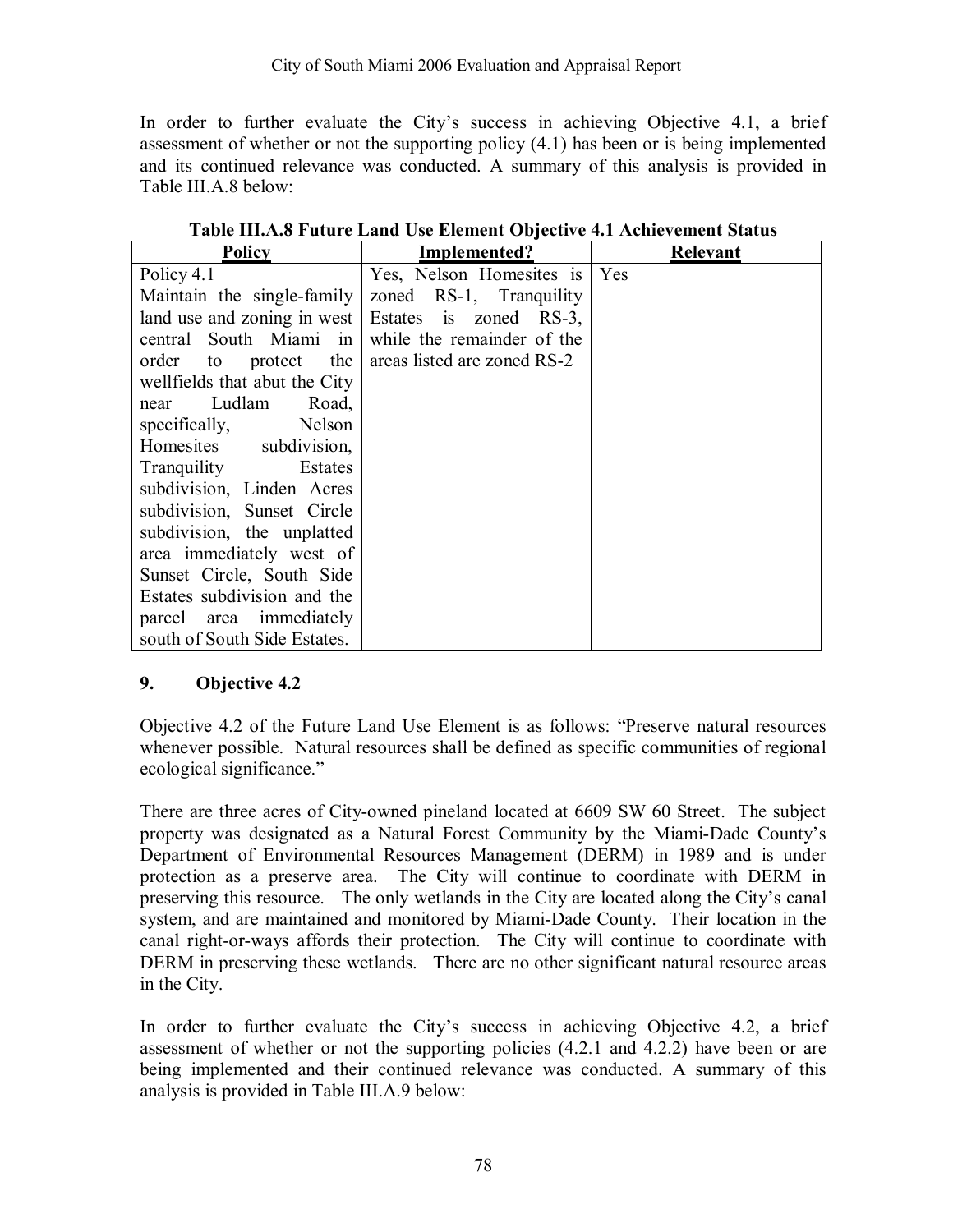In order to further evaluate the Cityís success in achieving Objective 4.1, a brief assessment of whether or not the supporting policy (4.1) has been or is being implemented and its continued relevance was conducted. A summary of this analysis is provided in Table III.A.8 below:

| Policy                        | Implemented?                | <b>Relevant</b> |
|-------------------------------|-----------------------------|-----------------|
| Policy 4.1                    | Yes, Nelson Homesites is    | Yes             |
| Maintain the single-family    | zoned RS-1, Tranquility     |                 |
| land use and zoning in west   | Estates is zoned RS-3,      |                 |
| central South Miami in        | while the remainder of the  |                 |
| protect the<br>order to       | areas listed are zoned RS-2 |                 |
| wellfields that abut the City |                             |                 |
| Ludlam<br>Road,<br>near       |                             |                 |
| Nelson<br>specifically,       |                             |                 |
| Homesites subdivision,        |                             |                 |
| Estates<br>Tranquility        |                             |                 |
| subdivision, Linden Acres     |                             |                 |
| subdivision, Sunset Circle    |                             |                 |
| subdivision, the unplatted    |                             |                 |
| area immediately west of      |                             |                 |
| Sunset Circle, South Side     |                             |                 |
| Estates subdivision and the   |                             |                 |
| parcel area immediately       |                             |                 |
| south of South Side Estates.  |                             |                 |

| Table III.A.8 Future Land Use Element Objective 4.1 Achievement Status |  |
|------------------------------------------------------------------------|--|
|------------------------------------------------------------------------|--|

#### **9. Objective 4.2**

Objective 4.2 of the Future Land Use Element is as follows: "Preserve natural resources" whenever possible. Natural resources shall be defined as specific communities of regional ecological significance."

There are three acres of City-owned pineland located at 6609 SW 60 Street. The subject property was designated as a Natural Forest Community by the Miami-Dade County's Department of Environmental Resources Management (DERM) in 1989 and is under protection as a preserve area. The City will continue to coordinate with DERM in preserving this resource. The only wetlands in the City are located along the City's canal system, and are maintained and monitored by Miami-Dade County. Their location in the canal right-or-ways affords their protection. The City will continue to coordinate with DERM in preserving these wetlands. There are no other significant natural resource areas in the City.

In order to further evaluate the City's success in achieving Objective 4.2, a brief assessment of whether or not the supporting policies (4.2.1 and 4.2.2) have been or are being implemented and their continued relevance was conducted. A summary of this analysis is provided in Table III.A.9 below: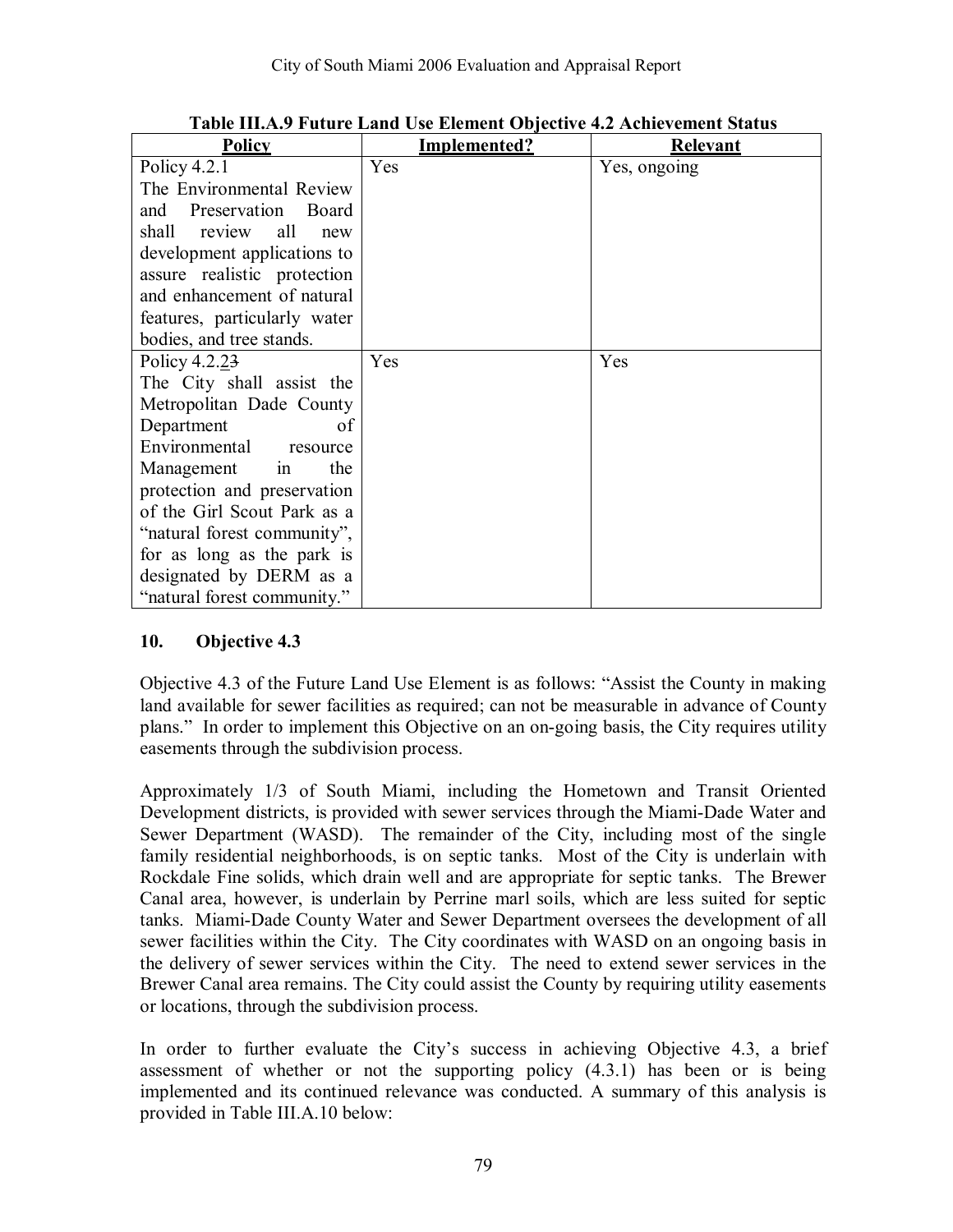| <b>Policy</b>                 | Implemented? | Relevant     |
|-------------------------------|--------------|--------------|
| Policy 4.2.1                  | Yes          | Yes, ongoing |
| The Environmental Review      |              |              |
| and Preservation<br>Board     |              |              |
| all<br>shall<br>review<br>new |              |              |
| development applications to   |              |              |
| assure realistic protection   |              |              |
| and enhancement of natural    |              |              |
| features, particularly water  |              |              |
| bodies, and tree stands.      |              |              |
| Policy 4.2.23                 | Yes          | Yes          |
| The City shall assist the     |              |              |
| Metropolitan Dade County      |              |              |
| Department<br>οf              |              |              |
| Environmental<br>resource     |              |              |
| the<br>Management<br>in       |              |              |
| protection and preservation   |              |              |
| of the Girl Scout Park as a   |              |              |
| "natural forest community",   |              |              |
| for as long as the park is    |              |              |
| designated by DERM as a       |              |              |
| "natural forest community."   |              |              |

**Table III.A.9 Future Land Use Element Objective 4.2 Achievement Status** 

Objective 4.3 of the Future Land Use Element is as follows: "Assist the County in making land available for sewer facilities as required; can not be measurable in advance of County plans." In order to implement this Objective on an on-going basis, the City requires utility easements through the subdivision process.

Approximately 1/3 of South Miami, including the Hometown and Transit Oriented Development districts, is provided with sewer services through the Miami-Dade Water and Sewer Department (WASD). The remainder of the City, including most of the single family residential neighborhoods, is on septic tanks. Most of the City is underlain with Rockdale Fine solids, which drain well and are appropriate for septic tanks. The Brewer Canal area, however, is underlain by Perrine marl soils, which are less suited for septic tanks. Miami-Dade County Water and Sewer Department oversees the development of all sewer facilities within the City. The City coordinates with WASD on an ongoing basis in the delivery of sewer services within the City. The need to extend sewer services in the Brewer Canal area remains. The City could assist the County by requiring utility easements or locations, through the subdivision process.

In order to further evaluate the City's success in achieving Objective 4.3, a brief assessment of whether or not the supporting policy (4.3.1) has been or is being implemented and its continued relevance was conducted. A summary of this analysis is provided in Table III.A.10 below: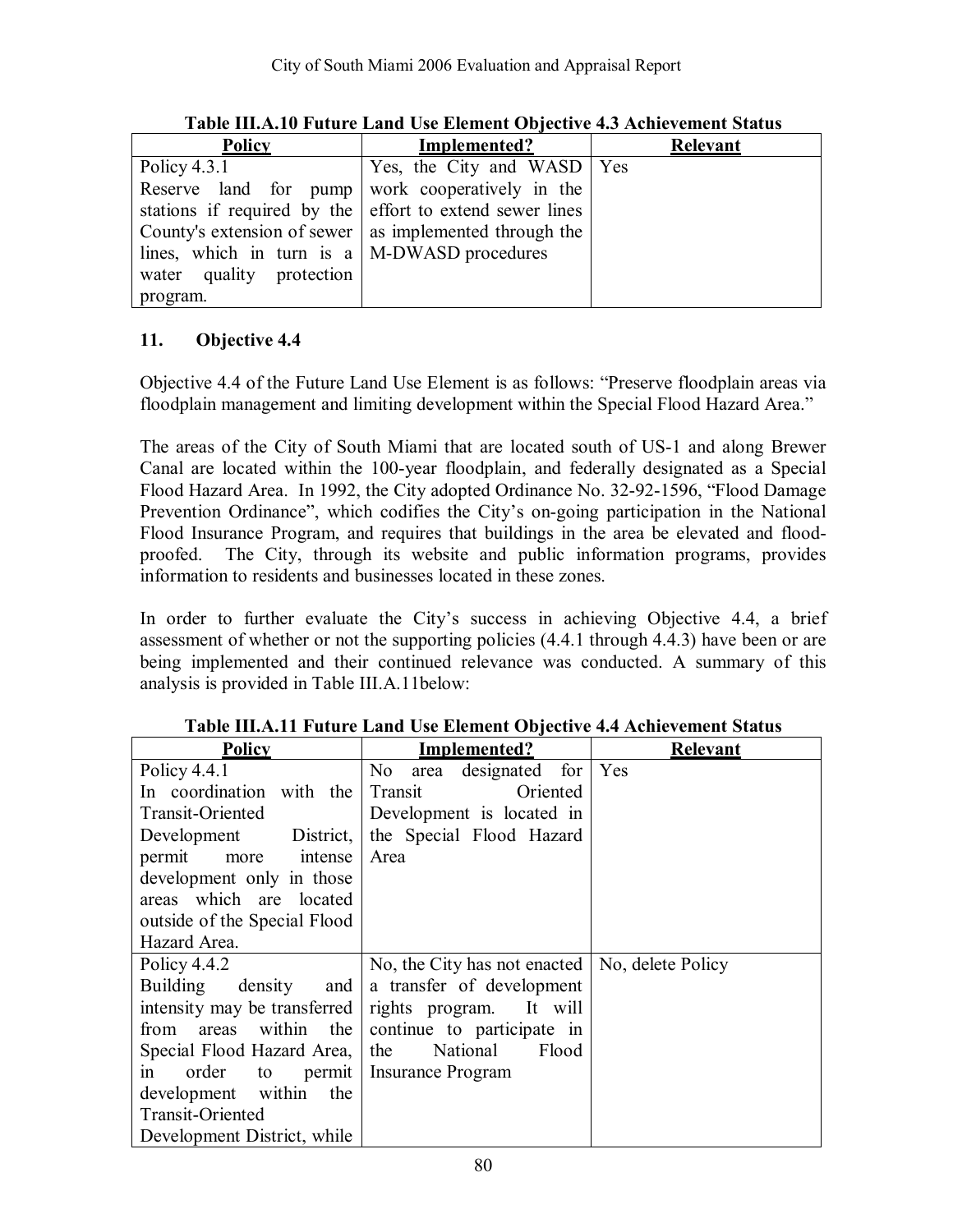| <b>Policy</b>                                       | Implemented?                                             | Relevant |
|-----------------------------------------------------|----------------------------------------------------------|----------|
| Policy $4.3.1$                                      | Yes, the City and WASD   Yes                             |          |
|                                                     | Reserve land for pump work cooperatively in the          |          |
|                                                     | stations if required by the effort to extend sewer lines |          |
|                                                     | County's extension of sewer   as implemented through the |          |
| lines, which in turn is $a \mid M-DWASD$ procedures |                                                          |          |
| water quality protection                            |                                                          |          |
| program.                                            |                                                          |          |

**Table III.A.10 Future Land Use Element Objective 4.3 Achievement Status** 

Objective 4.4 of the Future Land Use Element is as follows: "Preserve floodplain areas via floodplain management and limiting development within the Special Flood Hazard Area.<sup>7</sup>

The areas of the City of South Miami that are located south of US-1 and along Brewer Canal are located within the 100-year floodplain, and federally designated as a Special Flood Hazard Area. In 1992, the City adopted Ordinance No. 32-92-1596, "Flood Damage Prevention Ordinance", which codifies the City's on-going participation in the National Flood Insurance Program, and requires that buildings in the area be elevated and floodproofed. The City, through its website and public information programs, provides information to residents and businesses located in these zones.

In order to further evaluate the City's success in achieving Objective 4.4, a brief assessment of whether or not the supporting policies (4.4.1 through 4.4.3) have been or are being implemented and their continued relevance was conducted. A summary of this analysis is provided in Table III.A.11below:

| <b>Policy</b>                | Implemented?                                           | <b>Relevant</b>   |
|------------------------------|--------------------------------------------------------|-------------------|
| Policy $4.4.1$               | designated for Yes<br>No area                          |                   |
| In coordination with the     | Oriented<br>Transit                                    |                   |
| Transit-Oriented             | Development is located in                              |                   |
| Development District,        | the Special Flood Hazard                               |                   |
| permit<br>intense<br>more    | Area                                                   |                   |
| development only in those    |                                                        |                   |
| areas which are located      |                                                        |                   |
| outside of the Special Flood |                                                        |                   |
| Hazard Area.                 |                                                        |                   |
| Policy 4.4.2                 | No, the City has not enacted                           | No, delete Policy |
| $density$ and<br>Building    | a transfer of development                              |                   |
|                              | intensity may be transferred   rights program. It will |                   |
| areas within the<br>from     | continue to participate in                             |                   |
| Special Flood Hazard Area,   | National<br>the<br>Flood                               |                   |
| order<br>1n                  | to permit   Insurance Program                          |                   |
| development within<br>the    |                                                        |                   |
| Transit-Oriented             |                                                        |                   |
| Development District, while  |                                                        |                   |

**Table III.A.11 Future Land Use Element Objective 4.4 Achievement Status**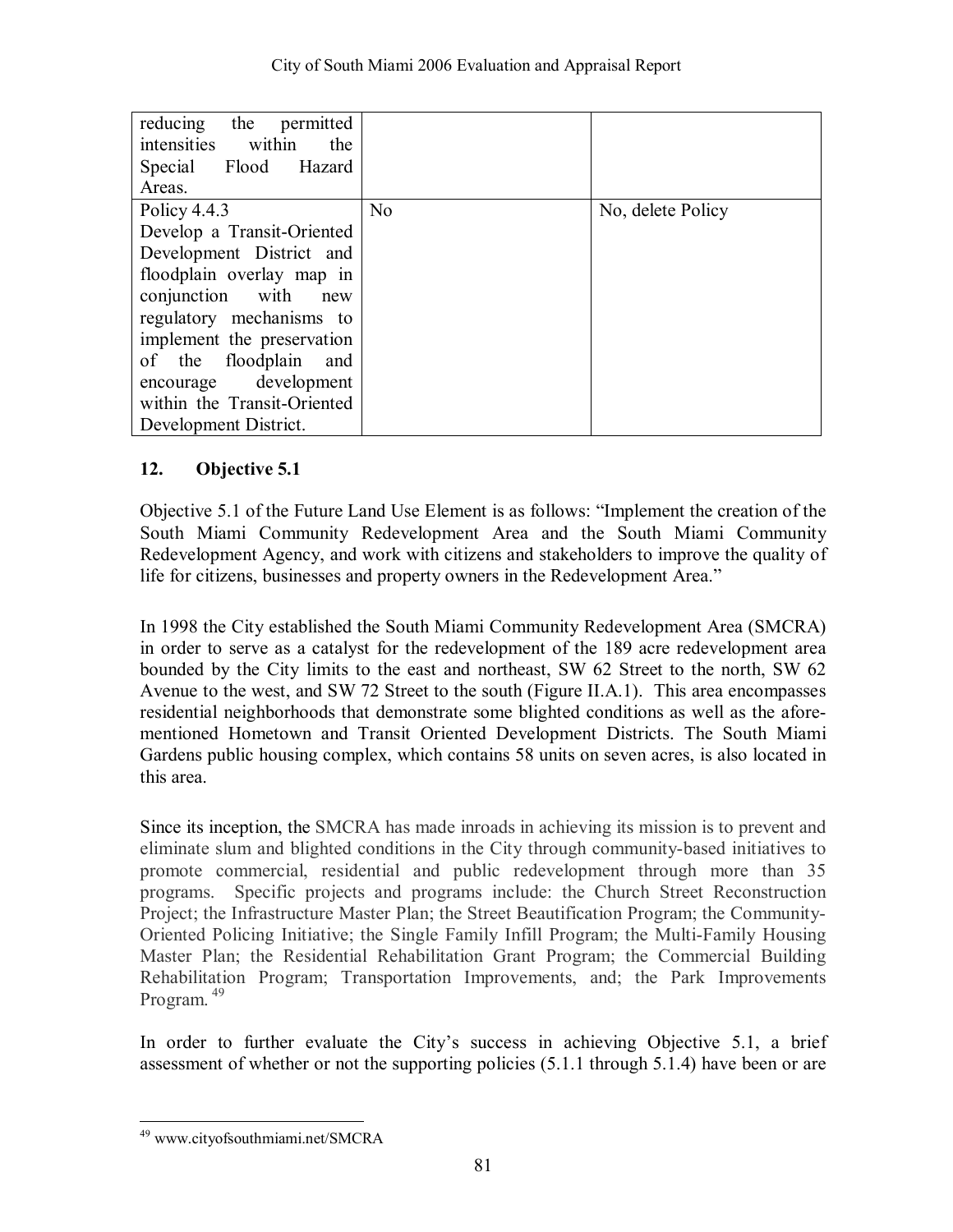| reducing the permitted<br>intensities within<br>the<br>Special Flood Hazard<br>Areas. |                |                   |
|---------------------------------------------------------------------------------------|----------------|-------------------|
| Policy $4.4.3$                                                                        | N <sub>o</sub> | No, delete Policy |
| Develop a Transit-Oriented                                                            |                |                   |
| Development District and                                                              |                |                   |
| floodplain overlay map in                                                             |                |                   |
| conjunction with<br>new                                                               |                |                   |
| regulatory mechanisms to                                                              |                |                   |
| implement the preservation                                                            |                |                   |
| of the floodplain<br>and                                                              |                |                   |
| encourage development                                                                 |                |                   |
| within the Transit-Oriented                                                           |                |                   |
| Development District.                                                                 |                |                   |

Objective 5.1 of the Future Land Use Element is as follows: "Implement the creation of the South Miami Community Redevelopment Area and the South Miami Community Redevelopment Agency, and work with citizens and stakeholders to improve the quality of life for citizens, businesses and property owners in the Redevelopment Area.<sup>7</sup>

In 1998 the City established the South Miami Community Redevelopment Area (SMCRA) in order to serve as a catalyst for the redevelopment of the 189 acre redevelopment area bounded by the City limits to the east and northeast, SW 62 Street to the north, SW 62 Avenue to the west, and SW 72 Street to the south (Figure II.A.1). This area encompasses residential neighborhoods that demonstrate some blighted conditions as well as the aforementioned Hometown and Transit Oriented Development Districts. The South Miami Gardens public housing complex, which contains 58 units on seven acres, is also located in this area.

Since its inception, the SMCRA has made inroads in achieving its mission is to prevent and eliminate slum and blighted conditions in the City through community-based initiatives to promote commercial, residential and public redevelopment through more than 35 programs. Specific projects and programs include: the Church Street Reconstruction Project; the Infrastructure Master Plan; the Street Beautification Program; the Community-Oriented Policing Initiative; the Single Family Infill Program; the Multi-Family Housing Master Plan; the Residential Rehabilitation Grant Program; the Commercial Building Rehabilitation Program; Transportation Improvements, and; the Park Improvements Program. 49

In order to further evaluate the City's success in achieving Objective 5.1, a brief assessment of whether or not the supporting policies (5.1.1 through 5.1.4) have been or are

 $\overline{a}$ 49 www.cityofsouthmiami.net/SMCRA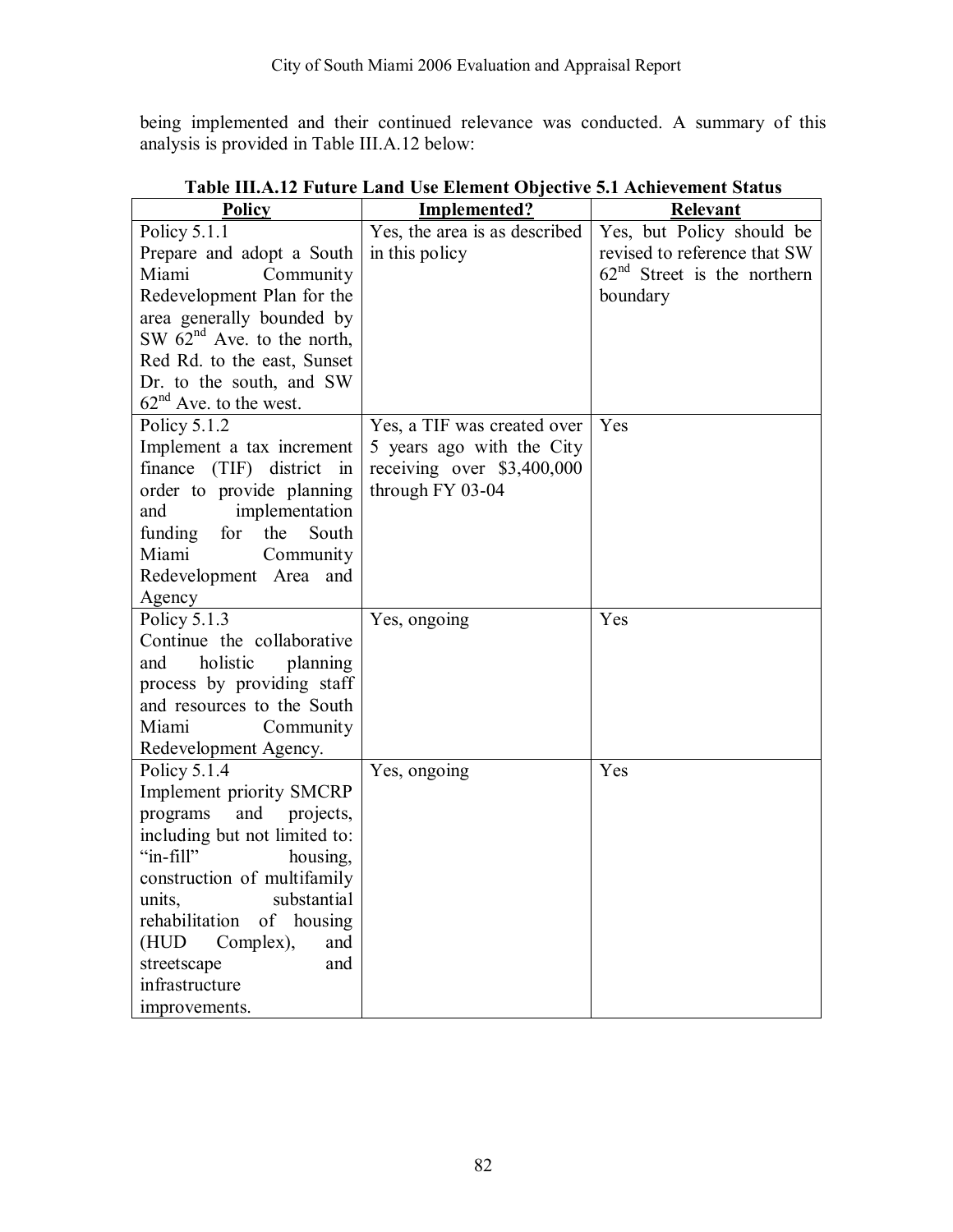being implemented and their continued relevance was conducted. A summary of this analysis is provided in Table III.A.12 below:

| <b>Policy</b>                   | Implemented?                  | Relevant                      |
|---------------------------------|-------------------------------|-------------------------------|
| Policy $5.1.1$                  | Yes, the area is as described | Yes, but Policy should be     |
| Prepare and adopt a South       | in this policy                | revised to reference that SW  |
| Miami<br>Community              |                               | $62nd$ Street is the northern |
| Redevelopment Plan for the      |                               | boundary                      |
| area generally bounded by       |                               |                               |
| SW $62nd$ Ave. to the north,    |                               |                               |
| Red Rd. to the east, Sunset     |                               |                               |
| Dr. to the south, and SW        |                               |                               |
| $62nd$ Ave. to the west.        |                               |                               |
| Policy 5.1.2                    | Yes, a TIF was created over   | Yes                           |
| Implement a tax increment       | 5 years ago with the City     |                               |
| finance (TIF) district in       | receiving over \$3,400,000    |                               |
| order to provide planning       | through FY 03-04              |                               |
| implementation<br>and           |                               |                               |
| funding for<br>the<br>South     |                               |                               |
| Miami<br>Community              |                               |                               |
| Redevelopment Area and          |                               |                               |
| Agency                          |                               |                               |
| Policy 5.1.3                    | Yes, ongoing                  | Yes                           |
| Continue the collaborative      |                               |                               |
| holistic<br>planning<br>and     |                               |                               |
| process by providing staff      |                               |                               |
| and resources to the South      |                               |                               |
| Miami<br>Community              |                               |                               |
| Redevelopment Agency.           |                               |                               |
| Policy 5.1.4                    | Yes, ongoing                  | Yes                           |
| Implement priority SMCRP        |                               |                               |
| programs<br>and<br>projects,    |                               |                               |
| including but not limited to:   |                               |                               |
| "in-fill"<br>housing,           |                               |                               |
| construction of multifamily     |                               |                               |
| units,<br>substantial           |                               |                               |
| rehabilitation<br>of<br>housing |                               |                               |
| (HUD)<br>Complex),<br>and       |                               |                               |
| streetscape<br>and              |                               |                               |
| infrastructure                  |                               |                               |
| improvements.                   |                               |                               |

**Table III.A.12 Future Land Use Element Objective 5.1 Achievement Status**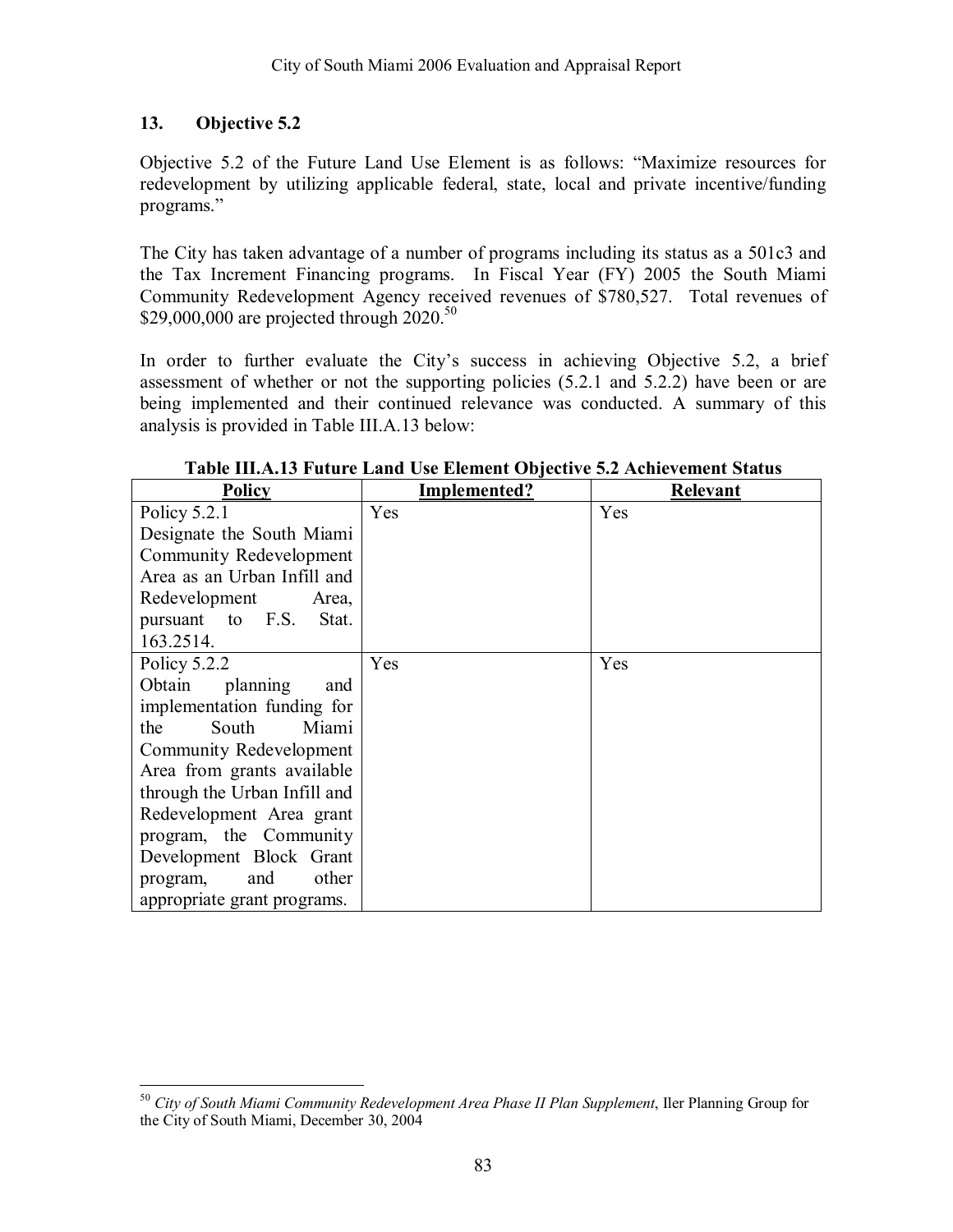Objective 5.2 of the Future Land Use Element is as follows: "Maximize resources for redevelopment by utilizing applicable federal, state, local and private incentive/funding programs."

The City has taken advantage of a number of programs including its status as a 501c3 and the Tax Increment Financing programs. In Fiscal Year (FY) 2005 the South Miami Community Redevelopment Agency received revenues of \$780,527. Total revenues of \$29,000,000 are projected through  $2020$ .<sup>50</sup>

In order to further evaluate the City's success in achieving Objective 5.2, a brief assessment of whether or not the supporting policies (5.2.1 and 5.2.2) have been or are being implemented and their continued relevance was conducted. A summary of this analysis is provided in Table III.A.13 below:

| <b>Policy</b>                  | Implemented? | <b>Relevant</b> |
|--------------------------------|--------------|-----------------|
| Policy $5.2.1$                 | Yes          | Yes             |
| Designate the South Miami      |              |                 |
| <b>Community Redevelopment</b> |              |                 |
| Area as an Urban Infill and    |              |                 |
| Redevelopment<br>Area,         |              |                 |
| pursuant to F.S.<br>Stat.      |              |                 |
| 163.2514.                      |              |                 |
| Policy 5.2.2                   | Yes          | Yes             |
| Obtain<br>planning<br>and      |              |                 |
| implementation funding for     |              |                 |
| Miami<br>the<br>South          |              |                 |
| Community Redevelopment        |              |                 |
| Area from grants available     |              |                 |
| through the Urban Infill and   |              |                 |
| Redevelopment Area grant       |              |                 |
| program, the Community         |              |                 |
| Development Block Grant        |              |                 |
| other<br>and<br>program,       |              |                 |
| appropriate grant programs.    |              |                 |

**Table III.A.13 Future Land Use Element Objective 5.2 Achievement Status** 

 $\overline{a}$ <sup>50</sup> *City of South Miami Community Redevelopment Area Phase II Plan Supplement*, Iler Planning Group for the City of South Miami, December 30, 2004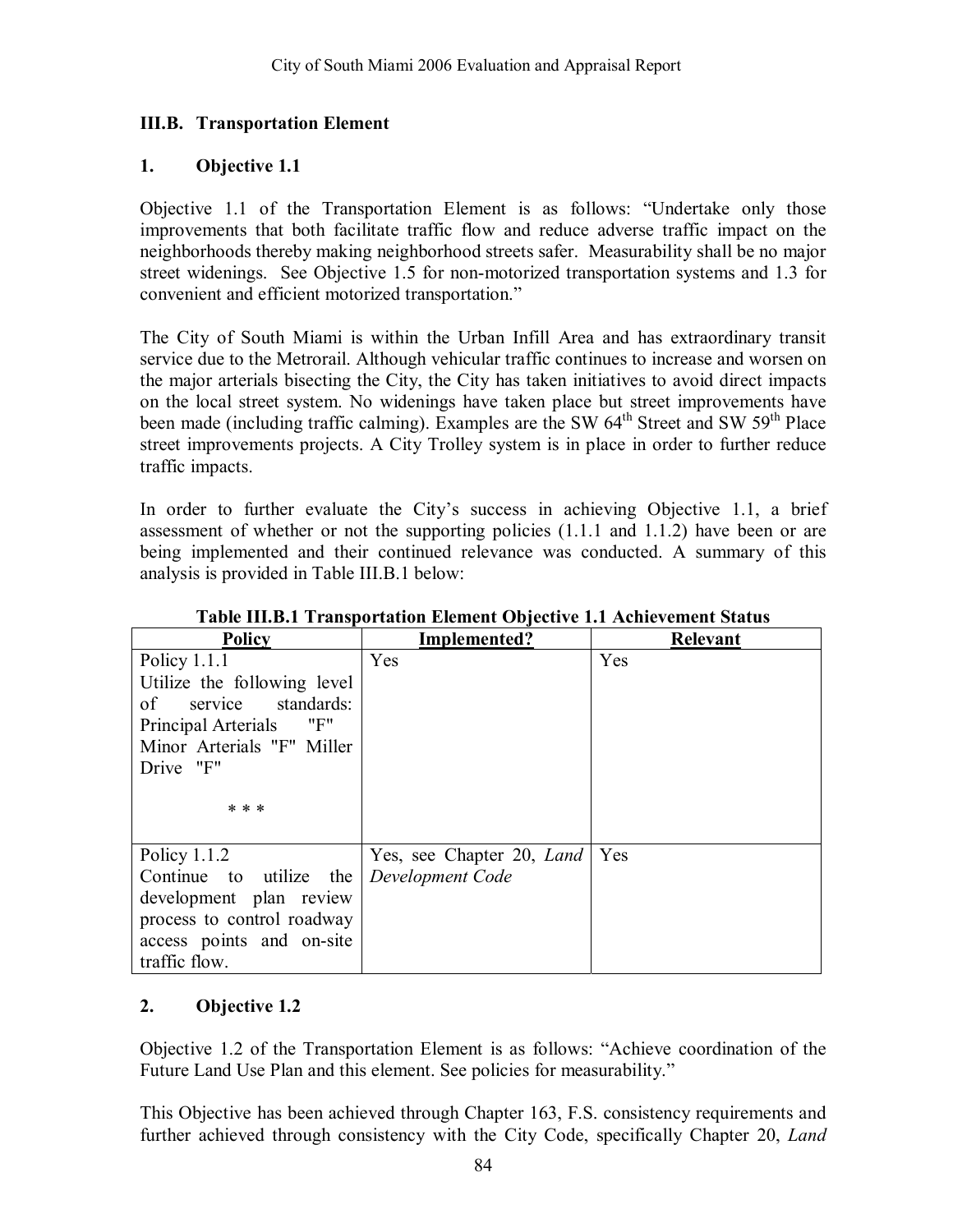### **III.B. Transportation Element**

#### **1. Objective 1.1**

Objective 1.1 of the Transportation Element is as follows: "Undertake only those improvements that both facilitate traffic flow and reduce adverse traffic impact on the neighborhoods thereby making neighborhood streets safer. Measurability shall be no major street widenings. See Objective 1.5 for non-motorized transportation systems and 1.3 for convenient and efficient motorized transportation."

The City of South Miami is within the Urban Infill Area and has extraordinary transit service due to the Metrorail. Although vehicular traffic continues to increase and worsen on the major arterials bisecting the City, the City has taken initiatives to avoid direct impacts on the local street system. No widenings have taken place but street improvements have been made (including traffic calming). Examples are the SW 64<sup>th</sup> Street and SW 59<sup>th</sup> Place street improvements projects. A City Trolley system is in place in order to further reduce traffic impacts.

In order to further evaluate the City's success in achieving Objective 1.1, a brief assessment of whether or not the supporting policies (1.1.1 and 1.1.2) have been or are being implemented and their continued relevance was conducted. A summary of this analysis is provided in Table III.B.1 below:

| <b>Policy</b>               | Implemented?              | Relevant |
|-----------------------------|---------------------------|----------|
| Policy $1.1.1$              | Yes                       | Yes      |
| Utilize the following level |                           |          |
| service standards:<br>of    |                           |          |
| "F"<br>Principal Arterials  |                           |          |
| Minor Arterials "F" Miller  |                           |          |
| Drive "F"                   |                           |          |
|                             |                           |          |
| * * *                       |                           |          |
|                             |                           |          |
| Policy $1.1.2$              | Yes, see Chapter 20, Land | Yes      |
| Continue to utilize the     | Development Code          |          |
| development plan review     |                           |          |
| process to control roadway  |                           |          |
| access points and on-site   |                           |          |
| traffic flow.               |                           |          |

**Table III.B.1 Transportation Element Objective 1.1 Achievement Status** 

### **2. Objective 1.2**

Objective 1.2 of the Transportation Element is as follows: "Achieve coordination of the Future Land Use Plan and this element. See policies for measurability."

This Objective has been achieved through Chapter 163, F.S. consistency requirements and further achieved through consistency with the City Code, specifically Chapter 20, *Land*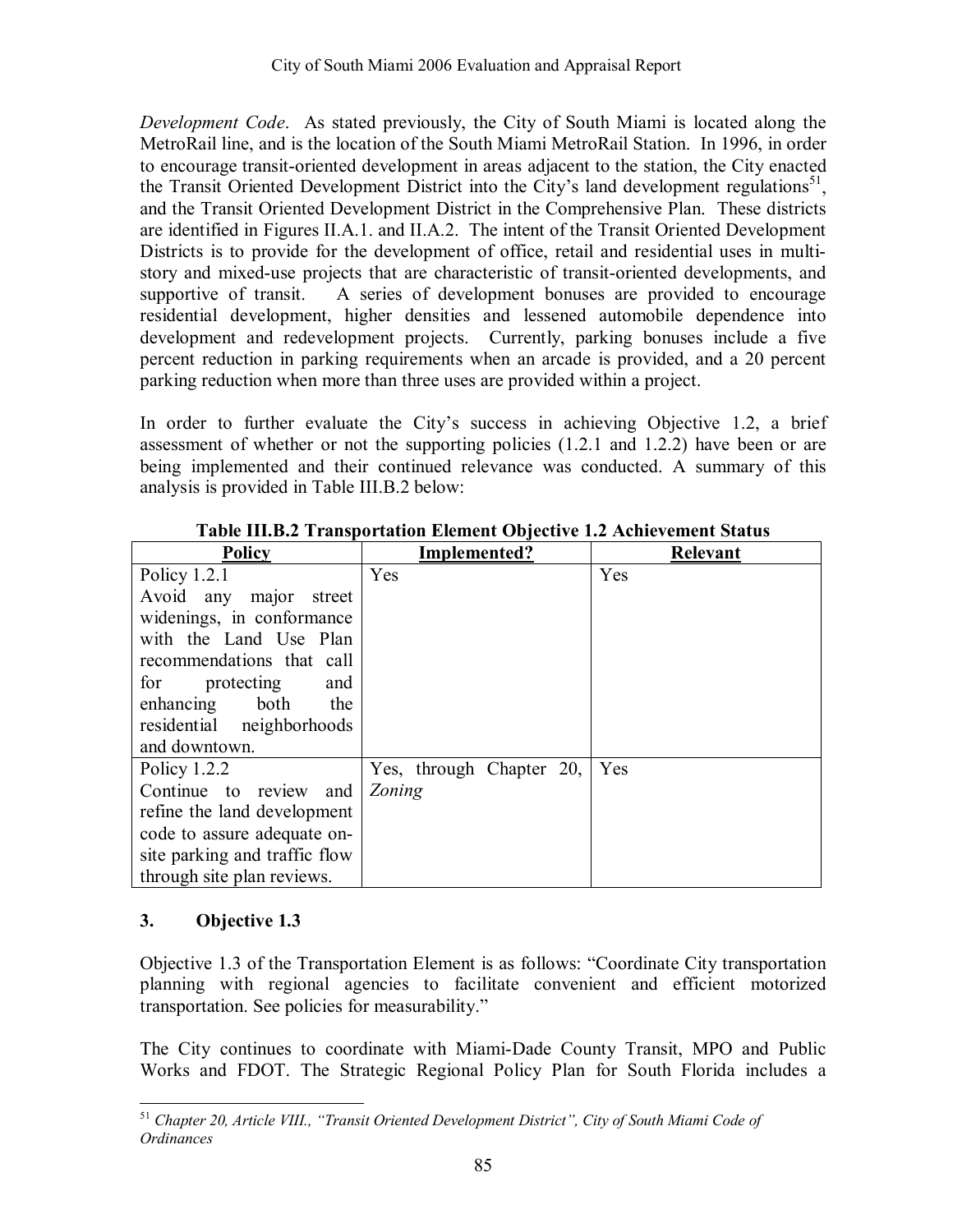*Development Code*. As stated previously, the City of South Miami is located along the MetroRail line, and is the location of the South Miami MetroRail Station. In 1996, in order to encourage transit-oriented development in areas adjacent to the station, the City enacted the Transit Oriented Development District into the City's land development regulations<sup>51</sup>, and the Transit Oriented Development District in the Comprehensive Plan. These districts are identified in Figures II.A.1. and II.A.2. The intent of the Transit Oriented Development Districts is to provide for the development of office, retail and residential uses in multistory and mixed-use projects that are characteristic of transit-oriented developments, and supportive of transit. A series of development bonuses are provided to encourage residential development, higher densities and lessened automobile dependence into development and redevelopment projects. Currently, parking bonuses include a five percent reduction in parking requirements when an arcade is provided, and a 20 percent parking reduction when more than three uses are provided within a project.

In order to further evaluate the City's success in achieving Objective 1.2, a brief assessment of whether or not the supporting policies (1.2.1 and 1.2.2) have been or are being implemented and their continued relevance was conducted. A summary of this analysis is provided in Table III.B.2 below:

| <b>Policy</b>                 | Implemented?             | Relevant |
|-------------------------------|--------------------------|----------|
| Policy $1.2.1$                | Yes                      | Yes      |
| Avoid any major street        |                          |          |
| widenings, in conformance     |                          |          |
| with the Land Use Plan        |                          |          |
| recommendations that call     |                          |          |
| for<br>protecting<br>and      |                          |          |
| both<br>the<br>enhancing      |                          |          |
| residential neighborhoods     |                          |          |
| and downtown.                 |                          |          |
| Policy $1.2.2$                | Yes, through Chapter 20, | Yes      |
| Continue to review<br>and     | Zoning                   |          |
| refine the land development   |                          |          |
| code to assure adequate on-   |                          |          |
| site parking and traffic flow |                          |          |
| through site plan reviews.    |                          |          |

**Table III.B.2 Transportation Element Objective 1.2 Achievement Status** 

### **3. Objective 1.3**

Objective 1.3 of the Transportation Element is as follows: "Coordinate City transportation planning with regional agencies to facilitate convenient and efficient motorized transportation. See policies for measurability."

The City continues to coordinate with Miami-Dade County Transit, MPO and Public Works and FDOT. The Strategic Regional Policy Plan for South Florida includes a

 $\overline{a}$ <sup>51</sup> Chapter 20, Article VIII., "Transit Oriented Development District", City of South Miami Code of *Ordinances*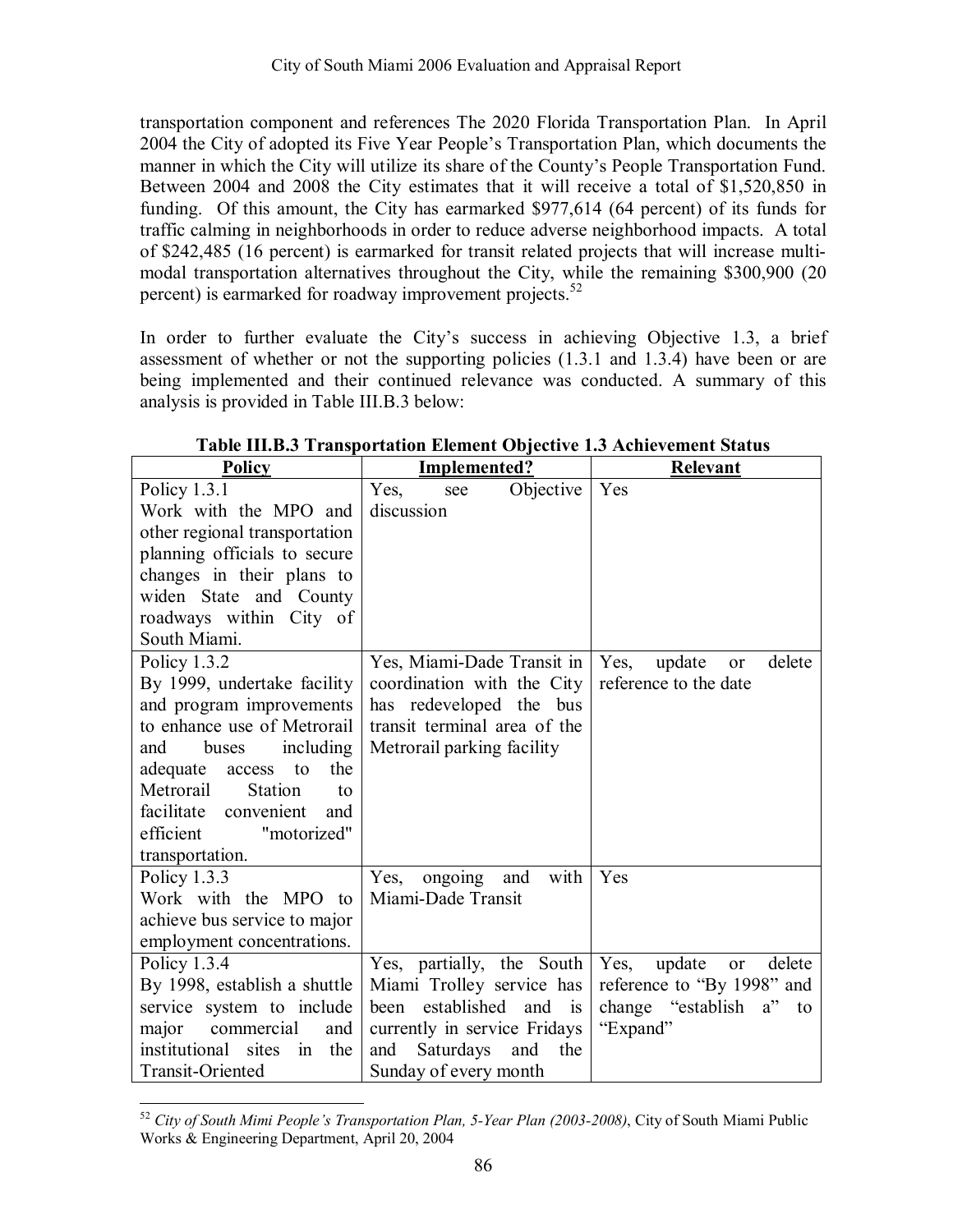transportation component and references The 2020 Florida Transportation Plan. In April 2004 the City of adopted its Five Year People's Transportation Plan, which documents the manner in which the City will utilize its share of the County's People Transportation Fund. Between 2004 and 2008 the City estimates that it will receive a total of \$1,520,850 in funding. Of this amount, the City has earmarked \$977,614 (64 percent) of its funds for traffic calming in neighborhoods in order to reduce adverse neighborhood impacts. A total of \$242,485 (16 percent) is earmarked for transit related projects that will increase multimodal transportation alternatives throughout the City, while the remaining \$300,900 (20 percent) is earmarked for roadway improvement projects.<sup>52</sup>

In order to further evaluate the City's success in achieving Objective 1.3, a brief assessment of whether or not the supporting policies (1.3.1 and 1.3.4) have been or are being implemented and their continued relevance was conducted. A summary of this analysis is provided in Table III.B.3 below:

| <b>Policy</b>                                             | <b>Implemented?</b>                                    | <b>Relevant</b>                                       |
|-----------------------------------------------------------|--------------------------------------------------------|-------------------------------------------------------|
| Policy 1.3.1                                              | Yes,<br>Objective<br>see                               | Yes                                                   |
| Work with the MPO and                                     | discussion                                             |                                                       |
| other regional transportation                             |                                                        |                                                       |
| planning officials to secure                              |                                                        |                                                       |
| changes in their plans to                                 |                                                        |                                                       |
| widen State and County                                    |                                                        |                                                       |
| roadways within City of                                   |                                                        |                                                       |
| South Miami.                                              |                                                        |                                                       |
| Policy 1.3.2                                              | Yes, Miami-Dade Transit in                             | Yes,<br>delete<br>update<br>or                        |
| By 1999, undertake facility                               | coordination with the City                             | reference to the date                                 |
| and program improvements                                  | has redeveloped the bus                                |                                                       |
| to enhance use of Metrorail                               | transit terminal area of the                           |                                                       |
| including<br>and<br>buses                                 | Metrorail parking facility                             |                                                       |
| the<br>adequate<br>access<br>to                           |                                                        |                                                       |
| Metrorail<br><b>Station</b><br>to                         |                                                        |                                                       |
| facilitate convenient<br>and                              |                                                        |                                                       |
| efficient<br>"motorized"                                  |                                                        |                                                       |
| transportation.                                           |                                                        | Yes                                                   |
| Policy 1.3.3                                              | with<br>and<br>Yes,<br>ongoing<br>Miami-Dade Transit   |                                                       |
| Work with the MPO to                                      |                                                        |                                                       |
| achieve bus service to major                              |                                                        |                                                       |
| employment concentrations.                                |                                                        | delete                                                |
| Policy 1.3.4                                              | Yes, partially, the South<br>Miami Trolley service has | Yes,<br>update<br>or                                  |
| By 1998, establish a shuttle<br>service system to include | established<br>and<br>been<br><sup>is</sup>            | reference to "By 1998" and<br>change "establish a" to |
| major<br>commercial<br>and                                | currently in service Fridays                           | "Expand"                                              |
| institutional sites<br>the<br>$\overline{\mathbf{m}}$     | and<br>the<br>and<br>Saturdays                         |                                                       |
|                                                           |                                                        |                                                       |
| Transit-Oriented                                          | Sunday of every month                                  |                                                       |

**Table III.B.3 Transportation Element Objective 1.3 Achievement Status** 

 $\overline{a}$ <sup>52</sup> *City of South Mimi People's Transportation Plan, 5-Year Plan (2003-2008)*, City of South Miami Public Works & Engineering Department, April 20, 2004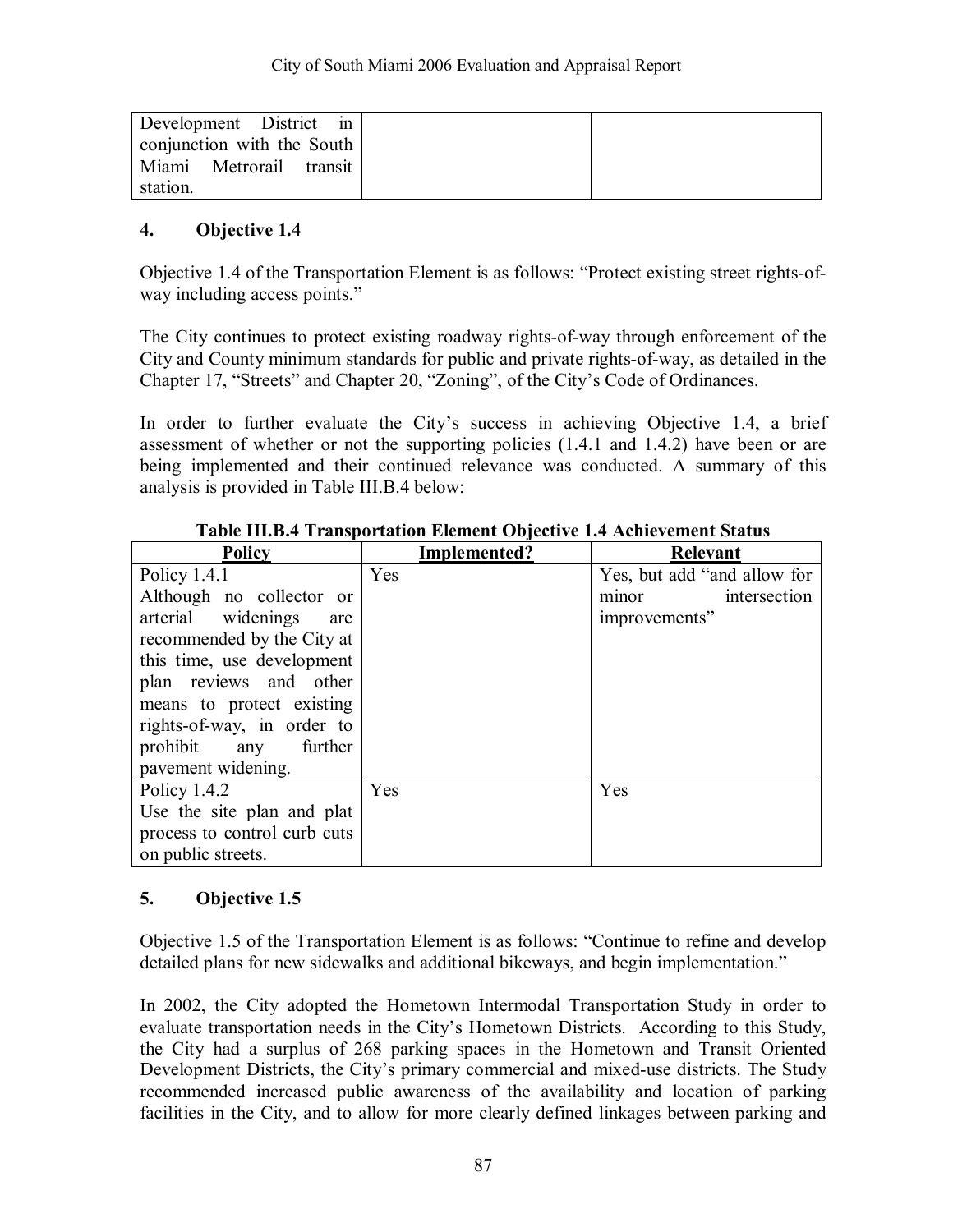| Development District in    |  |
|----------------------------|--|
| conjunction with the South |  |
| Miami Metrorail transit    |  |
| station.                   |  |

Objective 1.4 of the Transportation Element is as follows: "Protect existing street rights-ofway including access points."

The City continues to protect existing roadway rights-of-way through enforcement of the City and County minimum standards for public and private rights-of-way, as detailed in the Chapter 17, "Streets" and Chapter 20, "Zoning", of the City's Code of Ordinances.

In order to further evaluate the City's success in achieving Objective 1.4, a brief assessment of whether or not the supporting policies (1.4.1 and 1.4.2) have been or are being implemented and their continued relevance was conducted. A summary of this analysis is provided in Table III.B.4 below:

| <b>Policy</b>                | Implemented? | Relevant                    |
|------------------------------|--------------|-----------------------------|
| Policy $1.4.1$               | Yes          | Yes, but add "and allow for |
| Although no collector or     |              | intersection<br>minor       |
| arterial widenings<br>are    |              | improvements"               |
| recommended by the City at   |              |                             |
| this time, use development   |              |                             |
| plan reviews and other       |              |                             |
| means to protect existing    |              |                             |
| rights-of-way, in order to   |              |                             |
| further<br>prohibit any      |              |                             |
| pavement widening.           |              |                             |
| Policy $1.4.2$               | Yes          | Yes                         |
| Use the site plan and plat   |              |                             |
| process to control curb cuts |              |                             |
| on public streets.           |              |                             |

**Table III.B.4 Transportation Element Objective 1.4 Achievement Status** 

### **5. Objective 1.5**

Objective 1.5 of the Transportation Element is as follows: "Continue to refine and develop detailed plans for new sidewalks and additional bikeways, and begin implementation."

In 2002, the City adopted the Hometown Intermodal Transportation Study in order to evaluate transportation needs in the City's Hometown Districts. According to this Study, the City had a surplus of 268 parking spaces in the Hometown and Transit Oriented Development Districts, the City's primary commercial and mixed-use districts. The Study recommended increased public awareness of the availability and location of parking facilities in the City, and to allow for more clearly defined linkages between parking and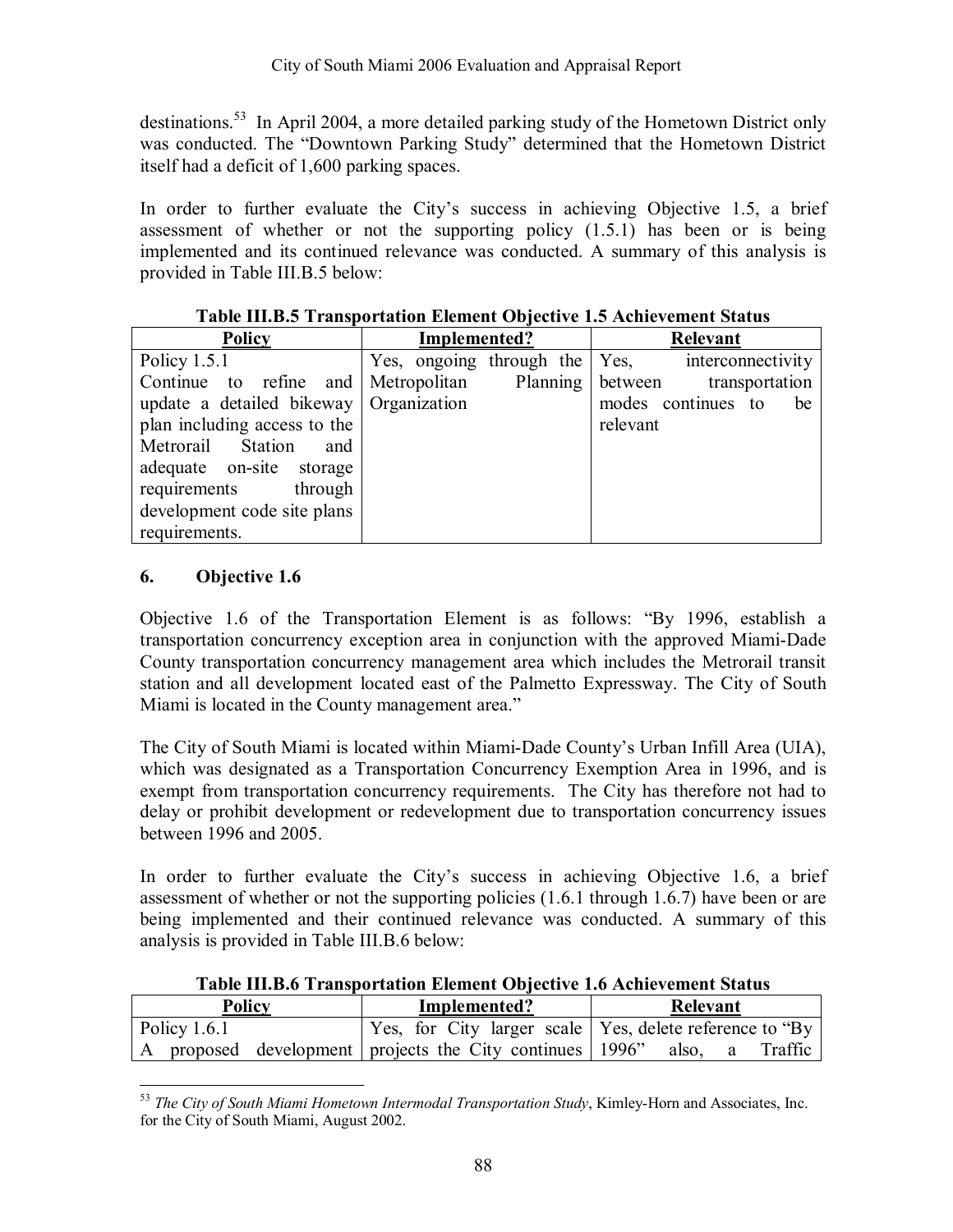destinations.<sup>53</sup> In April 2004, a more detailed parking study of the Hometown District only was conducted. The "Downtown Parking Study" determined that the Hometown District itself had a deficit of 1,600 parking spaces.

In order to further evaluate the City's success in achieving Objective 1.5, a brief assessment of whether or not the supporting policy (1.5.1) has been or is being implemented and its continued relevance was conducted. A summary of this analysis is provided in Table III.B.5 below:

| <b>Policy</b>                            | Implemented?                  | Relevant                  |
|------------------------------------------|-------------------------------|---------------------------|
| Policy $1.5.1$                           | Yes, ongoing through the Yes, | interconnectivity         |
| Continue to refine and Metropolitan      | Planning                      | between<br>transportation |
| update a detailed bikeway   Organization |                               | modes continues to<br>be  |
| plan including access to the             |                               | relevant                  |
| Metrorail Station<br>and                 |                               |                           |
| adequate on-site storage                 |                               |                           |
| requirements<br>through                  |                               |                           |
| development code site plans              |                               |                           |
| requirements.                            |                               |                           |

### **Table III.B.5 Transportation Element Objective 1.5 Achievement Status**

### **6. Objective 1.6**

Objective 1.6 of the Transportation Element is as follows:  $\gamma$ By 1996, establish a transportation concurrency exception area in conjunction with the approved Miami-Dade County transportation concurrency management area which includes the Metrorail transit station and all development located east of the Palmetto Expressway. The City of South Miami is located in the County management area.<sup>"</sup>

The City of South Miami is located within Miami-Dade County's Urban Infill Area (UIA), which was designated as a Transportation Concurrency Exemption Area in 1996, and is exempt from transportation concurrency requirements. The City has therefore not had to delay or prohibit development or redevelopment due to transportation concurrency issues between 1996 and 2005.

In order to further evaluate the Cityís success in achieving Objective 1.6, a brief assessment of whether or not the supporting policies (1.6.1 through 1.6.7) have been or are being implemented and their continued relevance was conducted. A summary of this analysis is provided in Table III.B.6 below:

|  |  | Table III.B.6 Transportation Element Objective 1.6 Achievement Status |  |
|--|--|-----------------------------------------------------------------------|--|
|--|--|-----------------------------------------------------------------------|--|

| Policy         | Implemented?                                                   | Relevant     |
|----------------|----------------------------------------------------------------|--------------|
| Policy $1.6.1$ | Yes, for City larger scale   Yes, delete reference to "By"     |              |
|                | A proposed development projects the City continues 1996" also, | Traffic<br>a |

 $\overline{a}$ <sup>53</sup> *The City of South Miami Hometown Intermodal Transportation Study*, Kimley-Horn and Associates, Inc. for the City of South Miami, August 2002.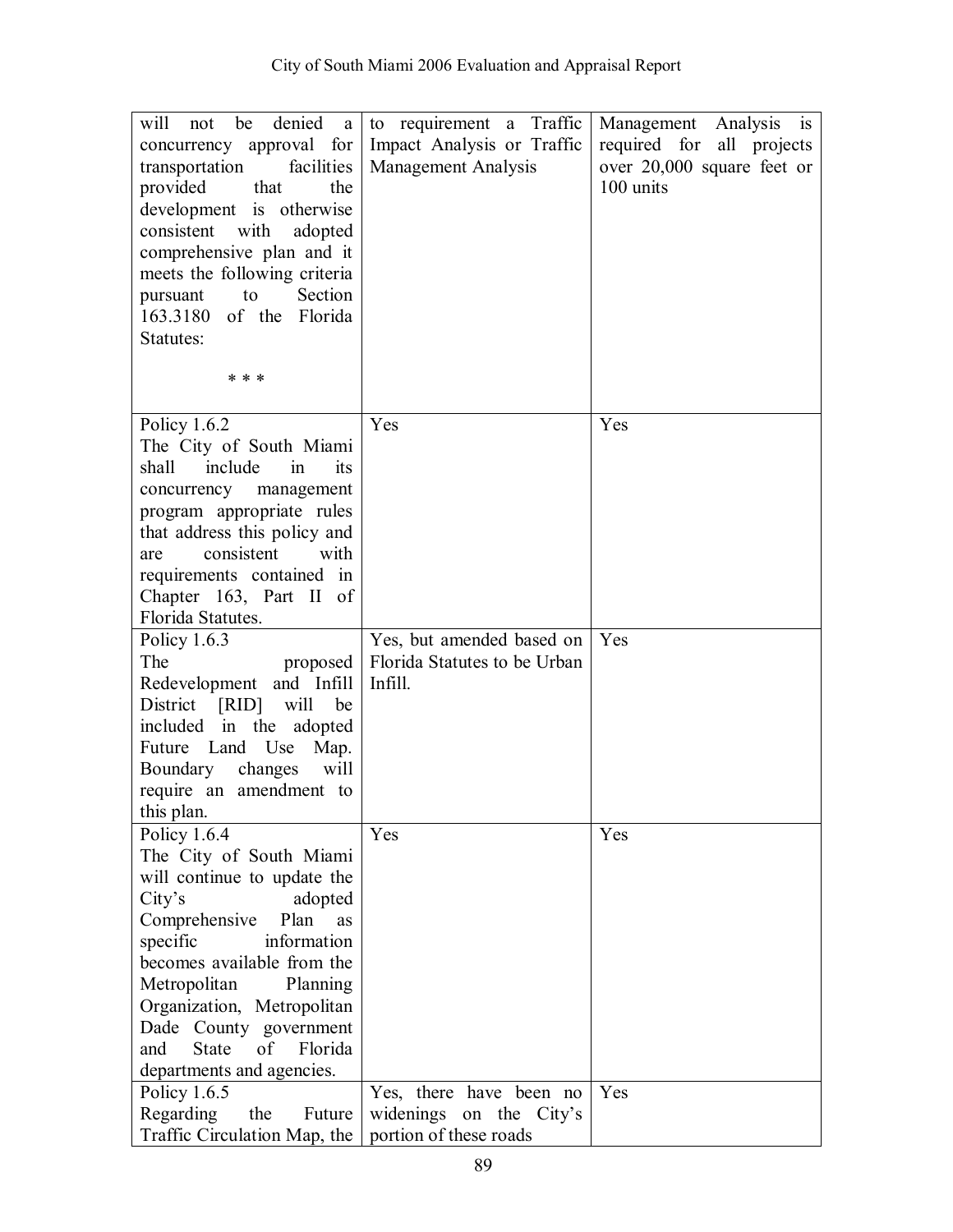| denied<br>will<br>be<br>not<br>a<br>concurrency approval for<br>transportation<br>facilities<br>provided<br>that<br>the<br>development is otherwise<br>consistent with<br>adopted<br>comprehensive plan and it<br>meets the following criteria                                                                                                 | to requirement a Traffic<br>Impact Analysis or Traffic<br><b>Management Analysis</b> | Management Analysis<br>$\overline{1}$<br>required for all projects<br>over 20,000 square feet or<br>100 units |
|------------------------------------------------------------------------------------------------------------------------------------------------------------------------------------------------------------------------------------------------------------------------------------------------------------------------------------------------|--------------------------------------------------------------------------------------|---------------------------------------------------------------------------------------------------------------|
| to<br>Section<br>pursuant<br>163.3180 of the Florida<br>Statutes:<br>* * *                                                                                                                                                                                                                                                                     |                                                                                      |                                                                                                               |
|                                                                                                                                                                                                                                                                                                                                                |                                                                                      |                                                                                                               |
| Policy $1.6.2$<br>The City of South Miami<br>include<br>shall<br>its<br>in<br>concurrency management<br>program appropriate rules<br>that address this policy and<br>consistent<br>with<br>are<br>requirements contained in<br>Chapter 163, Part II of<br>Florida Statutes.                                                                    | Yes                                                                                  | Yes                                                                                                           |
| Policy $1.6.3$<br>The<br>proposed<br>Redevelopment and Infill<br>District [RID] will<br>be<br>included in the adopted<br>Future Land Use<br>Map.<br>Boundary changes<br>will<br>require an amendment to<br>this plan.                                                                                                                          | Yes, but amended based on<br>Florida Statutes to be Urban<br>Infill.                 | Yes                                                                                                           |
| Policy $1.6.4$<br>The City of South Miami<br>will continue to update the<br>City's<br>adopted<br>Comprehensive<br>Plan<br>as<br>specific<br>information<br>becomes available from the<br>Metropolitan<br>Planning<br>Organization, Metropolitan<br>Dade County government<br><b>State</b><br>of<br>Florida<br>and<br>departments and agencies. | Yes                                                                                  | Yes                                                                                                           |
| Policy $1.6.5$<br>Regarding<br>the<br>Future<br>Traffic Circulation Map, the                                                                                                                                                                                                                                                                   | Yes, there have been no<br>widenings on the City's<br>portion of these roads         | Yes                                                                                                           |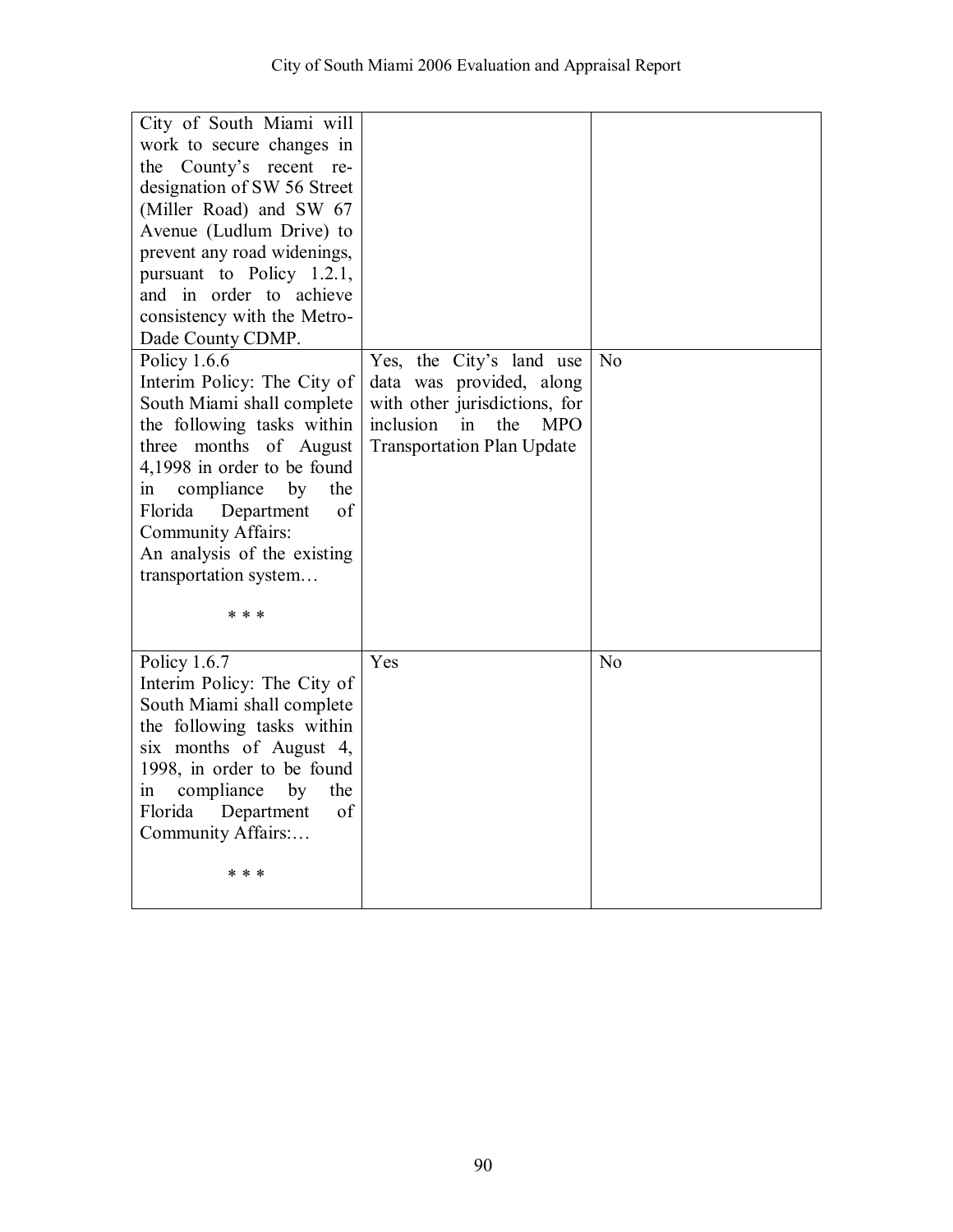| City of South Miami will<br>work to secure changes in<br>the County's recent re-<br>designation of SW 56 Street<br>(Miller Road) and SW 67<br>Avenue (Ludlum Drive) to<br>prevent any road widenings,<br>pursuant to Policy $1.2.1$ ,<br>and in order to achieve<br>consistency with the Metro-<br>Dade County CDMP.<br>Policy 1.6.6<br>Interim Policy: The City of<br>South Miami shall complete<br>the following tasks within<br>three months of August<br>4,1998 in order to be found<br>compliance<br>by<br>the<br>1n<br>of<br>Florida<br>Department<br><b>Community Affairs:</b><br>An analysis of the existing<br>transportation system<br>* * * | Yes, the City's land use<br>data was provided, along<br>with other jurisdictions, for<br>inclusion<br>in<br>the<br><b>MPO</b><br><b>Transportation Plan Update</b> | N <sub>o</sub> |
|--------------------------------------------------------------------------------------------------------------------------------------------------------------------------------------------------------------------------------------------------------------------------------------------------------------------------------------------------------------------------------------------------------------------------------------------------------------------------------------------------------------------------------------------------------------------------------------------------------------------------------------------------------|--------------------------------------------------------------------------------------------------------------------------------------------------------------------|----------------|
| Policy 1.6.7<br>Interim Policy: The City of<br>South Miami shall complete<br>the following tasks within<br>six months of August 4,<br>1998, in order to be found<br>compliance<br>by<br>the<br>$\sin$<br>of<br>Florida<br>Department<br>Community Affairs:<br>* * *                                                                                                                                                                                                                                                                                                                                                                                    | Yes                                                                                                                                                                | N <sub>o</sub> |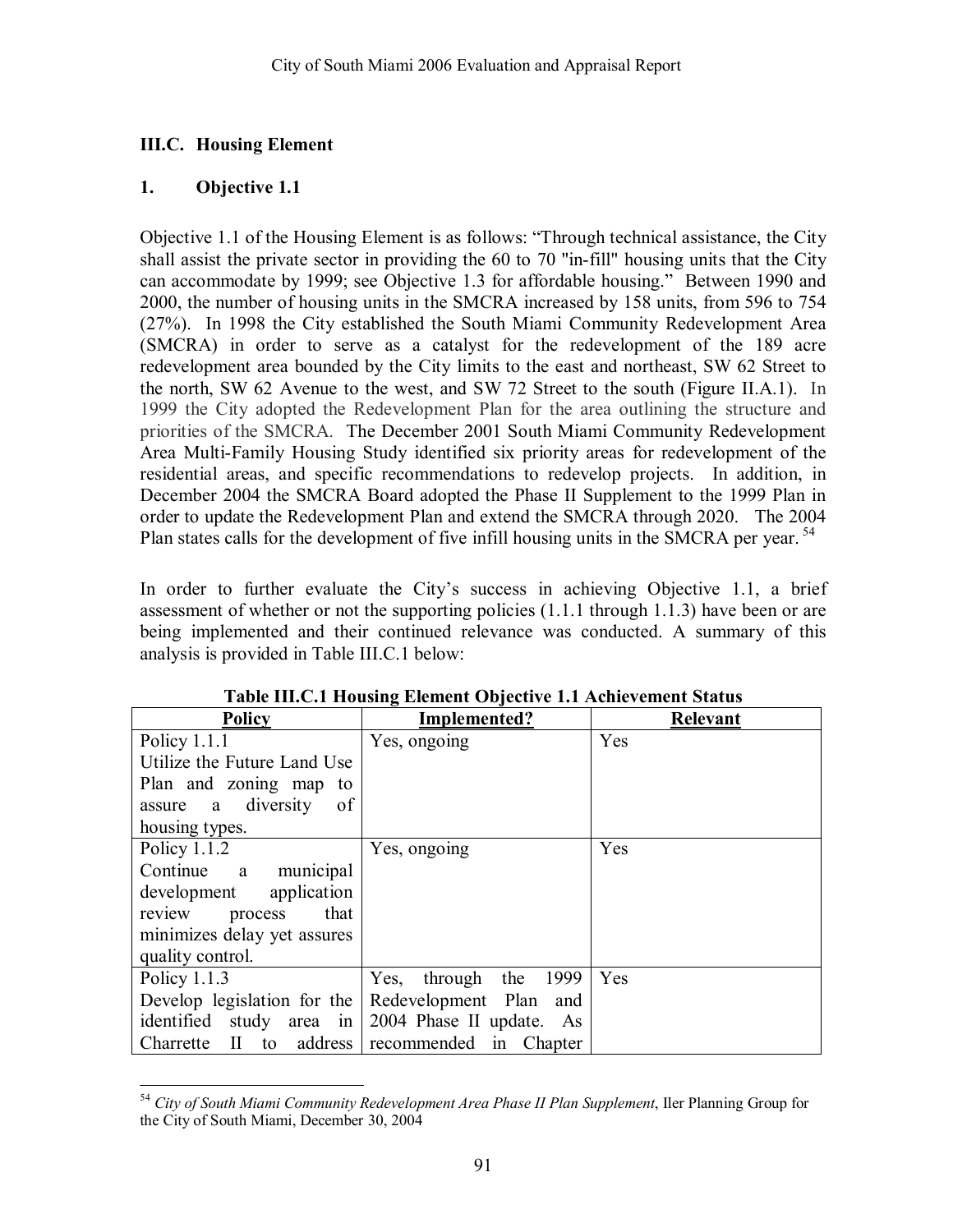### **III.C. Housing Element**

### **1. Objective 1.1**

Objective 1.1 of the Housing Element is as follows: "Through technical assistance, the City shall assist the private sector in providing the 60 to 70 "in-fill" housing units that the City can accommodate by 1999; see Objective 1.3 for affordable housing." Between 1990 and 2000, the number of housing units in the SMCRA increased by 158 units, from 596 to 754 (27%). In 1998 the City established the South Miami Community Redevelopment Area (SMCRA) in order to serve as a catalyst for the redevelopment of the 189 acre redevelopment area bounded by the City limits to the east and northeast, SW 62 Street to the north, SW 62 Avenue to the west, and SW 72 Street to the south (Figure II.A.1). In 1999 the City adopted the Redevelopment Plan for the area outlining the structure and priorities of the SMCRA. The December 2001 South Miami Community Redevelopment Area Multi-Family Housing Study identified six priority areas for redevelopment of the residential areas, and specific recommendations to redevelop projects. In addition, in December 2004 the SMCRA Board adopted the Phase II Supplement to the 1999 Plan in order to update the Redevelopment Plan and extend the SMCRA through 2020. The 2004 Plan states calls for the development of five infill housing units in the SMCRA per year.<sup>54</sup>

In order to further evaluate the City's success in achieving Objective 1.1, a brief assessment of whether or not the supporting policies (1.1.1 through 1.1.3) have been or are being implemented and their continued relevance was conducted. A summary of this analysis is provided in Table III.C.1 below:

| <b>Policy</b>               | Implemented?                      | Relevant |
|-----------------------------|-----------------------------------|----------|
| Policy $1.1.1$              | Yes, ongoing                      | Yes      |
| Utilize the Future Land Use |                                   |          |
| Plan and zoning map to      |                                   |          |
| assure a diversity<br>of    |                                   |          |
| housing types.              |                                   |          |
| Policy 1.1.2                | Yes, ongoing                      | Yes      |
| Continue a municipal        |                                   |          |
| application<br>development  |                                   |          |
| that<br>review process      |                                   |          |
| minimizes delay yet assures |                                   |          |
| quality control.            |                                   |          |
| Policy $1.1.3$              | 1999<br>Yes,<br>through the       | Yes      |
| Develop legislation for the | Redevelopment Plan<br>and         |          |
| identified study area in    | 2004 Phase II update. As          |          |
| $II$ to<br>Charrette        | address recommended in<br>Chapter |          |

**Table III.C.1 Housing Element Objective 1.1 Achievement Status** 

 $\overline{a}$ <sup>54</sup> *City of South Miami Community Redevelopment Area Phase II Plan Supplement*, Iler Planning Group for the City of South Miami, December 30, 2004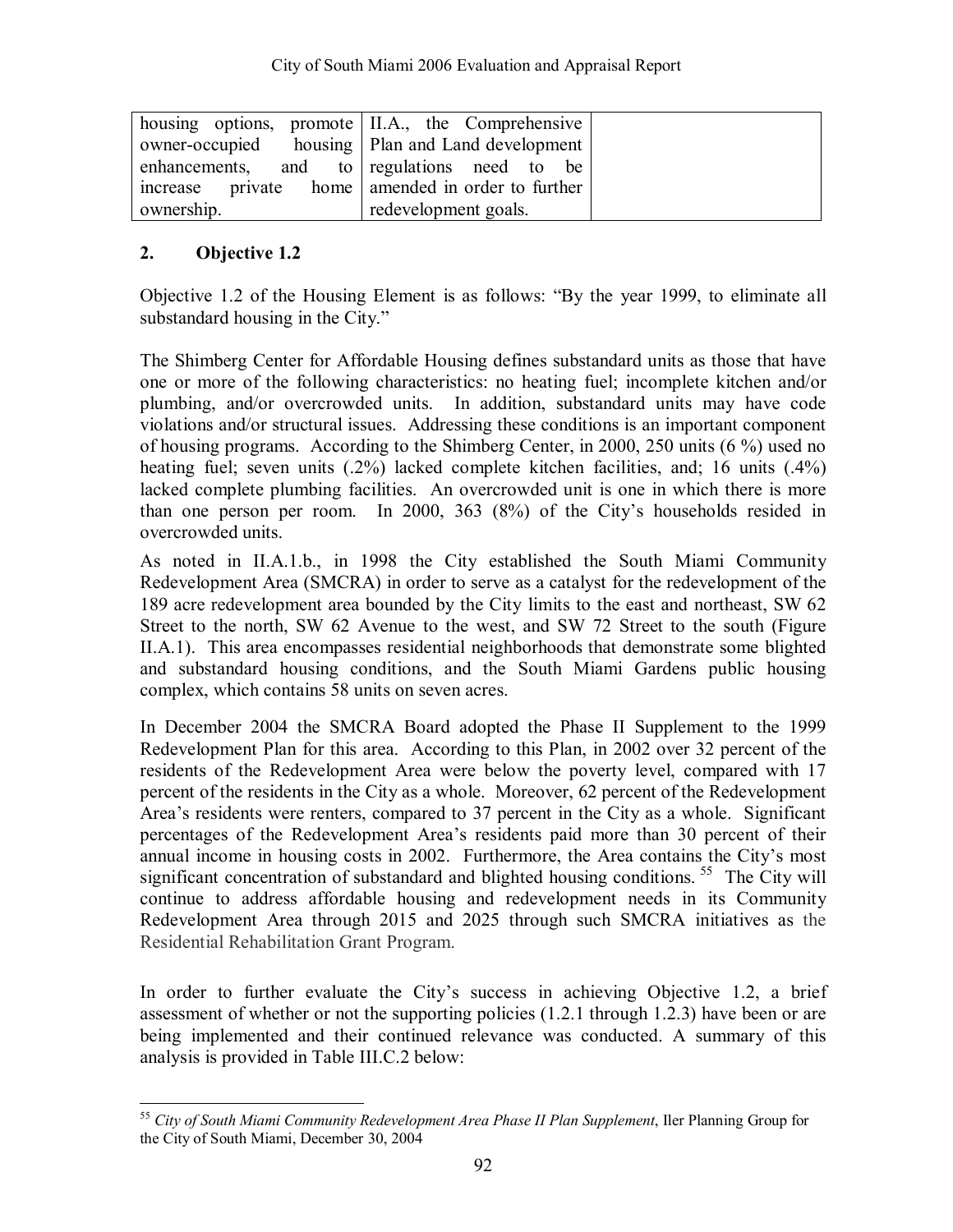|            | housing options, promote II.A., the Comprehensive  |
|------------|----------------------------------------------------|
|            | owner-occupied housing   Plan and Land development |
|            | enhancements, and to regulations need to be        |
|            | increase private home amended in order to further  |
| ownership. | redevelopment goals.                               |

Objective 1.2 of the Housing Element is as follows: "By the year 1999, to eliminate all substandard housing in the City."

The Shimberg Center for Affordable Housing defines substandard units as those that have one or more of the following characteristics: no heating fuel; incomplete kitchen and/or plumbing, and/or overcrowded units. In addition, substandard units may have code violations and/or structural issues. Addressing these conditions is an important component of housing programs. According to the Shimberg Center, in 2000, 250 units (6 %) used no heating fuel; seven units (.2%) lacked complete kitchen facilities, and; 16 units (.4%) lacked complete plumbing facilities. An overcrowded unit is one in which there is more than one person per room. In 2000, 363 (8%) of the City's households resided in overcrowded units.

As noted in II.A.1.b., in 1998 the City established the South Miami Community Redevelopment Area (SMCRA) in order to serve as a catalyst for the redevelopment of the 189 acre redevelopment area bounded by the City limits to the east and northeast, SW 62 Street to the north, SW 62 Avenue to the west, and SW 72 Street to the south (Figure II.A.1). This area encompasses residential neighborhoods that demonstrate some blighted and substandard housing conditions, and the South Miami Gardens public housing complex, which contains 58 units on seven acres.

In December 2004 the SMCRA Board adopted the Phase II Supplement to the 1999 Redevelopment Plan for this area. According to this Plan, in 2002 over 32 percent of the residents of the Redevelopment Area were below the poverty level, compared with 17 percent of the residents in the City as a whole. Moreover, 62 percent of the Redevelopment Area's residents were renters, compared to 37 percent in the City as a whole. Significant percentages of the Redevelopment Areaís residents paid more than 30 percent of their annual income in housing costs in 2002. Furthermore, the Area contains the City's most significant concentration of substandard and blighted housing conditions.<sup>55</sup> The City will continue to address affordable housing and redevelopment needs in its Community Redevelopment Area through 2015 and 2025 through such SMCRA initiatives as the Residential Rehabilitation Grant Program.

In order to further evaluate the City's success in achieving Objective 1.2, a brief assessment of whether or not the supporting policies (1.2.1 through 1.2.3) have been or are being implemented and their continued relevance was conducted. A summary of this analysis is provided in Table III.C.2 below:

 $\overline{a}$ <sup>55</sup> *City of South Miami Community Redevelopment Area Phase II Plan Supplement*, Iler Planning Group for the City of South Miami, December 30, 2004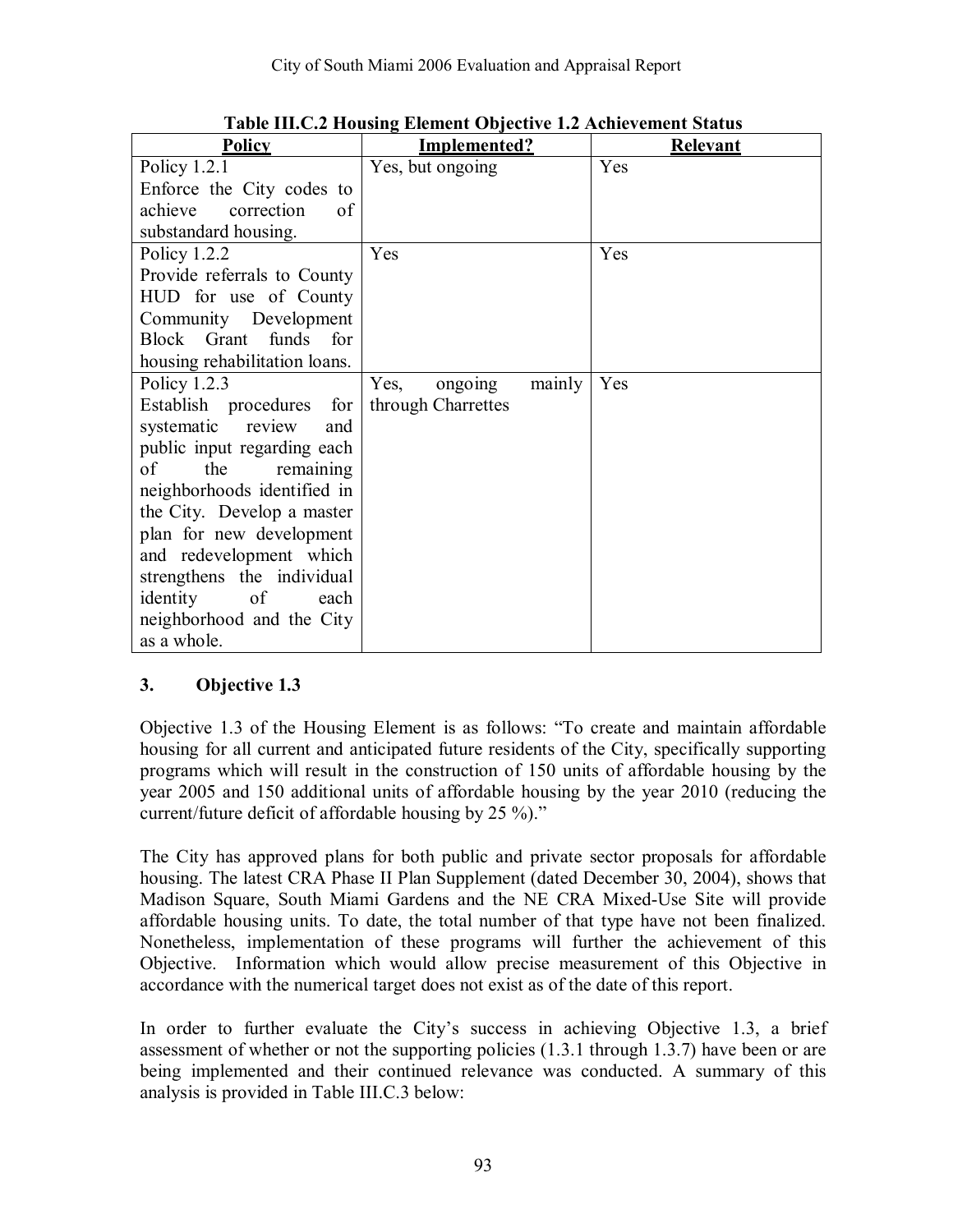| <b>Policy</b>                     | <b>Implemented?</b>       | <b>Relevant</b> |
|-----------------------------------|---------------------------|-----------------|
| Policy $1.2.1$                    | Yes, but ongoing          | Yes             |
| Enforce the City codes to         |                           |                 |
| correction<br>achieve<br>of       |                           |                 |
| substandard housing.              |                           |                 |
| Policy $1.2.2$                    | Yes                       | Yes             |
| Provide referrals to County       |                           |                 |
| HUD for use of County             |                           |                 |
| Community Development             |                           |                 |
| Block Grant funds for             |                           |                 |
| housing rehabilitation loans.     |                           |                 |
| Policy $1.2.3$                    | Yes,<br>ongoing<br>mainly | Yes             |
| Establish procedures<br>for       | through Charrettes        |                 |
| systematic<br>review<br>and       |                           |                 |
| public input regarding each       |                           |                 |
| of<br>the<br>remaining            |                           |                 |
| neighborhoods identified in       |                           |                 |
| the City. Develop a master        |                           |                 |
| plan for new development          |                           |                 |
| and redevelopment which           |                           |                 |
| strengthens the individual        |                           |                 |
| identity<br><sub>of</sub><br>each |                           |                 |
| neighborhood and the City         |                           |                 |
| as a whole.                       |                           |                 |

**Table III.C.2 Housing Element Objective 1.2 Achievement Status** 

Objective 1.3 of the Housing Element is as follows: "To create and maintain affordable housing for all current and anticipated future residents of the City, specifically supporting programs which will result in the construction of 150 units of affordable housing by the year 2005 and 150 additional units of affordable housing by the year 2010 (reducing the current/future deficit of affordable housing by  $25\%$ ).<sup>77</sup>

The City has approved plans for both public and private sector proposals for affordable housing. The latest CRA Phase II Plan Supplement (dated December 30, 2004), shows that Madison Square, South Miami Gardens and the NE CRA Mixed-Use Site will provide affordable housing units. To date, the total number of that type have not been finalized. Nonetheless, implementation of these programs will further the achievement of this Objective. Information which would allow precise measurement of this Objective in accordance with the numerical target does not exist as of the date of this report.

In order to further evaluate the Cityís success in achieving Objective 1.3, a brief assessment of whether or not the supporting policies (1.3.1 through 1.3.7) have been or are being implemented and their continued relevance was conducted. A summary of this analysis is provided in Table III.C.3 below: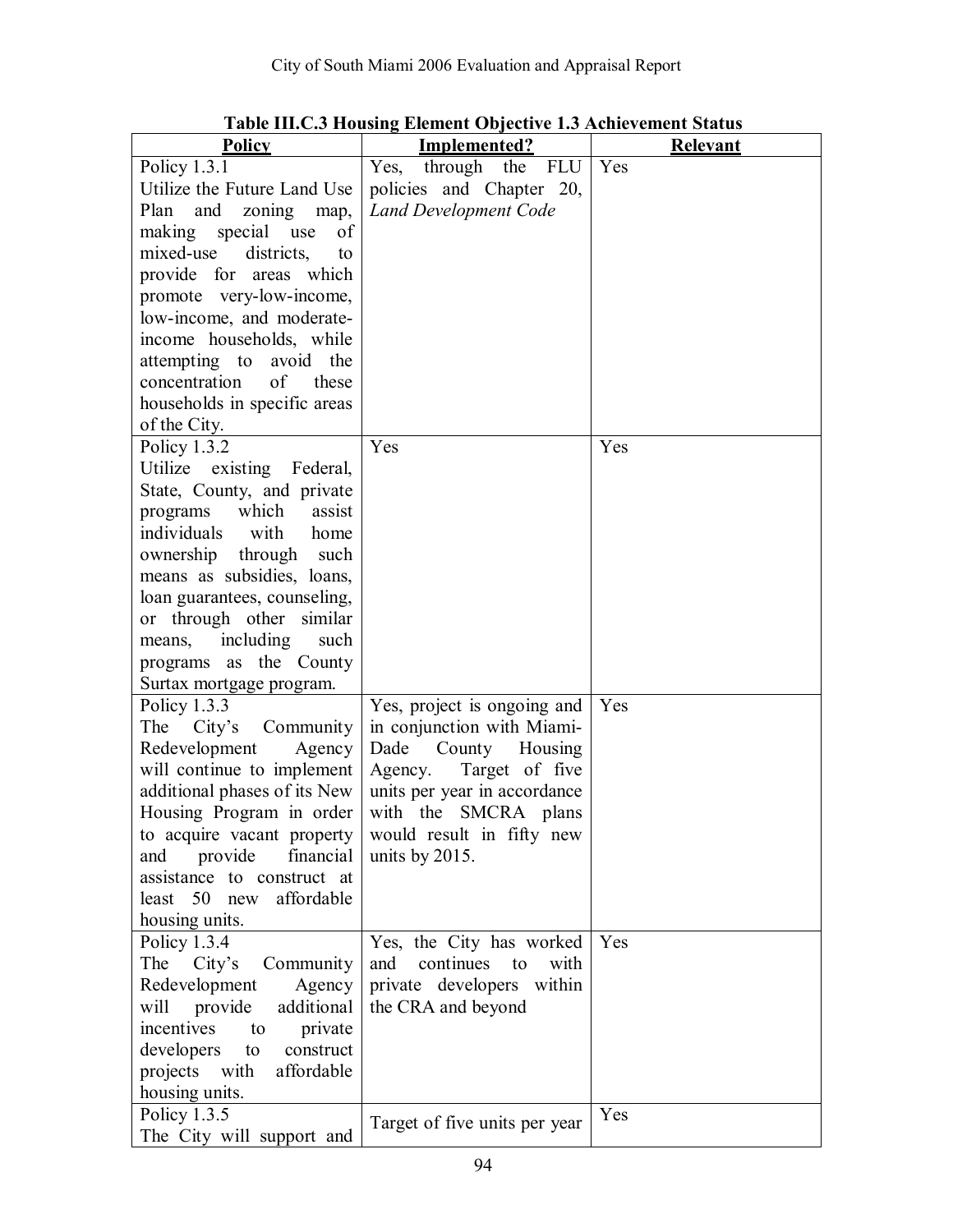| <b>Policy</b>                                      | Implemented?                   | <b>Relevant</b> |
|----------------------------------------------------|--------------------------------|-----------------|
| Policy $1.3.1$                                     | Yes,<br>through the<br>FLU     | Yes             |
| Utilize the Future Land Use                        | policies and Chapter 20,       |                 |
| Plan<br>and<br>zoning<br>map,                      | <b>Land Development Code</b>   |                 |
| of<br>making special use                           |                                |                 |
| mixed-use<br>districts,<br>to                      |                                |                 |
| provide for areas which                            |                                |                 |
| promote very-low-income,                           |                                |                 |
| low-income, and moderate-                          |                                |                 |
| income households, while                           |                                |                 |
| attempting to avoid the                            |                                |                 |
| of<br>concentration<br>these                       |                                |                 |
| households in specific areas                       |                                |                 |
| of the City.                                       |                                |                 |
| Policy 1.3.2                                       | Yes                            | Yes             |
| Utilize<br>existing Federal,                       |                                |                 |
| State, County, and private                         |                                |                 |
| which<br>assist<br>programs                        |                                |                 |
| individuals<br>with<br>home                        |                                |                 |
| ownership<br>through such                          |                                |                 |
| means as subsidies, loans,                         |                                |                 |
| loan guarantees, counseling,                       |                                |                 |
| or through other similar                           |                                |                 |
| means, including<br>such<br>programs as the County |                                |                 |
| Surtax mortgage program.                           |                                |                 |
| Policy 1.3.3                                       | Yes, project is ongoing and    | Yes             |
| The<br>City's<br>Community                         | in conjunction with Miami-     |                 |
| Redevelopment<br>Agency                            | Dade<br>County<br>Housing      |                 |
| will continue to implement                         | Agency. Target of five         |                 |
| additional phases of its New                       | units per year in accordance   |                 |
| Housing Program in order                           | with the SMCRA plans           |                 |
| to acquire vacant property                         | would result in fifty new      |                 |
| and provide<br>financial                           | units by $2015$ .              |                 |
| assistance to construct at                         |                                |                 |
| least 50<br>affordable<br>new                      |                                |                 |
| housing units.                                     |                                |                 |
| Policy 1.3.4                                       | Yes, the City has worked       | Yes             |
| The<br>City's<br>Community                         | continues<br>and<br>to<br>with |                 |
| Redevelopment<br>Agency                            | private developers within      |                 |
| additional<br>provide<br>will                      | the CRA and beyond             |                 |
| incentives<br>private<br>to                        |                                |                 |
| developers<br>construct<br>to                      |                                |                 |
| with<br>projects<br>affordable                     |                                |                 |
| housing units.                                     |                                |                 |
| Policy 1.3.5                                       | Target of five units per year  | Yes             |
| The City will support and                          |                                |                 |

## **Table III.C.3 Housing Element Objective 1.3 Achievement Status**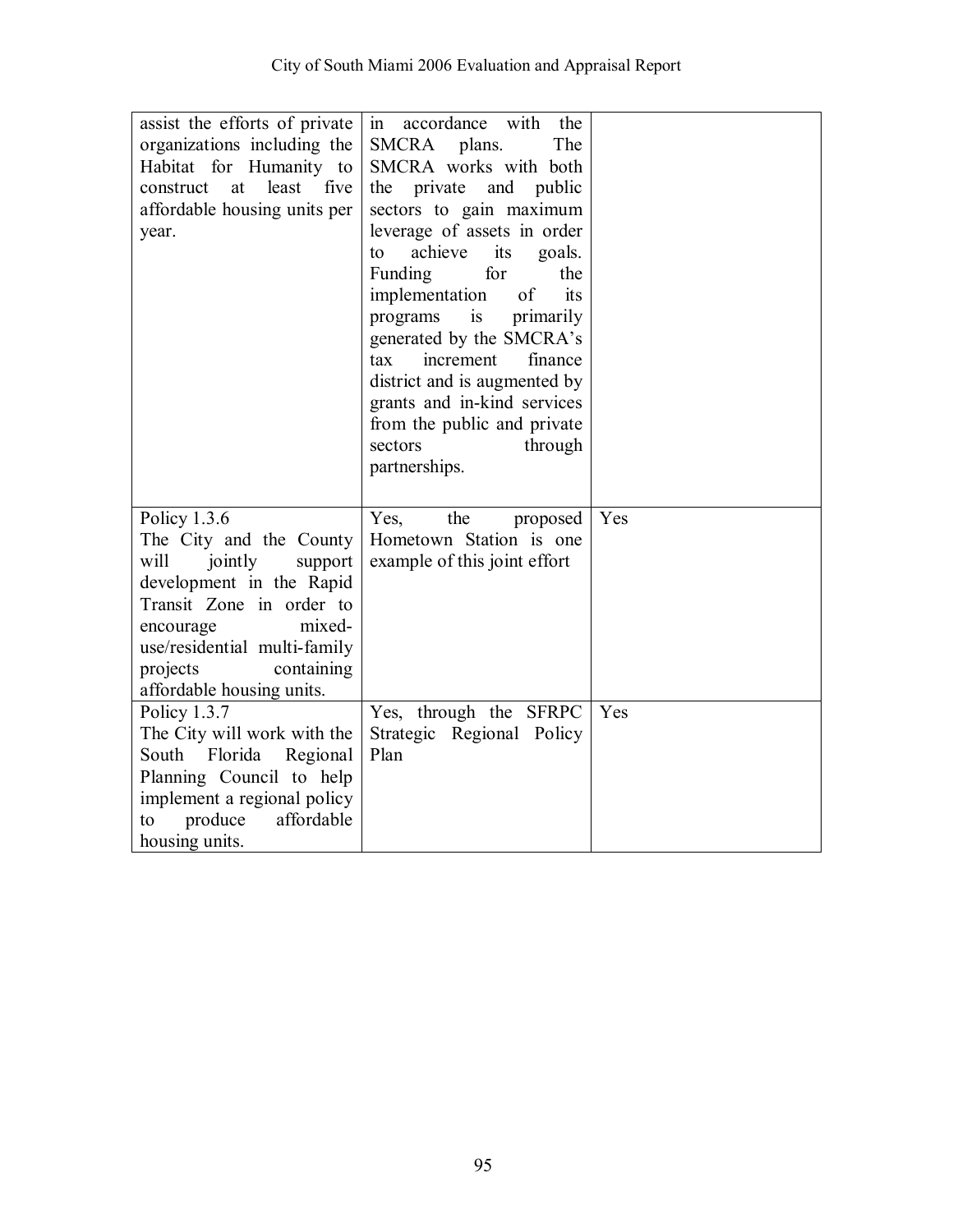| assist the efforts of private    | accordance with<br>the<br>1n   |     |
|----------------------------------|--------------------------------|-----|
| organizations including the      | <b>SMCRA</b><br>plans.<br>The  |     |
| Habitat for Humanity to          | SMCRA works with both          |     |
| least<br>construct<br>at<br>five | the private and public         |     |
| affordable housing units per     | sectors to gain maximum        |     |
| year.                            | leverage of assets in order    |     |
|                                  | achieve<br>its<br>to<br>goals. |     |
|                                  | Funding<br>for<br>the          |     |
|                                  | implementation<br>of<br>its    |     |
|                                  | is<br>programs<br>primarily    |     |
|                                  | generated by the SMCRA's       |     |
|                                  | tax<br>increment<br>finance    |     |
|                                  | district and is augmented by   |     |
|                                  | grants and in-kind services    |     |
|                                  | from the public and private    |     |
|                                  | through<br>sectors             |     |
|                                  | partnerships.                  |     |
|                                  |                                |     |
|                                  |                                |     |
|                                  |                                |     |
| Policy 1.3.6                     | Yes,<br>the<br>proposed        | Yes |
| The City and the County          | Hometown Station is one        |     |
| will<br>jointly<br>support       | example of this joint effort   |     |
| development in the Rapid         |                                |     |
| Transit Zone in order to         |                                |     |
| mixed-<br>encourage              |                                |     |
| use/residential multi-family     |                                |     |
| projects<br>containing           |                                |     |
| affordable housing units.        |                                |     |
| Policy 1.3.7                     | Yes, through the SFRPC         | Yes |
| The City will work with the      | Strategic Regional Policy      |     |
| South<br>Florida<br>Regional     | Plan                           |     |
| Planning Council to help         |                                |     |
| implement a regional policy      |                                |     |
| affordable<br>produce<br>to      |                                |     |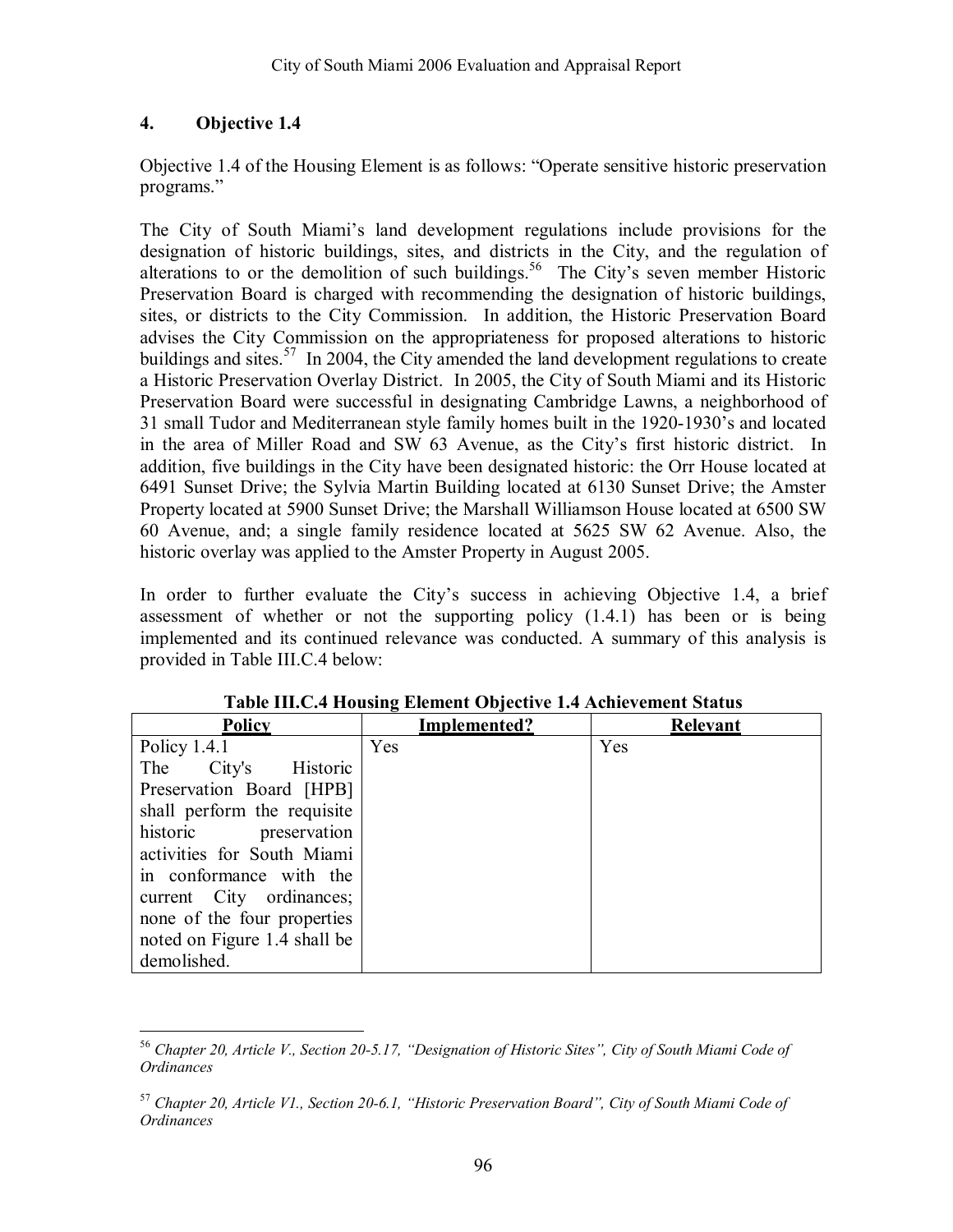Objective 1.4 of the Housing Element is as follows: "Operate sensitive historic preservation programs."

The City of South Miami's land development regulations include provisions for the designation of historic buildings, sites, and districts in the City, and the regulation of alterations to or the demolition of such buildings.<sup>56</sup> The City's seven member Historic Preservation Board is charged with recommending the designation of historic buildings, sites, or districts to the City Commission. In addition, the Historic Preservation Board advises the City Commission on the appropriateness for proposed alterations to historic buildings and sites.<sup>57</sup> In 2004, the City amended the land development regulations to create a Historic Preservation Overlay District. In 2005, the City of South Miami and its Historic Preservation Board were successful in designating Cambridge Lawns, a neighborhood of 31 small Tudor and Mediterranean style family homes built in the 1920-1930's and located in the area of Miller Road and SW 63 Avenue, as the City's first historic district. In addition, five buildings in the City have been designated historic: the Orr House located at 6491 Sunset Drive; the Sylvia Martin Building located at 6130 Sunset Drive; the Amster Property located at 5900 Sunset Drive; the Marshall Williamson House located at 6500 SW 60 Avenue, and; a single family residence located at 5625 SW 62 Avenue. Also, the historic overlay was applied to the Amster Property in August 2005.

In order to further evaluate the Cityís success in achieving Objective 1.4, a brief assessment of whether or not the supporting policy (1.4.1) has been or is being implemented and its continued relevance was conducted. A summary of this analysis is provided in Table III.C.4 below:

| <b>Policy</b>                | -<br>Implemented? | <b>Relevant</b> |
|------------------------------|-------------------|-----------------|
| Policy $1.4.1$               | Yes               | Yes             |
| City's<br>Historic<br>The    |                   |                 |
| Preservation Board [HPB]     |                   |                 |
| shall perform the requisite  |                   |                 |
| historic preservation        |                   |                 |
| activities for South Miami   |                   |                 |
| in conformance with the      |                   |                 |
| current City ordinances;     |                   |                 |
| none of the four properties  |                   |                 |
| noted on Figure 1.4 shall be |                   |                 |
| demolished.                  |                   |                 |

**Table III.C.4 Housing Element Objective 1.4 Achievement Status** 

 $\overline{a}$ <sup>56</sup> Chapter 20, Article V., Section 20-5.17, "Designation of Historic Sites", City of South Miami Code of *Ordinances*

<sup>&</sup>lt;sup>57</sup> Chapter 20, Article V1., Section 20-6.1, "Historic Preservation Board", City of South Miami Code of *Ordinances*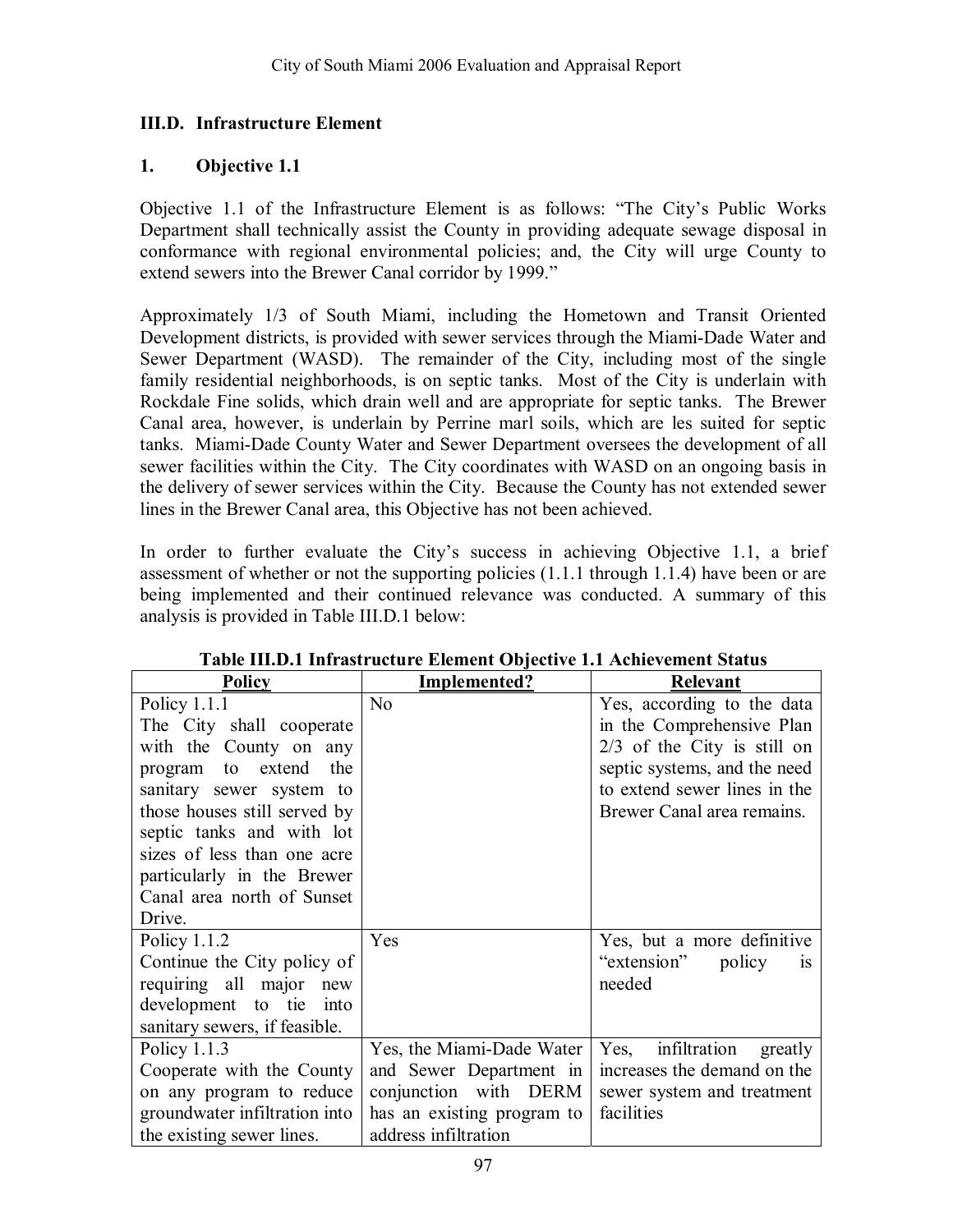### **III.D. Infrastructure Element**

#### **1. Objective 1.1**

Objective 1.1 of the Infrastructure Element is as follows: "The City's Public Works Department shall technically assist the County in providing adequate sewage disposal in conformance with regional environmental policies; and, the City will urge County to extend sewers into the Brewer Canal corridor by 1999."

Approximately 1/3 of South Miami, including the Hometown and Transit Oriented Development districts, is provided with sewer services through the Miami-Dade Water and Sewer Department (WASD). The remainder of the City, including most of the single family residential neighborhoods, is on septic tanks. Most of the City is underlain with Rockdale Fine solids, which drain well and are appropriate for septic tanks. The Brewer Canal area, however, is underlain by Perrine marl soils, which are les suited for septic tanks. Miami-Dade County Water and Sewer Department oversees the development of all sewer facilities within the City. The City coordinates with WASD on an ongoing basis in the delivery of sewer services within the City. Because the County has not extended sewer lines in the Brewer Canal area, this Objective has not been achieved.

In order to further evaluate the Cityís success in achieving Objective 1.1, a brief assessment of whether or not the supporting policies (1.1.1 through 1.1.4) have been or are being implemented and their continued relevance was conducted. A summary of this analysis is provided in Table III.D.1 below:

| Policy                        | Implemented?               | <b>Relevant</b>               |
|-------------------------------|----------------------------|-------------------------------|
| Policy $1.1.1$                | N <sub>0</sub>             | Yes, according to the data    |
| The City shall cooperate      |                            | in the Comprehensive Plan     |
| with the County on any        |                            | $2/3$ of the City is still on |
| program to extend the         |                            | septic systems, and the need  |
| sanitary sewer system to      |                            | to extend sewer lines in the  |
| those houses still served by  |                            | Brewer Canal area remains.    |
| septic tanks and with lot     |                            |                               |
| sizes of less than one acre   |                            |                               |
| particularly in the Brewer    |                            |                               |
| Canal area north of Sunset    |                            |                               |
| Drive.                        |                            |                               |
| Policy $1.1.2$                | Yes                        | Yes, but a more definitive    |
| Continue the City policy of   |                            | "extension"<br>policy<br>1S   |
| requiring all major new       |                            | needed                        |
| development to tie<br>- into  |                            |                               |
| sanitary sewers, if feasible. |                            |                               |
| Policy $1.1.3$                | Yes, the Miami-Dade Water  | Yes, infiltration<br>greatly  |
| Cooperate with the County     | and Sewer Department in    | increases the demand on the   |
| on any program to reduce      | conjunction with DERM      | sewer system and treatment    |
| groundwater infiltration into | has an existing program to | facilities                    |
| the existing sewer lines.     | address infiltration       |                               |

**Table III.D.1 Infrastructure Element Objective 1.1 Achievement Status**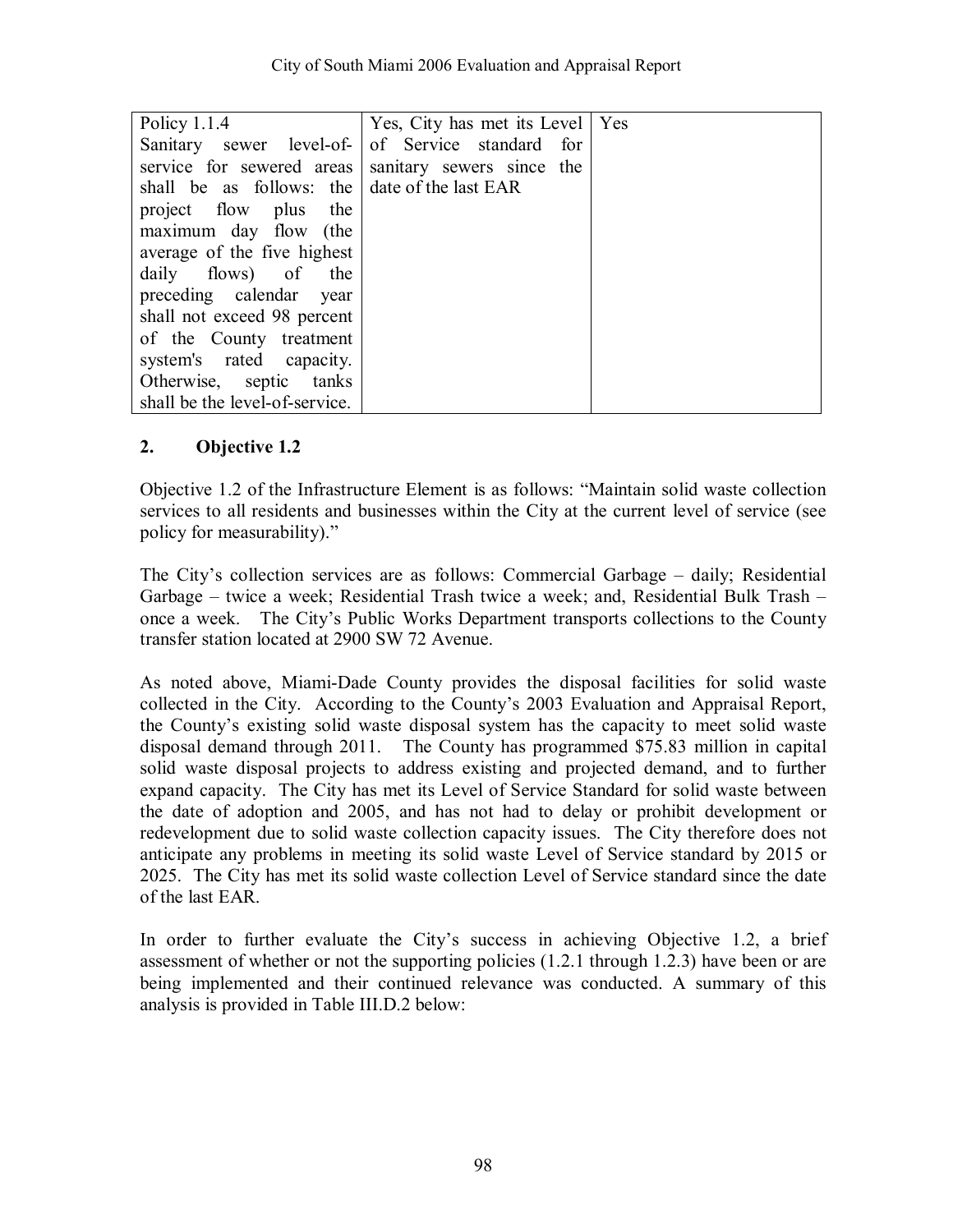| Policy $1.1.4$                                      | Yes, City has met its Level   Yes                |  |
|-----------------------------------------------------|--------------------------------------------------|--|
|                                                     | Sanitary sewer level-of- of Service standard for |  |
| service for sewered areas sanitary sewers since the |                                                  |  |
| shall be as follows: the date of the last EAR       |                                                  |  |
| project flow plus<br>the                            |                                                  |  |
| maximum day flow (the                               |                                                  |  |
| average of the five highest                         |                                                  |  |
| daily flows) of the                                 |                                                  |  |
| preceding calendar year                             |                                                  |  |
| shall not exceed 98 percent                         |                                                  |  |
| of the County treatment                             |                                                  |  |
| system's rated capacity.                            |                                                  |  |
| Otherwise, septic tanks                             |                                                  |  |
| shall be the level-of-service.                      |                                                  |  |

Objective 1.2 of the Infrastructure Element is as follows: "Maintain solid waste collection services to all residents and businesses within the City at the current level of service (see policy for measurability)."

The City's collection services are as follows: Commercial Garbage – daily; Residential Garbage – twice a week; Residential Trash twice a week; and, Residential Bulk Trash – once a week. The City's Public Works Department transports collections to the County transfer station located at 2900 SW 72 Avenue.

As noted above, Miami-Dade County provides the disposal facilities for solid waste collected in the City. According to the Countyís 2003 Evaluation and Appraisal Report, the Countyís existing solid waste disposal system has the capacity to meet solid waste disposal demand through 2011. The County has programmed \$75.83 million in capital solid waste disposal projects to address existing and projected demand, and to further expand capacity. The City has met its Level of Service Standard for solid waste between the date of adoption and 2005, and has not had to delay or prohibit development or redevelopment due to solid waste collection capacity issues. The City therefore does not anticipate any problems in meeting its solid waste Level of Service standard by 2015 or 2025. The City has met its solid waste collection Level of Service standard since the date of the last EAR.

In order to further evaluate the City's success in achieving Objective 1.2, a brief assessment of whether or not the supporting policies (1.2.1 through 1.2.3) have been or are being implemented and their continued relevance was conducted. A summary of this analysis is provided in Table III.D.2 below: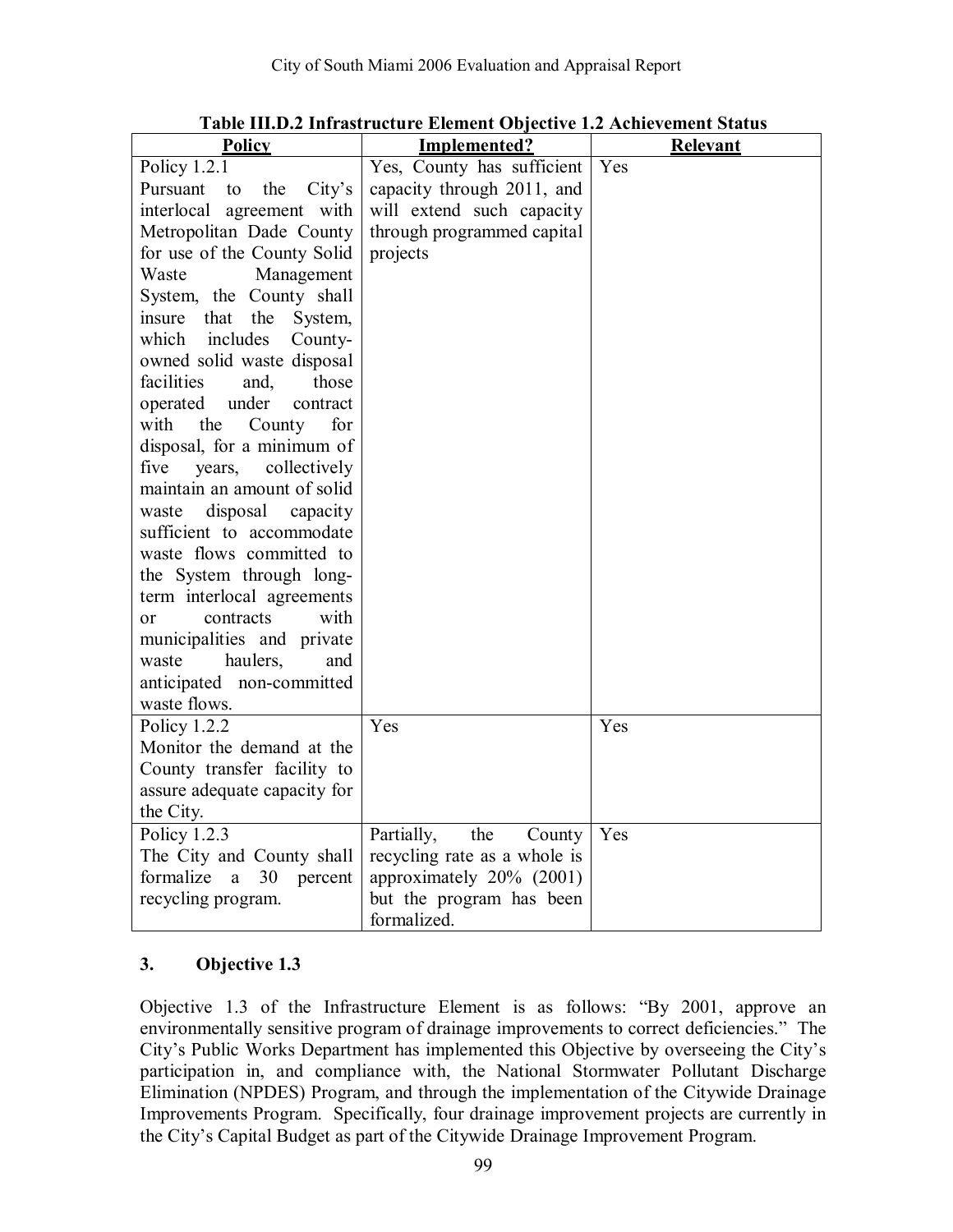| <b>Policy</b>                                               | Implemented?                           | Relevant |
|-------------------------------------------------------------|----------------------------------------|----------|
| Policy 1.2.1                                                | Yes, County has sufficient             | Yes      |
| Pursuant<br>the<br>City's<br>to                             | capacity through 2011, and             |          |
| interlocal agreement with                                   | will extend such capacity              |          |
| Metropolitan Dade County                                    | through programmed capital             |          |
| for use of the County Solid                                 | projects                               |          |
| Waste<br>Management                                         |                                        |          |
| System, the County shall                                    |                                        |          |
| that<br>the<br>insure<br>System,                            |                                        |          |
| includes<br>which<br>County-                                |                                        |          |
| owned solid waste disposal                                  |                                        |          |
| facilities<br>and,<br>those                                 |                                        |          |
| under<br>operated<br>contract                               |                                        |          |
| with<br>the<br>County<br>for                                |                                        |          |
| disposal, for a minimum of                                  |                                        |          |
| five<br>collectively<br>years,                              |                                        |          |
| maintain an amount of solid                                 |                                        |          |
| disposal<br>capacity<br>waste                               |                                        |          |
| sufficient to accommodate                                   |                                        |          |
| waste flows committed to                                    |                                        |          |
| the System through long-                                    |                                        |          |
| term interlocal agreements                                  |                                        |          |
| with<br>contracts<br>0r                                     |                                        |          |
| municipalities and private                                  |                                        |          |
| haulers.<br>waste<br>and                                    |                                        |          |
| anticipated non-committed                                   |                                        |          |
| waste flows.                                                | Yes                                    | Yes      |
| Policy 1.2.2<br>Monitor the demand at the                   |                                        |          |
|                                                             |                                        |          |
| County transfer facility to<br>assure adequate capacity for |                                        |          |
| the City.                                                   |                                        |          |
| Policy $1.2.3$                                              | the<br>Partially,                      | Yes      |
| The City and County shall                                   | County<br>recycling rate as a whole is |          |
| formalize<br>30<br>a<br>percent                             | approximately 20% (2001)               |          |
| recycling program.                                          | but the program has been               |          |
| formalized.                                                 |                                        |          |

**Table III.D.2 Infrastructure Element Objective 1.2 Achievement Status** 

Objective 1.3 of the Infrastructure Element is as follows:  $\text{``By 2001, approve an}$ environmentally sensitive program of drainage improvements to correct deficiencies." The City's Public Works Department has implemented this Objective by overseeing the City's participation in, and compliance with, the National Stormwater Pollutant Discharge Elimination (NPDES) Program, and through the implementation of the Citywide Drainage Improvements Program. Specifically, four drainage improvement projects are currently in the City's Capital Budget as part of the Citywide Drainage Improvement Program.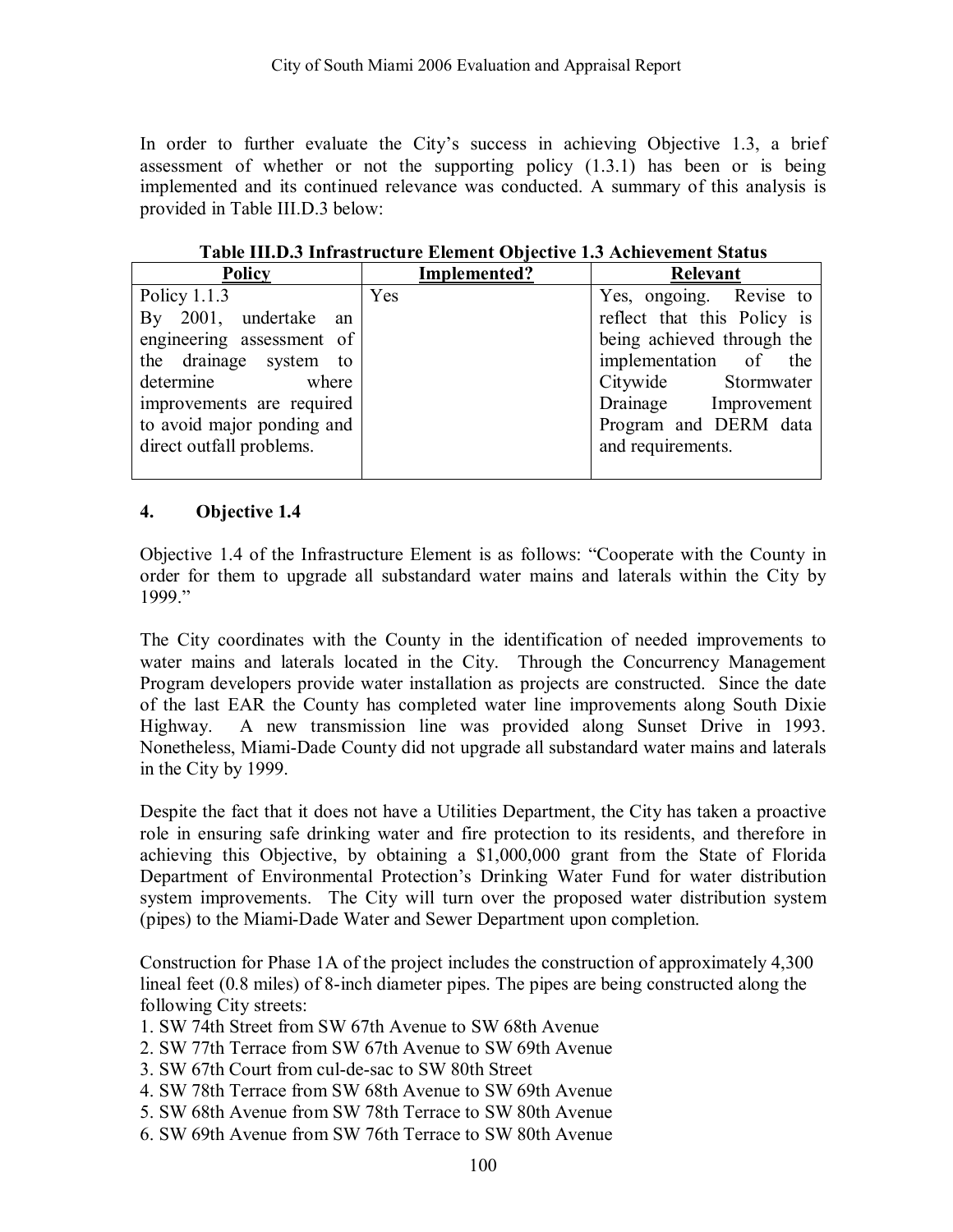In order to further evaluate the City's success in achieving Objective 1.3, a brief assessment of whether or not the supporting policy (1.3.1) has been or is being implemented and its continued relevance was conducted. A summary of this analysis is provided in Table III.D.3 below:

| Policy                     | Implemented? | Relevant                    |
|----------------------------|--------------|-----------------------------|
| Policy $1.1.3$             | Yes          | Yes, ongoing. Revise to     |
| By 2001, undertake an      |              | reflect that this Policy is |
| engineering assessment of  |              | being achieved through the  |
| the drainage system to     |              | implementation of the       |
| determine<br>where         |              | Citywide Stormwater         |
| improvements are required  |              | Drainage Improvement        |
| to avoid major ponding and |              | Program and DERM data       |
| direct outfall problems.   |              | and requirements.           |
|                            |              |                             |

**Table III.D.3 Infrastructure Element Objective 1.3 Achievement Status** 

#### **4. Objective 1.4**

Objective 1.4 of the Infrastructure Element is as follows: "Cooperate with the County in order for them to upgrade all substandard water mains and laterals within the City by 1999."

The City coordinates with the County in the identification of needed improvements to water mains and laterals located in the City. Through the Concurrency Management Program developers provide water installation as projects are constructed. Since the date of the last EAR the County has completed water line improvements along South Dixie Highway. A new transmission line was provided along Sunset Drive in 1993. Nonetheless, Miami-Dade County did not upgrade all substandard water mains and laterals in the City by 1999.

Despite the fact that it does not have a Utilities Department, the City has taken a proactive role in ensuring safe drinking water and fire protection to its residents, and therefore in achieving this Objective, by obtaining a \$1,000,000 grant from the State of Florida Department of Environmental Protection's Drinking Water Fund for water distribution system improvements. The City will turn over the proposed water distribution system (pipes) to the Miami-Dade Water and Sewer Department upon completion.

Construction for Phase 1A of the project includes the construction of approximately 4,300 lineal feet (0.8 miles) of 8-inch diameter pipes. The pipes are being constructed along the following City streets:

- 1. SW 74th Street from SW 67th Avenue to SW 68th Avenue
- 2. SW 77th Terrace from SW 67th Avenue to SW 69th Avenue
- 3. SW 67th Court from cul-de-sac to SW 80th Street
- 4. SW 78th Terrace from SW 68th Avenue to SW 69th Avenue
- 5. SW 68th Avenue from SW 78th Terrace to SW 80th Avenue
- 6. SW 69th Avenue from SW 76th Terrace to SW 80th Avenue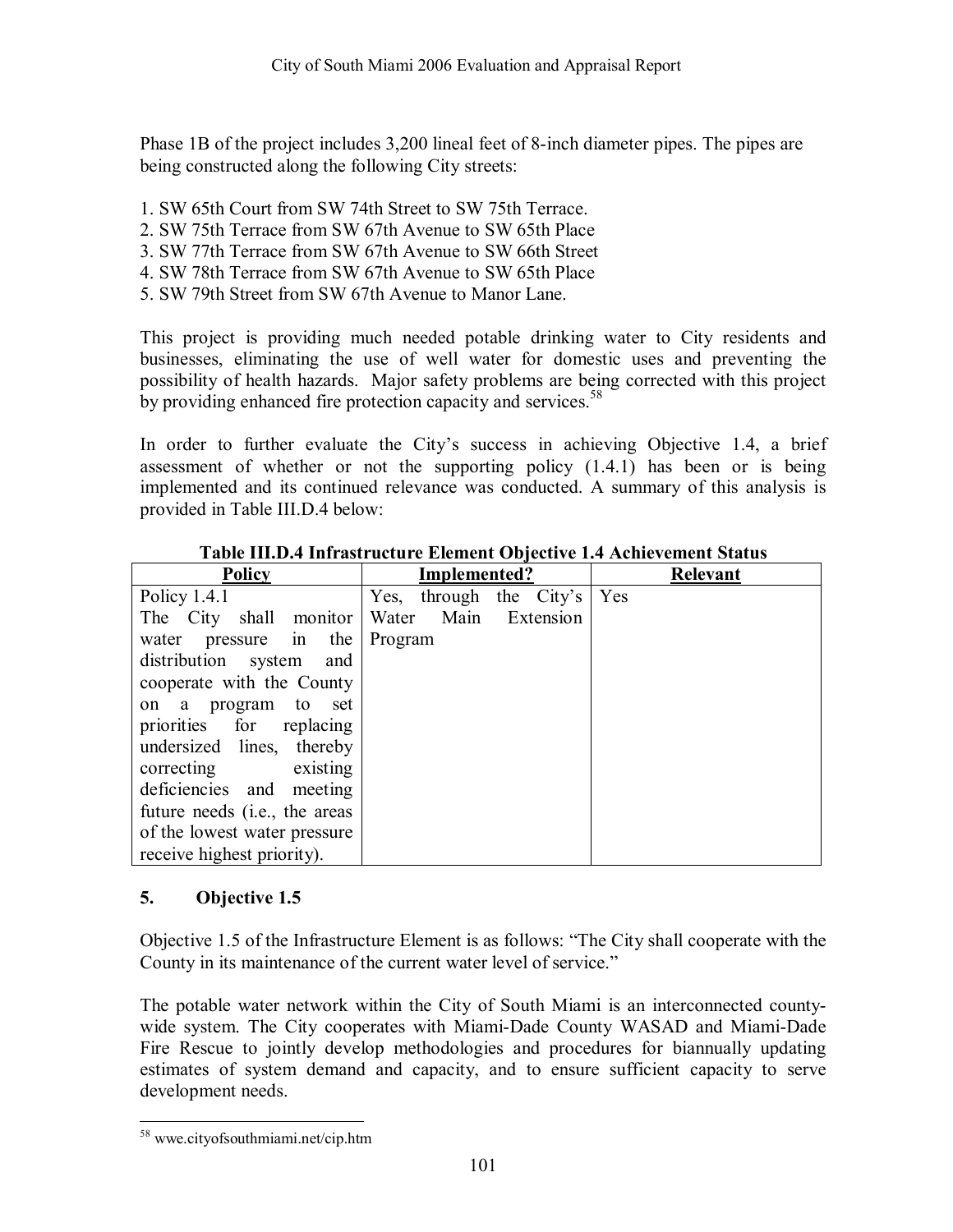Phase 1B of the project includes 3,200 lineal feet of 8-inch diameter pipes. The pipes are being constructed along the following City streets:

- 1. SW 65th Court from SW 74th Street to SW 75th Terrace.
- 2. SW 75th Terrace from SW 67th Avenue to SW 65th Place
- 3. SW 77th Terrace from SW 67th Avenue to SW 66th Street
- 4. SW 78th Terrace from SW 67th Avenue to SW 65th Place
- 5. SW 79th Street from SW 67th Avenue to Manor Lane.

This project is providing much needed potable drinking water to City residents and businesses, eliminating the use of well water for domestic uses and preventing the possibility of health hazards. Major safety problems are being corrected with this project by providing enhanced fire protection capacity and services.<sup>58</sup>

In order to further evaluate the City's success in achieving Objective 1.4, a brief assessment of whether or not the supporting policy (1.4.1) has been or is being implemented and its continued relevance was conducted. A summary of this analysis is provided in Table III.D.4 below:

| <b>Policy</b>                          | Implemented?               | <b>Relevant</b> |
|----------------------------------------|----------------------------|-----------------|
| Policy $1.4.1$                         | Yes, through the City's    | Yes             |
| The City shall monitor                 | Water<br>Main<br>Extension |                 |
| pressure in the<br>water               | Program                    |                 |
| distribution system<br>and             |                            |                 |
| cooperate with the County              |                            |                 |
| on a program to<br>set                 |                            |                 |
| priorities for replacing               |                            |                 |
| undersized lines, thereby              |                            |                 |
| correcting<br>existing                 |                            |                 |
| deficiencies and meeting               |                            |                 |
| future needs ( <i>i.e.</i> , the areas |                            |                 |
| of the lowest water pressure           |                            |                 |
| receive highest priority).             |                            |                 |

#### **Table III.D.4 Infrastructure Element Objective 1.4 Achievement Status**

#### **5. Objective 1.5**

Objective 1.5 of the Infrastructure Element is as follows: "The City shall cooperate with the County in its maintenance of the current water level of service."

The potable water network within the City of South Miami is an interconnected countywide system. The City cooperates with Miami-Dade County WASAD and Miami-Dade Fire Rescue to jointly develop methodologies and procedures for biannually updating estimates of system demand and capacity, and to ensure sufficient capacity to serve development needs.

 $\overline{a}$ 58 wwe.cityofsouthmiami.net/cip.htm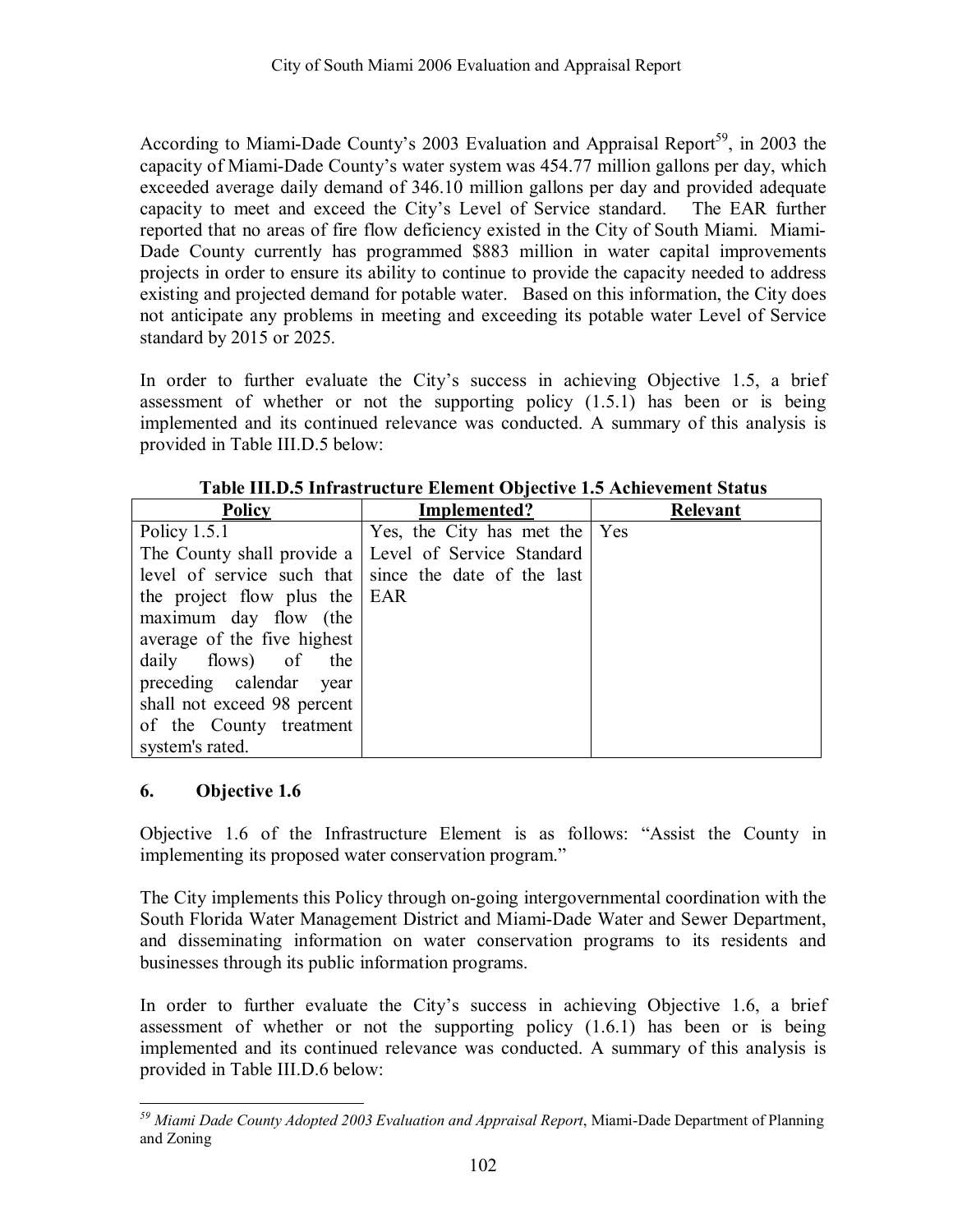According to Miami-Dade County's 2003 Evaluation and Appraisal Report<sup>59</sup>, in 2003 the capacity of Miami-Dade County's water system was 454.77 million gallons per day, which exceeded average daily demand of 346.10 million gallons per day and provided adequate capacity to meet and exceed the City's Level of Service standard. The EAR further reported that no areas of fire flow deficiency existed in the City of South Miami. Miami-Dade County currently has programmed \$883 million in water capital improvements projects in order to ensure its ability to continue to provide the capacity needed to address existing and projected demand for potable water. Based on this information, the City does not anticipate any problems in meeting and exceeding its potable water Level of Service standard by 2015 or 2025.

In order to further evaluate the Cityís success in achieving Objective 1.5, a brief assessment of whether or not the supporting policy (1.5.1) has been or is being implemented and its continued relevance was conducted. A summary of this analysis is provided in Table III.D.5 below:

| <b>Policy</b>                                        | Implemented?                                          | <b>Relevant</b> |
|------------------------------------------------------|-------------------------------------------------------|-----------------|
| Policy $1.5.1$                                       | Yes, the City has met the Yes                         |                 |
| The County shall provide a Level of Service Standard |                                                       |                 |
|                                                      | level of service such that since the date of the last |                 |
| the project flow plus the EAR                        |                                                       |                 |
| maximum day flow (the                                |                                                       |                 |
| average of the five highest                          |                                                       |                 |
| daily flows) of the                                  |                                                       |                 |
| preceding calendar year                              |                                                       |                 |
| shall not exceed 98 percent                          |                                                       |                 |
| of the County treatment                              |                                                       |                 |
| system's rated.                                      |                                                       |                 |

#### **6. Objective 1.6**

Objective 1.6 of the Infrastructure Element is as follows: "Assist the County in implementing its proposed water conservation program."

The City implements this Policy through on-going intergovernmental coordination with the South Florida Water Management District and Miami-Dade Water and Sewer Department, and disseminating information on water conservation programs to its residents and businesses through its public information programs.

In order to further evaluate the Cityís success in achieving Objective 1.6, a brief assessment of whether or not the supporting policy (1.6.1) has been or is being implemented and its continued relevance was conducted. A summary of this analysis is provided in Table III.D.6 below:

 $\overline{a}$ *59 Miami Dade County Adopted 2003 Evaluation and Appraisal Report*, Miami-Dade Department of Planning and Zoning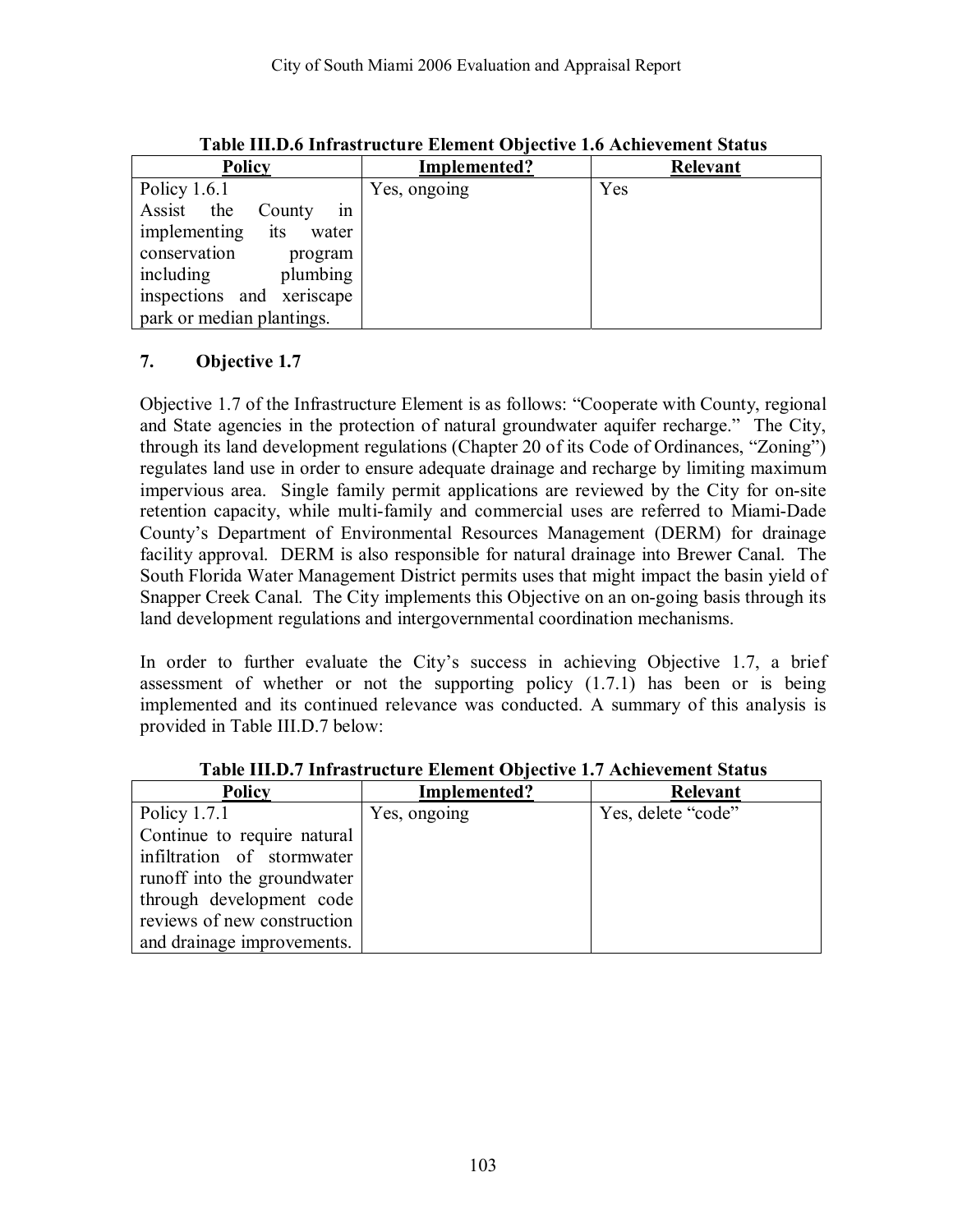| <b>Policy</b>                | Implemented? | <b>Relevant</b> |
|------------------------------|--------------|-----------------|
| Policy $1.6.1$               | Yes, ongoing | Yes             |
| Assist the<br>County<br>1n   |              |                 |
| implementing<br>its<br>water |              |                 |
| conservation<br>program      |              |                 |
| plumbing<br>including        |              |                 |
| inspections and xeriscape    |              |                 |
| park or median plantings.    |              |                 |

**Table III.D.6 Infrastructure Element Objective 1.6 Achievement Status** 

Objective 1.7 of the Infrastructure Element is as follows: "Cooperate with County, regional and State agencies in the protection of natural groundwater aquifer recharge." The City, through its land development regulations (Chapter 20 of its Code of Ordinances, "Zoning") regulates land use in order to ensure adequate drainage and recharge by limiting maximum impervious area. Single family permit applications are reviewed by the City for on-site retention capacity, while multi-family and commercial uses are referred to Miami-Dade Countyís Department of Environmental Resources Management (DERM) for drainage facility approval. DERM is also responsible for natural drainage into Brewer Canal. The South Florida Water Management District permits uses that might impact the basin yield of Snapper Creek Canal. The City implements this Objective on an on-going basis through its land development regulations and intergovernmental coordination mechanisms.

In order to further evaluate the Cityís success in achieving Objective 1.7, a brief assessment of whether or not the supporting policy (1.7.1) has been or is being implemented and its continued relevance was conducted. A summary of this analysis is provided in Table III.D.7 below:

| <b>Policy</b>               | Implemented? | <b>Relevant</b>    |
|-----------------------------|--------------|--------------------|
| Policy $1.7.1$              | Yes, ongoing | Yes, delete "code" |
| Continue to require natural |              |                    |
| infiltration of stormwater  |              |                    |
| runoff into the groundwater |              |                    |
| through development code    |              |                    |
| reviews of new construction |              |                    |
| and drainage improvements.  |              |                    |

**Table III.D.7 Infrastructure Element Objective 1.7 Achievement Status**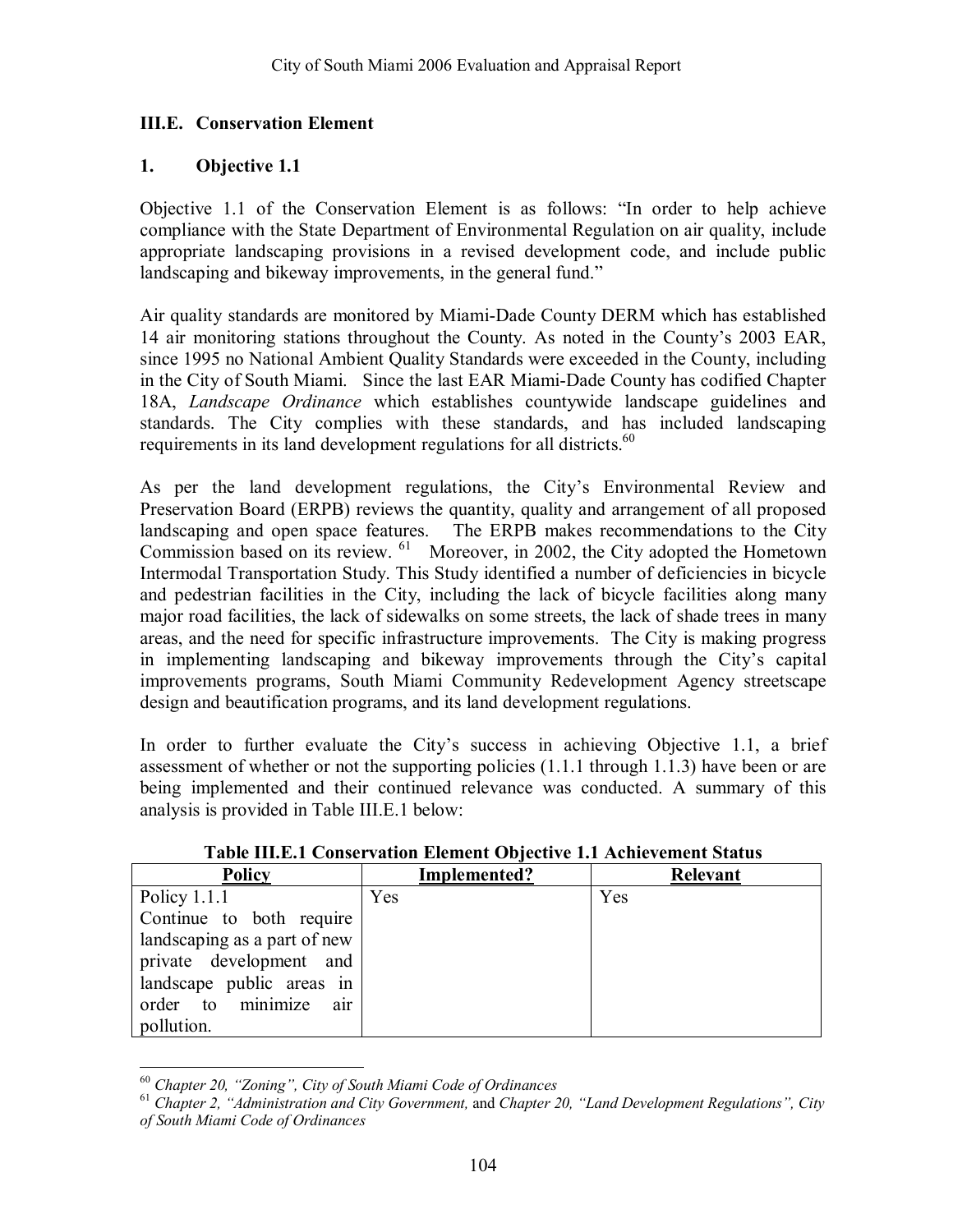#### **III.E. Conservation Element**

#### **1. Objective 1.1**

Objective 1.1 of the Conservation Element is as follows:  $\hat{I}$  order to help achieve compliance with the State Department of Environmental Regulation on air quality, include appropriate landscaping provisions in a revised development code, and include public landscaping and bikeway improvements, in the general fund."

Air quality standards are monitored by Miami-Dade County DERM which has established 14 air monitoring stations throughout the County. As noted in the County's 2003 EAR, since 1995 no National Ambient Quality Standards were exceeded in the County, including in the City of South Miami. Since the last EAR Miami-Dade County has codified Chapter 18A, *Landscape Ordinance* which establishes countywide landscape guidelines and standards. The City complies with these standards, and has included landscaping requirements in its land development regulations for all districts.<sup>60</sup>

As per the land development regulations, the City's Environmental Review and Preservation Board (ERPB) reviews the quantity, quality and arrangement of all proposed landscaping and open space features. The ERPB makes recommendations to the City Commission based on its review. 61 Moreover, in 2002, the City adopted the Hometown Intermodal Transportation Study. This Study identified a number of deficiencies in bicycle and pedestrian facilities in the City, including the lack of bicycle facilities along many major road facilities, the lack of sidewalks on some streets, the lack of shade trees in many areas, and the need for specific infrastructure improvements. The City is making progress in implementing landscaping and bikeway improvements through the City's capital improvements programs, South Miami Community Redevelopment Agency streetscape design and beautification programs, and its land development regulations.

In order to further evaluate the City's success in achieving Objective 1.1, a brief assessment of whether or not the supporting policies (1.1.1 through 1.1.3) have been or are being implemented and their continued relevance was conducted. A summary of this analysis is provided in Table III.E.1 below:

| <b>Policy</b>                | Implemented? | <b>Relevant</b> |
|------------------------------|--------------|-----------------|
|                              |              |                 |
| Policy $1.1.1$               | Yes          | Yes             |
| Continue to both require     |              |                 |
| landscaping as a part of new |              |                 |
| private development and      |              |                 |
| landscape public areas in    |              |                 |
| order to minimize<br>air     |              |                 |
| pollution.                   |              |                 |

**Table III.E.1 Conservation Element Objective 1.1 Achievement Status** 

 $60$  Chapter 20, "Zoning", City of South Miami Code of Ordinances

<sup>&</sup>lt;sup>61</sup> Chapter 2, "Administration and City Government, and Chapter 20, "Land Development Regulations", City *of South Miami Code of Ordinances*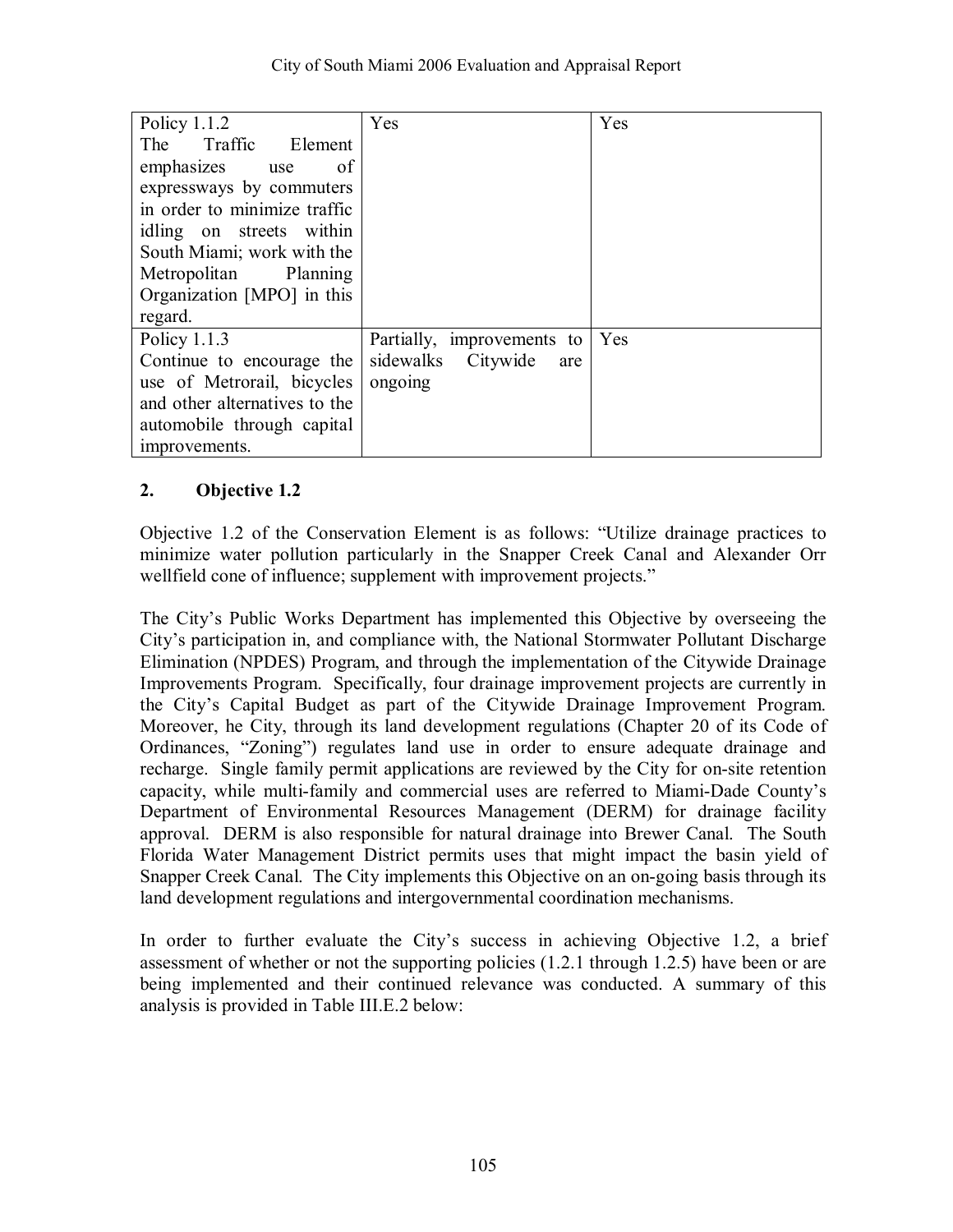| Policy $1.1.2$                | Yes                        | Yes |
|-------------------------------|----------------------------|-----|
| The Traffic Element           |                            |     |
| emphasizes<br>of<br>use       |                            |     |
| expressways by commuters      |                            |     |
| in order to minimize traffic  |                            |     |
| idling on streets within      |                            |     |
| South Miami; work with the    |                            |     |
| Metropolitan Planning         |                            |     |
| Organization [MPO] in this    |                            |     |
| regard.                       |                            |     |
| Policy $1.1.3$                | Partially, improvements to | Yes |
| Continue to encourage the     | sidewalks Citywide<br>are  |     |
| use of Metrorail, bicycles    | ongoing                    |     |
| and other alternatives to the |                            |     |
| automobile through capital    |                            |     |
| improvements.                 |                            |     |

Objective 1.2 of the Conservation Element is as follows: "Utilize drainage practices to minimize water pollution particularly in the Snapper Creek Canal and Alexander Orr wellfield cone of influence; supplement with improvement projects."

The Cityís Public Works Department has implemented this Objective by overseeing the City's participation in, and compliance with, the National Stormwater Pollutant Discharge Elimination (NPDES) Program, and through the implementation of the Citywide Drainage Improvements Program. Specifically, four drainage improvement projects are currently in the Cityís Capital Budget as part of the Citywide Drainage Improvement Program. Moreover, he City, through its land development regulations (Chapter 20 of its Code of Ordinances, "Zoning") regulates land use in order to ensure adequate drainage and recharge. Single family permit applications are reviewed by the City for on-site retention capacity, while multi-family and commercial uses are referred to Miami-Dade Countyís Department of Environmental Resources Management (DERM) for drainage facility approval. DERM is also responsible for natural drainage into Brewer Canal. The South Florida Water Management District permits uses that might impact the basin yield of Snapper Creek Canal. The City implements this Objective on an on-going basis through its land development regulations and intergovernmental coordination mechanisms.

In order to further evaluate the City's success in achieving Objective 1.2, a brief assessment of whether or not the supporting policies (1.2.1 through 1.2.5) have been or are being implemented and their continued relevance was conducted. A summary of this analysis is provided in Table III.E.2 below: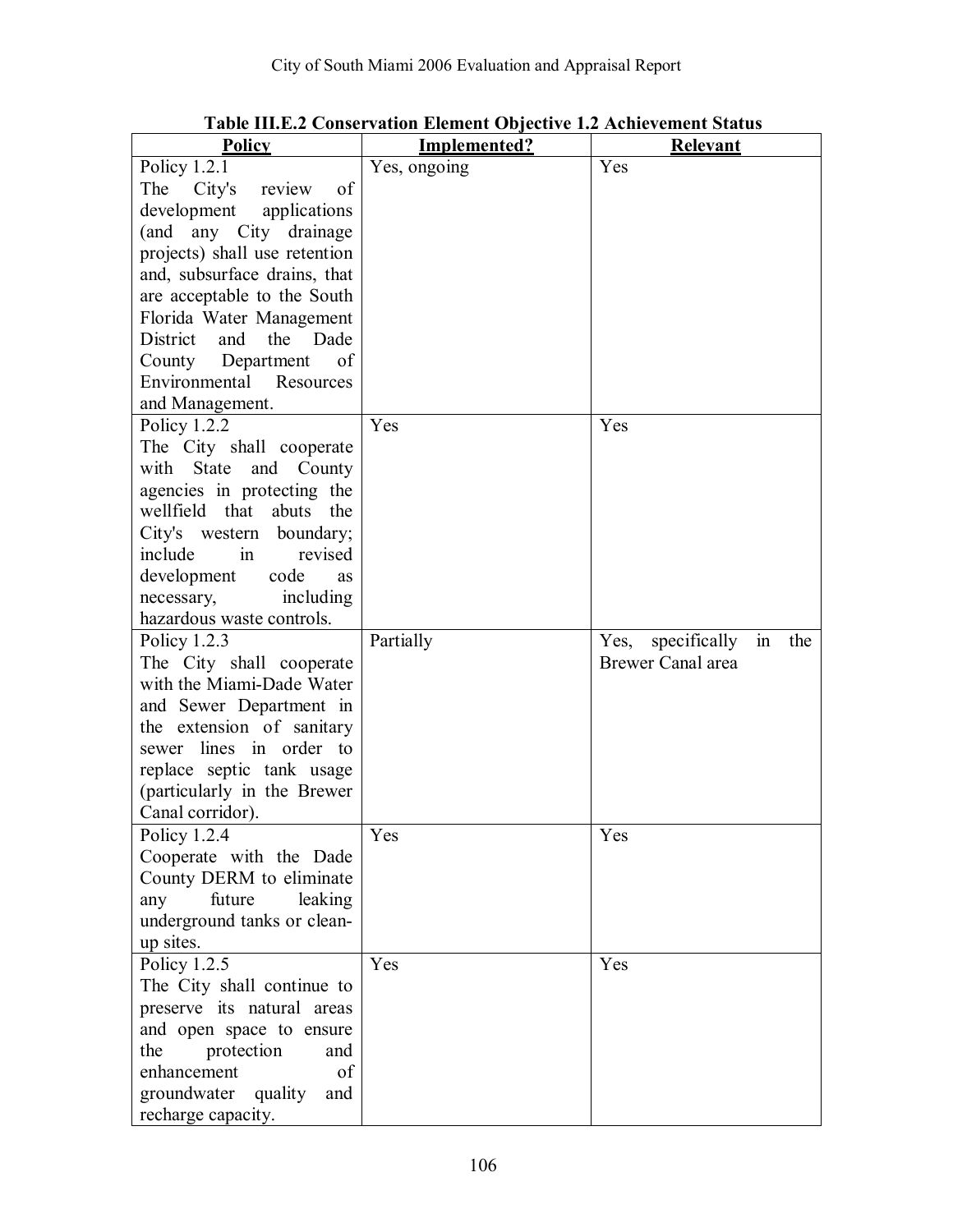| <b>Policy</b>                  | Implemented? | Relevant                           |
|--------------------------------|--------------|------------------------------------|
| Policy 1.2.1                   | Yes, ongoing | Yes                                |
| of<br>The<br>City's<br>review  |              |                                    |
| development<br>applications    |              |                                    |
| (and any City drainage         |              |                                    |
| projects) shall use retention  |              |                                    |
| and, subsurface drains, that   |              |                                    |
| are acceptable to the South    |              |                                    |
| Florida Water Management       |              |                                    |
| and<br>the<br>District<br>Dade |              |                                    |
| Department<br>County<br>of     |              |                                    |
| Environmental Resources        |              |                                    |
| and Management.                |              |                                    |
| Policy $1.2.2$                 | Yes          | Yes                                |
| The City shall cooperate       |              |                                    |
| State<br>and<br>County<br>with |              |                                    |
| agencies in protecting the     |              |                                    |
| wellfield that<br>abuts the    |              |                                    |
| City's western boundary;       |              |                                    |
| in<br>include<br>revised       |              |                                    |
| development<br>code<br>as      |              |                                    |
| including<br>necessary,        |              |                                    |
| hazardous waste controls.      |              |                                    |
| Policy $1.2.3$                 | Partially    | Yes, specifically<br>$\sin$<br>the |
| The City shall cooperate       |              | Brewer Canal area                  |
| with the Miami-Dade Water      |              |                                    |
| and Sewer Department in        |              |                                    |
| the extension of sanitary      |              |                                    |
| sewer lines in order to        |              |                                    |
| replace septic tank usage      |              |                                    |
| (particularly in the Brewer    |              |                                    |
| Canal corridor).               |              |                                    |
| Policy $1.2.4$                 | Yes          | Yes                                |
| Cooperate with the Dade        |              |                                    |
| County DERM to eliminate       |              |                                    |
| future<br>leaking<br>any       |              |                                    |
| underground tanks or clean-    |              |                                    |
| up sites.                      |              |                                    |
| Policy 1.2.5                   | Yes          | Yes                                |
| The City shall continue to     |              |                                    |
| preserve its natural areas     |              |                                    |
| and open space to ensure       |              |                                    |
| protection<br>the<br>and       |              |                                    |
| enhancement<br>of              |              |                                    |
| groundwater<br>quality<br>and  |              |                                    |
| recharge capacity.             |              |                                    |

**Table III.E.2 Conservation Element Objective 1.2 Achievement Status**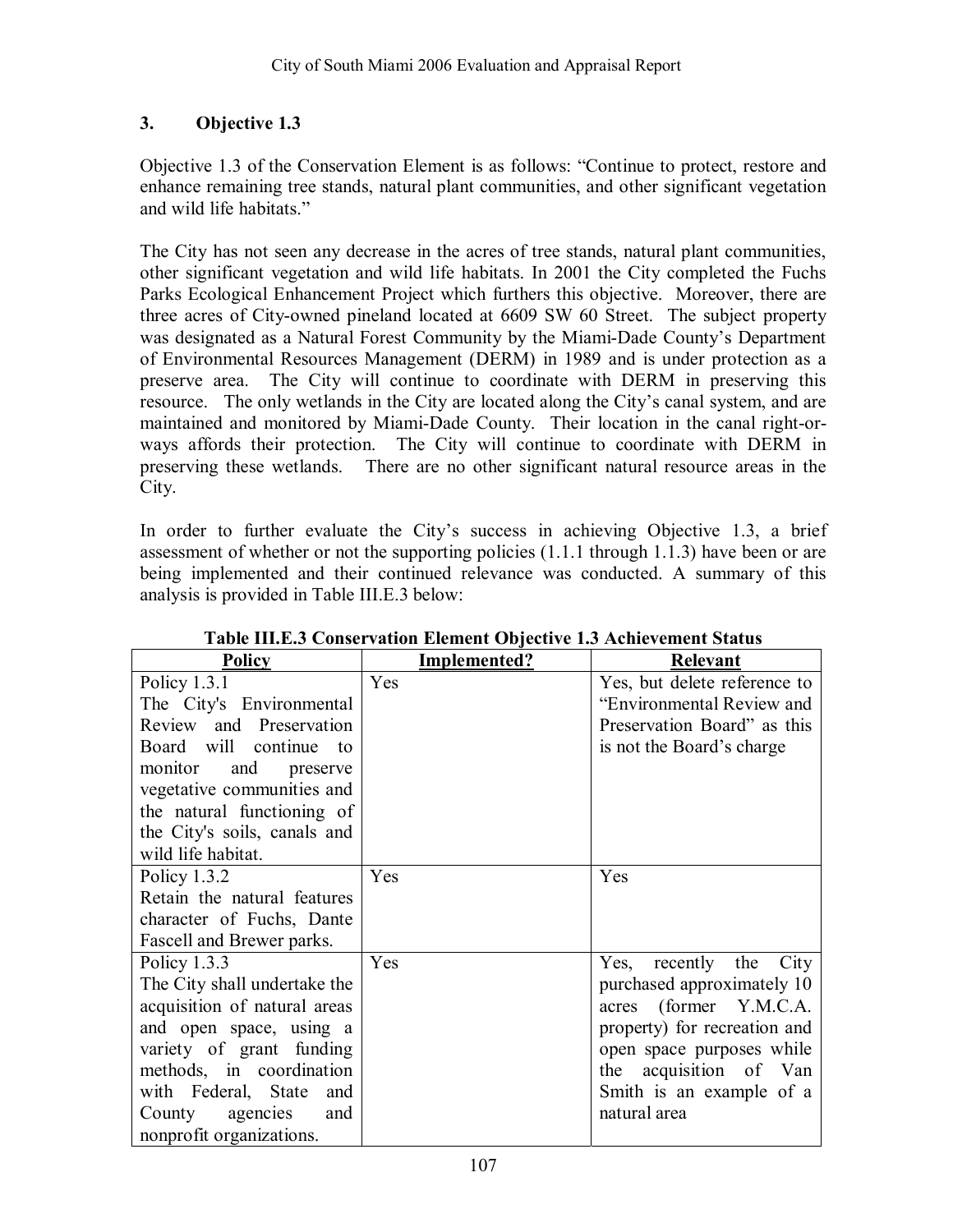Objective 1.3 of the Conservation Element is as follows: "Continue to protect, restore and enhance remaining tree stands, natural plant communities, and other significant vegetation and wild life habitats."

The City has not seen any decrease in the acres of tree stands, natural plant communities, other significant vegetation and wild life habitats. In 2001 the City completed the Fuchs Parks Ecological Enhancement Project which furthers this objective. Moreover, there are three acres of City-owned pineland located at 6609 SW 60 Street. The subject property was designated as a Natural Forest Community by the Miami-Dade County's Department of Environmental Resources Management (DERM) in 1989 and is under protection as a preserve area. The City will continue to coordinate with DERM in preserving this resource. The only wetlands in the City are located along the City's canal system, and are maintained and monitored by Miami-Dade County. Their location in the canal right-orways affords their protection. The City will continue to coordinate with DERM in preserving these wetlands. There are no other significant natural resource areas in the City.

In order to further evaluate the City's success in achieving Objective 1.3, a brief assessment of whether or not the supporting policies (1.1.1 through 1.1.3) have been or are being implemented and their continued relevance was conducted. A summary of this analysis is provided in Table III.E.3 below:

| Policy                       | Implemented? | <b>Relevant</b>              |
|------------------------------|--------------|------------------------------|
| Policy $1.3.1$               | Yes          | Yes, but delete reference to |
| The City's Environmental     |              | "Environmental Review and    |
| Review and Preservation      |              | Preservation Board" as this  |
| Board will continue to       |              | is not the Board's charge    |
| monitor<br>and<br>preserve   |              |                              |
| vegetative communities and   |              |                              |
| the natural functioning of   |              |                              |
| the City's soils, canals and |              |                              |
| wild life habitat.           |              |                              |
| Policy 1.3.2                 | Yes          | Yes                          |
| Retain the natural features  |              |                              |
| character of Fuchs, Dante    |              |                              |
| Fascell and Brewer parks.    |              |                              |
| Policy $1.3.3$               | Yes          | Yes, recently the<br>City    |
| The City shall undertake the |              | purchased approximately 10   |
| acquisition of natural areas |              | acres (former Y.M.C.A.       |
| and open space, using a      |              | property) for recreation and |
| variety of grant funding     |              | open space purposes while    |
| methods, in coordination     |              | the acquisition of Van       |
| with Federal, State<br>and   |              | Smith is an example of a     |
| County agencies and          |              | natural area                 |
| nonprofit organizations.     |              |                              |

**Table III.E.3 Conservation Element Objective 1.3 Achievement Status**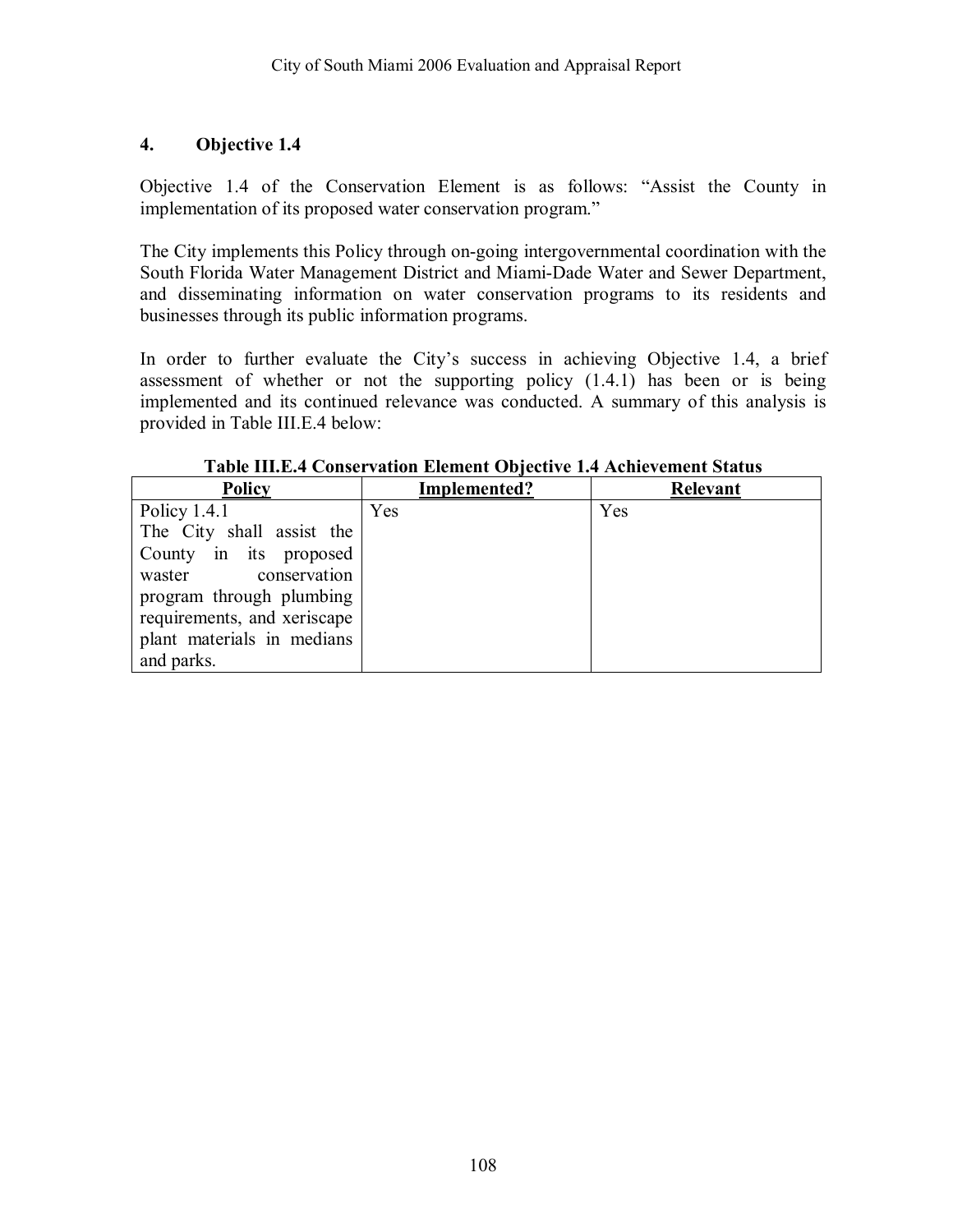Objective 1.4 of the Conservation Element is as follows: "Assist the County in implementation of its proposed water conservation program."

The City implements this Policy through on-going intergovernmental coordination with the South Florida Water Management District and Miami-Dade Water and Sewer Department, and disseminating information on water conservation programs to its residents and businesses through its public information programs.

In order to further evaluate the City's success in achieving Objective 1.4, a brief assessment of whether or not the supporting policy (1.4.1) has been or is being implemented and its continued relevance was conducted. A summary of this analysis is provided in Table III.E.4 below:

| <b>Policy</b>               | Implemented? | Relevant |
|-----------------------------|--------------|----------|
| Policy $1.4.1$              | Yes          | Yes      |
| The City shall assist the   |              |          |
| County in its proposed      |              |          |
| conservation<br>waster      |              |          |
| program through plumbing    |              |          |
| requirements, and xeriscape |              |          |
| plant materials in medians  |              |          |
| and parks.                  |              |          |

**Table III.E.4 Conservation Element Objective 1.4 Achievement Status**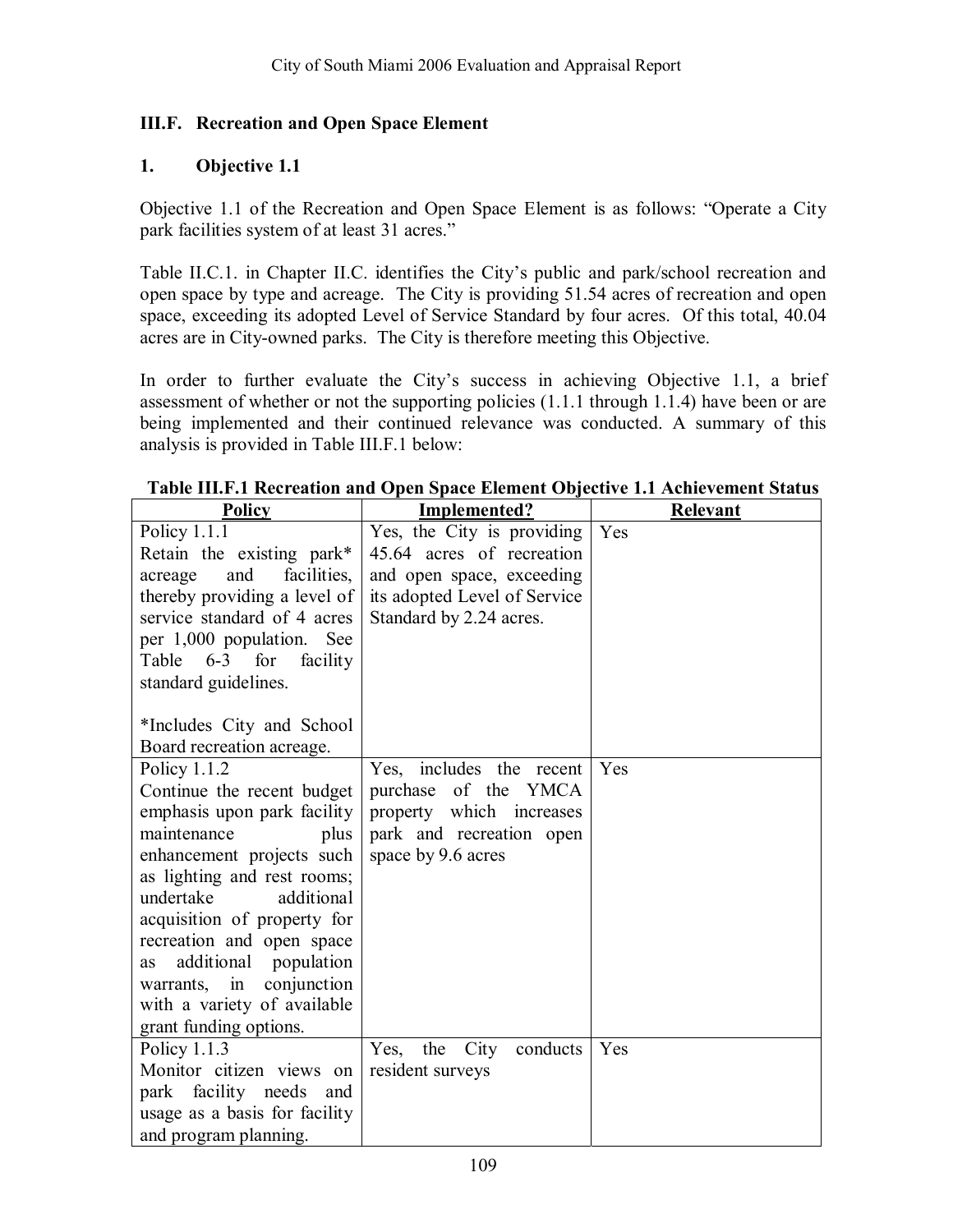## **III.F. Recreation and Open Space Element**

### **1. Objective 1.1**

Objective 1.1 of the Recreation and Open Space Element is as follows: "Operate a City park facilities system of at least 31 acres."

Table II.C.1. in Chapter II.C. identifies the City's public and park/school recreation and open space by type and acreage. The City is providing 51.54 acres of recreation and open space, exceeding its adopted Level of Service Standard by four acres. Of this total, 40.04 acres are in City-owned parks. The City is therefore meeting this Objective.

In order to further evaluate the City's success in achieving Objective 1.1, a brief assessment of whether or not the supporting policies (1.1.1 through 1.1.4) have been or are being implemented and their continued relevance was conducted. A summary of this analysis is provided in Table III.F.1 below:

| <b>Policy</b>                                                                                                                                                                                                                                                                                                                                                                             | Implemented?                                                                                                                                    | Relevant |
|-------------------------------------------------------------------------------------------------------------------------------------------------------------------------------------------------------------------------------------------------------------------------------------------------------------------------------------------------------------------------------------------|-------------------------------------------------------------------------------------------------------------------------------------------------|----------|
| Policy 1.1.1<br>Retain the existing park*<br>acreage<br>and<br>facilities,<br>thereby providing a level of<br>service standard of 4 acres<br>per 1,000 population. See<br>Table 6-3 for<br>facility<br>standard guidelines.                                                                                                                                                               | Yes, the City is providing<br>45.64 acres of recreation<br>and open space, exceeding<br>its adopted Level of Service<br>Standard by 2.24 acres. | Yes      |
| *Includes City and School<br>Board recreation acreage.                                                                                                                                                                                                                                                                                                                                    |                                                                                                                                                 |          |
| Policy $1.1.2$<br>Continue the recent budget<br>emphasis upon park facility<br>maintenance<br>plus<br>enhancement projects such<br>as lighting and rest rooms;<br>undertake<br>additional<br>acquisition of property for<br>recreation and open space<br>additional<br>population<br><b>as</b><br>conjunction<br>in<br>warrants,<br>with a variety of available<br>grant funding options. | Yes, includes the recent<br>purchase of the YMCA<br>property which increases<br>park and recreation open<br>space by 9.6 acres                  | Yes      |
| Policy 1.1.3<br>Monitor citizen views on<br>facility needs<br>park<br>and<br>usage as a basis for facility<br>and program planning.                                                                                                                                                                                                                                                       | Yes, the City conducts<br>resident surveys                                                                                                      | Yes      |

#### **Table III.F.1 Recreation and Open Space Element Objective 1.1 Achievement Status**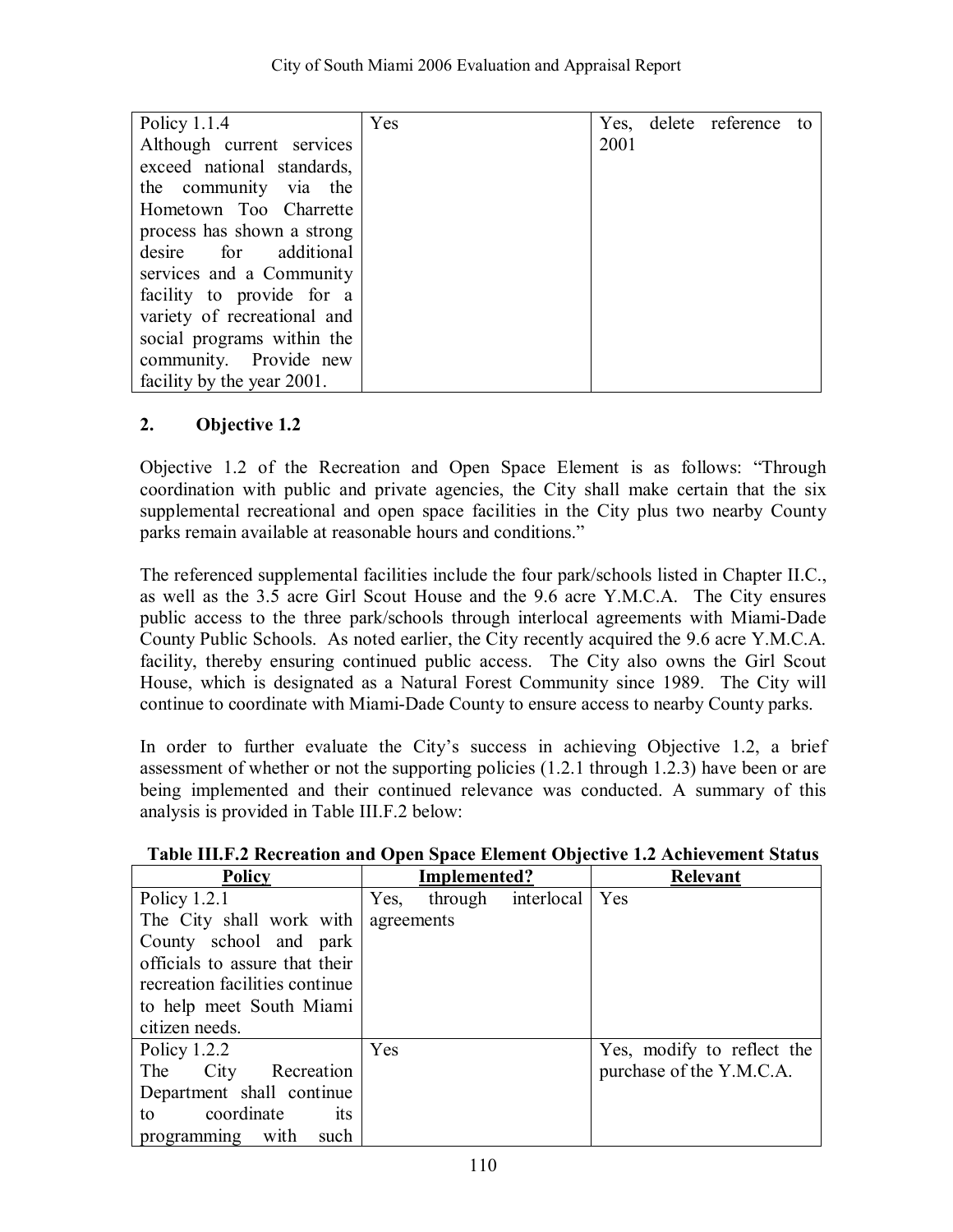| Policy $1.1.4$              | Yes |      | Yes, delete reference to |  |
|-----------------------------|-----|------|--------------------------|--|
| Although current services   |     | 2001 |                          |  |
| exceed national standards,  |     |      |                          |  |
| the community via the       |     |      |                          |  |
| Hometown Too Charrette      |     |      |                          |  |
| process has shown a strong  |     |      |                          |  |
| desire for additional       |     |      |                          |  |
| services and a Community    |     |      |                          |  |
| facility to provide for a   |     |      |                          |  |
| variety of recreational and |     |      |                          |  |
| social programs within the  |     |      |                          |  |
| community. Provide new      |     |      |                          |  |
| facility by the year 2001.  |     |      |                          |  |

Objective 1.2 of the Recreation and Open Space Element is as follows: "Through coordination with public and private agencies, the City shall make certain that the six supplemental recreational and open space facilities in the City plus two nearby County parks remain available at reasonable hours and conditions."

The referenced supplemental facilities include the four park/schools listed in Chapter II.C., as well as the 3.5 acre Girl Scout House and the 9.6 acre Y.M.C.A. The City ensures public access to the three park/schools through interlocal agreements with Miami-Dade County Public Schools. As noted earlier, the City recently acquired the 9.6 acre Y.M.C.A. facility, thereby ensuring continued public access. The City also owns the Girl Scout House, which is designated as a Natural Forest Community since 1989. The City will continue to coordinate with Miami-Dade County to ensure access to nearby County parks.

In order to further evaluate the Cityís success in achieving Objective 1.2, a brief assessment of whether or not the supporting policies (1.2.1 through 1.2.3) have been or are being implemented and their continued relevance was conducted. A summary of this analysis is provided in Table III.F.2 below:

| <b>Policy</b>                  | Implemented? |                    | <b>Relevant</b>            |
|--------------------------------|--------------|--------------------|----------------------------|
| Policy $1.2.1$                 | Yes,         | through interlocal | Yes                        |
| The City shall work with       | agreements   |                    |                            |
| County school and park         |              |                    |                            |
| officials to assure that their |              |                    |                            |
| recreation facilities continue |              |                    |                            |
| to help meet South Miami       |              |                    |                            |
| citizen needs.                 |              |                    |                            |
| Policy $1.2.2$                 | Yes          |                    | Yes, modify to reflect the |
| The City Recreation            |              |                    | purchase of the Y.M.C.A.   |
| Department shall continue      |              |                    |                            |
| coordinate<br>its<br>to        |              |                    |                            |
| programming with<br>such       |              |                    |                            |

### **Table III.F.2 Recreation and Open Space Element Objective 1.2 Achievement Status**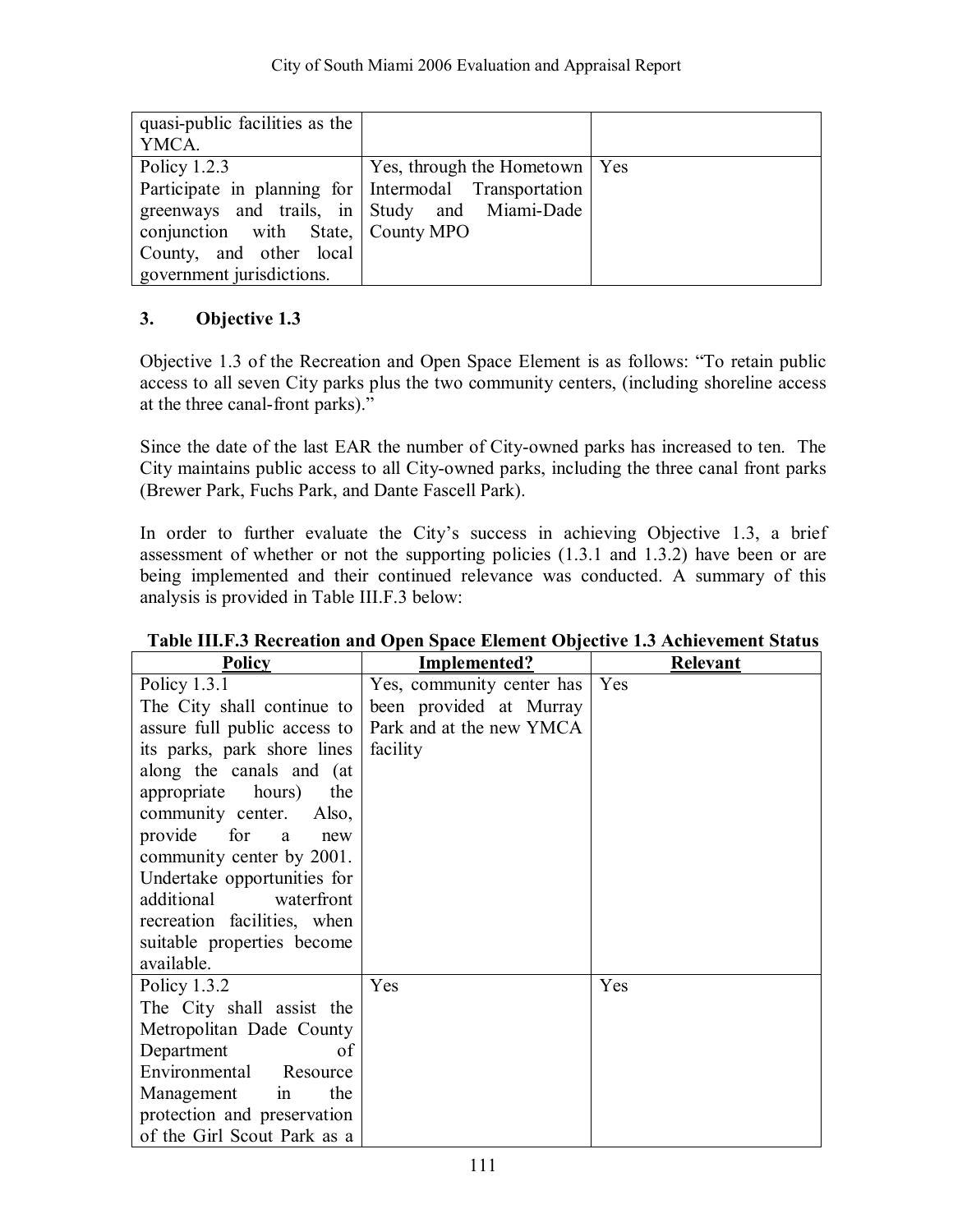| quasi-public facilities as the     |                                                       |  |
|------------------------------------|-------------------------------------------------------|--|
| YMCA.                              |                                                       |  |
| Policy $1.2.3$                     | Yes, through the Hometown   Yes                       |  |
|                                    | Participate in planning for Intermodal Transportation |  |
|                                    | greenways and trails, in Study and Miami-Dade         |  |
| conjunction with State, County MPO |                                                       |  |
| County, and other local            |                                                       |  |
| government jurisdictions.          |                                                       |  |

Objective 1.3 of the Recreation and Open Space Element is as follows: "To retain public access to all seven City parks plus the two community centers, (including shoreline access at the three canal-front parks)."

Since the date of the last EAR the number of City-owned parks has increased to ten. The City maintains public access to all City-owned parks, including the three canal front parks (Brewer Park, Fuchs Park, and Dante Fascell Park).

In order to further evaluate the City's success in achieving Objective 1.3, a brief assessment of whether or not the supporting policies (1.3.1 and 1.3.2) have been or are being implemented and their continued relevance was conducted. A summary of this analysis is provided in Table III.F.3 below:

| <b>Policy</b>                | Implemented?              | Relevant |
|------------------------------|---------------------------|----------|
| Policy 1.3.1                 | Yes, community center has | Yes      |
| The City shall continue to   | been provided at Murray   |          |
| assure full public access to | Park and at the new YMCA  |          |
| its parks, park shore lines  | facility                  |          |
| along the canals and (at     |                           |          |
| appropriate<br>hours)<br>the |                           |          |
| community center. Also,      |                           |          |
| provide for<br>a<br>new      |                           |          |
| community center by 2001.    |                           |          |
| Undertake opportunities for  |                           |          |
| additional<br>waterfront     |                           |          |
| recreation facilities, when  |                           |          |
| suitable properties become   |                           |          |
| available.                   |                           |          |
| Policy $1.3.2$               | Yes                       | Yes      |
| The City shall assist the    |                           |          |
| Metropolitan Dade County     |                           |          |
| Department<br>of             |                           |          |
| Environmental<br>Resource    |                           |          |
| Management<br>the<br>1n      |                           |          |
| protection and preservation  |                           |          |
| of the Girl Scout Park as a  |                           |          |

# **Table III.F.3 Recreation and Open Space Element Objective 1.3 Achievement Status**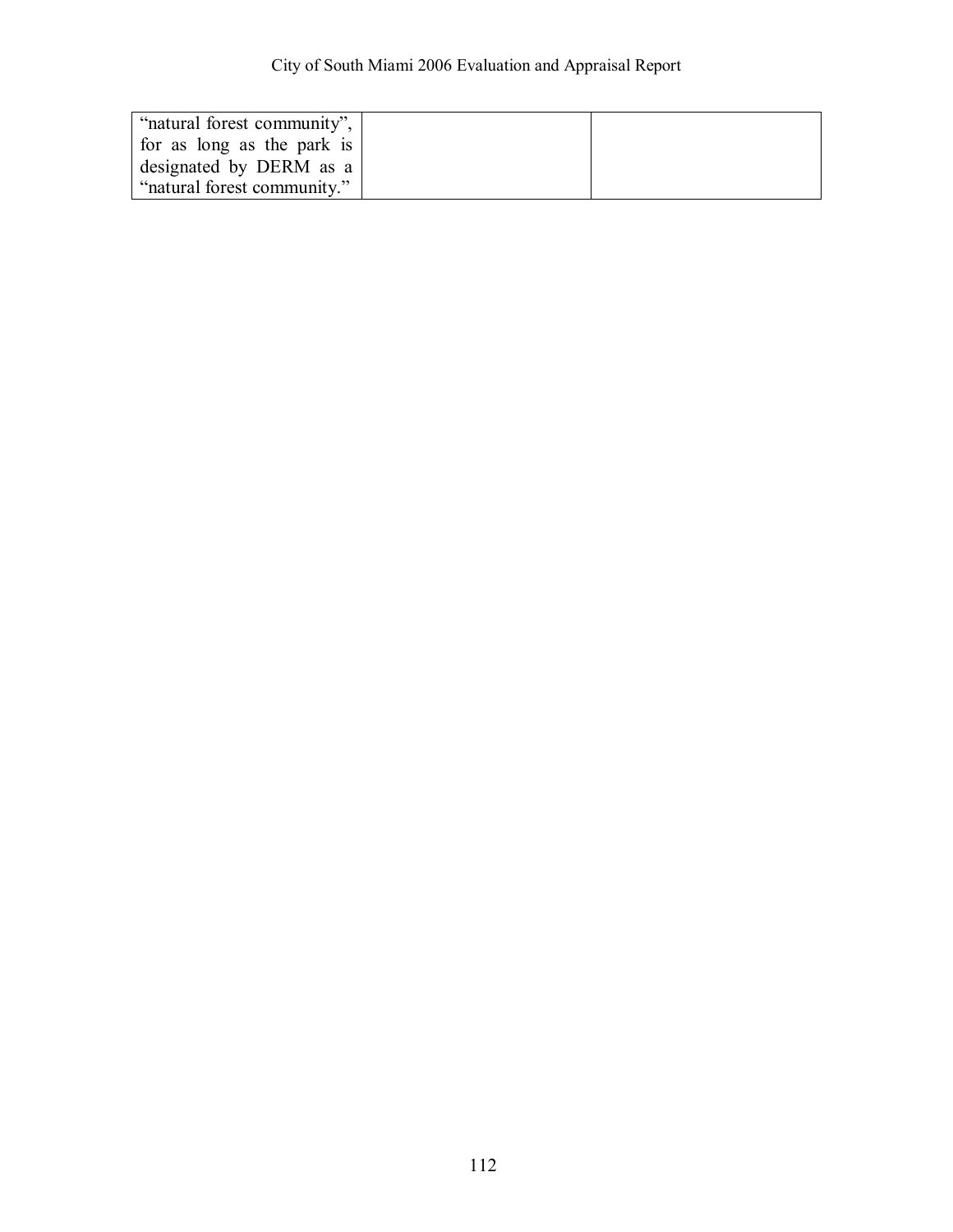| "natural forest community", |  |
|-----------------------------|--|
| for as long as the park is  |  |
| designated by DERM as a     |  |
| "natural forest community." |  |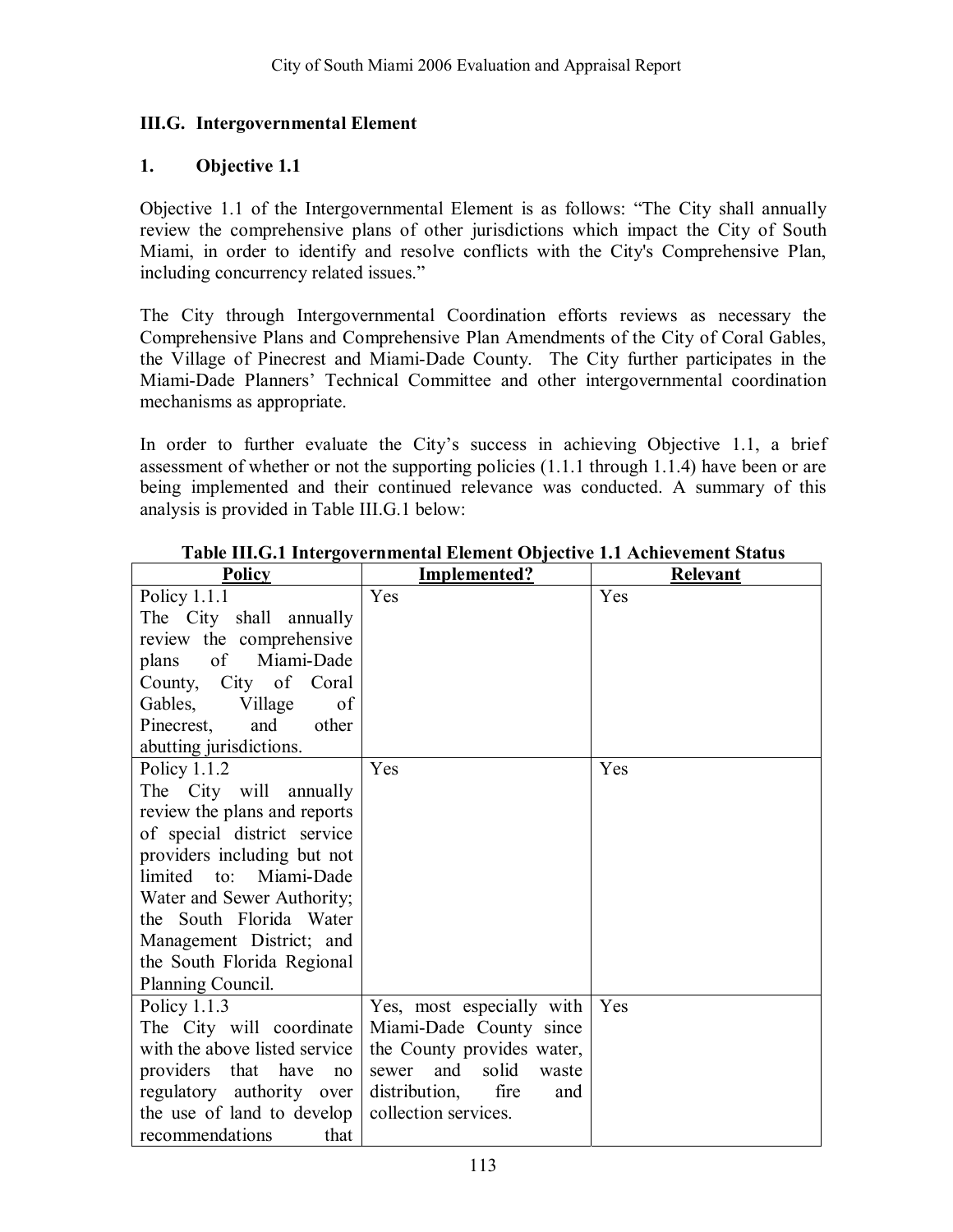#### **III.G. Intergovernmental Element**

#### **1. Objective 1.1**

Objective 1.1 of the Intergovernmental Element is as follows: "The City shall annually review the comprehensive plans of other jurisdictions which impact the City of South Miami, in order to identify and resolve conflicts with the City's Comprehensive Plan, including concurrency related issues."

The City through Intergovernmental Coordination efforts reviews as necessary the Comprehensive Plans and Comprehensive Plan Amendments of the City of Coral Gables, the Village of Pinecrest and Miami-Dade County. The City further participates in the Miami-Dade Planners' Technical Committee and other intergovernmental coordination mechanisms as appropriate.

In order to further evaluate the City's success in achieving Objective 1.1, a brief assessment of whether or not the supporting policies (1.1.1 through 1.1.4) have been or are being implemented and their continued relevance was conducted. A summary of this analysis is provided in Table III.G.1 below:

| <b>Policy</b>                 | <b>Implemented?</b>            | <b>Relevant</b> |
|-------------------------------|--------------------------------|-----------------|
| Policy $1.1.1$                | Yes                            | Yes             |
| The City shall annually       |                                |                 |
| review the comprehensive      |                                |                 |
| of Miami-Dade<br>plans        |                                |                 |
| County, City of Coral         |                                |                 |
| Gables, Village<br>of         |                                |                 |
| Pinecrest,<br>and<br>other    |                                |                 |
| abutting jurisdictions.       |                                |                 |
| Policy $1.1.2$                | Yes                            | Yes             |
| The City will annually        |                                |                 |
| review the plans and reports  |                                |                 |
| of special district service   |                                |                 |
| providers including but not   |                                |                 |
| limited to: Miami-Dade        |                                |                 |
| Water and Sewer Authority;    |                                |                 |
| the South Florida Water       |                                |                 |
| Management District; and      |                                |                 |
| the South Florida Regional    |                                |                 |
| Planning Council.             |                                |                 |
| Policy $1.1.3$                | Yes, most especially with      | Yes             |
| The City will coordinate      | Miami-Dade County since        |                 |
| with the above listed service | the County provides water,     |                 |
| providers that have<br>no     | solid<br>and<br>sewer<br>waste |                 |
| regulatory authority over     | distribution,<br>fire<br>and   |                 |
| the use of land to develop    | collection services.           |                 |
| recommendations<br>that       |                                |                 |

#### **Table III.G.1 Intergovernmental Element Objective 1.1 Achievement Status**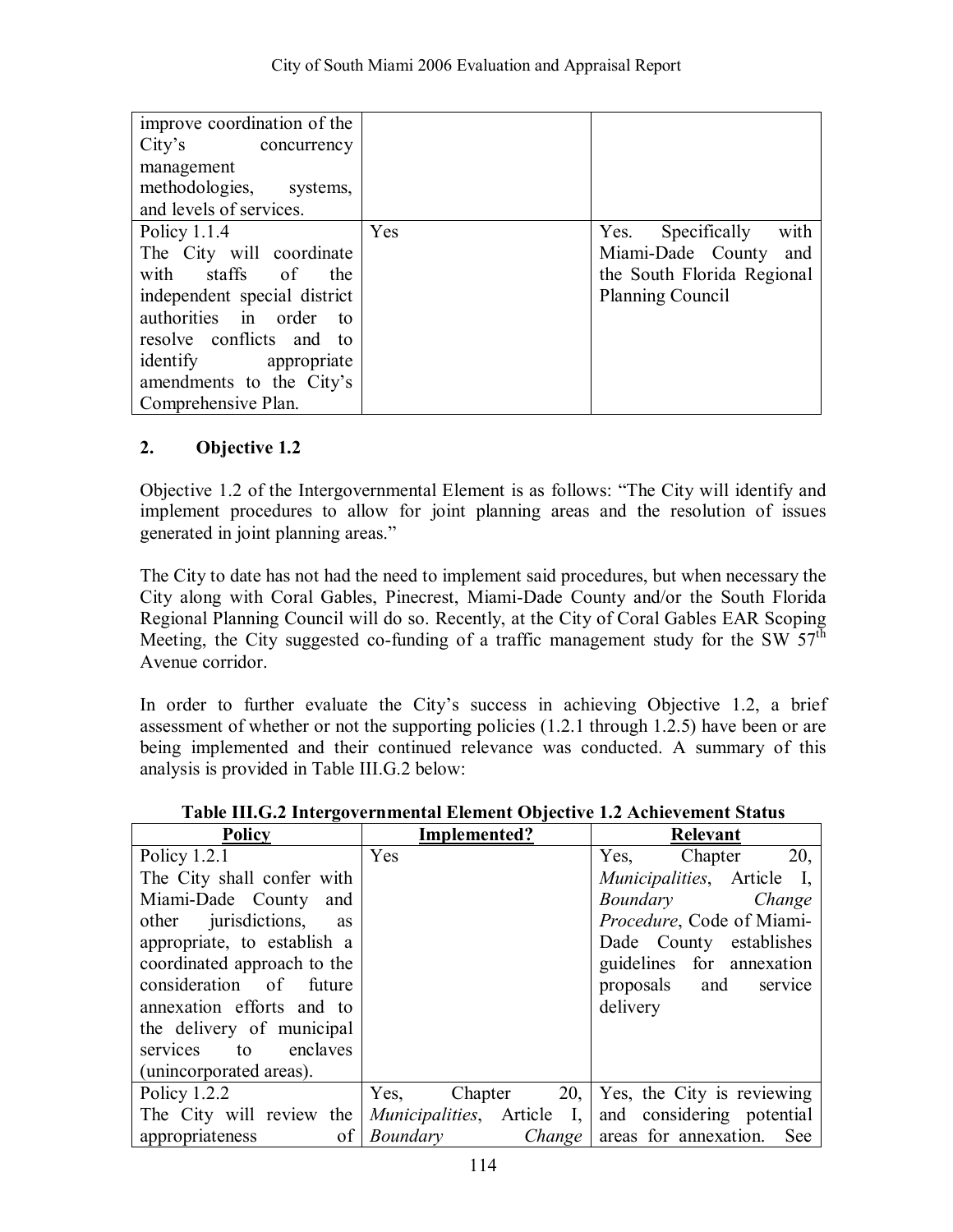| improve coordination of the  |     |                            |
|------------------------------|-----|----------------------------|
| City's concurrency           |     |                            |
| management                   |     |                            |
| methodologies, systems,      |     |                            |
| and levels of services.      |     |                            |
| Policy $1.1.4$               | Yes | with<br>Yes. Specifically  |
| The City will coordinate     |     | Miami-Dade County and      |
| with staffs of<br>the        |     | the South Florida Regional |
| independent special district |     | <b>Planning Council</b>    |
| authorities in order to      |     |                            |
| resolve conflicts and to     |     |                            |
| identify appropriate         |     |                            |
| amendments to the City's     |     |                            |
| Comprehensive Plan.          |     |                            |

Objective 1.2 of the Intergovernmental Element is as follows: "The City will identify and implement procedures to allow for joint planning areas and the resolution of issues generated in joint planning areas."

The City to date has not had the need to implement said procedures, but when necessary the City along with Coral Gables, Pinecrest, Miami-Dade County and/or the South Florida Regional Planning Council will do so. Recently, at the City of Coral Gables EAR Scoping Meeting, the City suggested co-funding of a traffic management study for the SW  $57<sup>th</sup>$ Avenue corridor.

In order to further evaluate the City's success in achieving Objective 1.2, a brief assessment of whether or not the supporting policies (1.2.1 through 1.2.5) have been or are being implemented and their continued relevance was conducted. A summary of this analysis is provided in Table III.G.2 below:

| <b>Policy</b>                   | Implemented?                                    | Relevant                                             |
|---------------------------------|-------------------------------------------------|------------------------------------------------------|
| Policy $1.2.1$                  | Yes                                             | Yes, Chapter 20,                                     |
| The City shall confer with      |                                                 | <i>Municipalities</i> , Article I,                   |
| Miami-Dade County and           |                                                 | Boundary Change                                      |
| other <i>jurisdictions</i> , as |                                                 | Procedure, Code of Miami-                            |
| appropriate, to establish a     |                                                 | Dade County establishes                              |
| coordinated approach to the     |                                                 | guidelines for annexation                            |
| consideration of future         |                                                 | proposals and<br>service                             |
| annexation efforts and to       |                                                 | delivery                                             |
| the delivery of municipal       |                                                 |                                                      |
| services to enclaves            |                                                 |                                                      |
| (unincorporated areas).         |                                                 |                                                      |
| Policy $1.2.2$                  | Yes,                                            | Chapter $20$ , Yes, the City is reviewing            |
| The City will review the        |                                                 | Municipalities, Article I, and considering potential |
| appropriateness                 | of <i>Boundary Change</i> areas for annexation. | See                                                  |

### **Table III.G.2 Intergovernmental Element Objective 1.2 Achievement Status**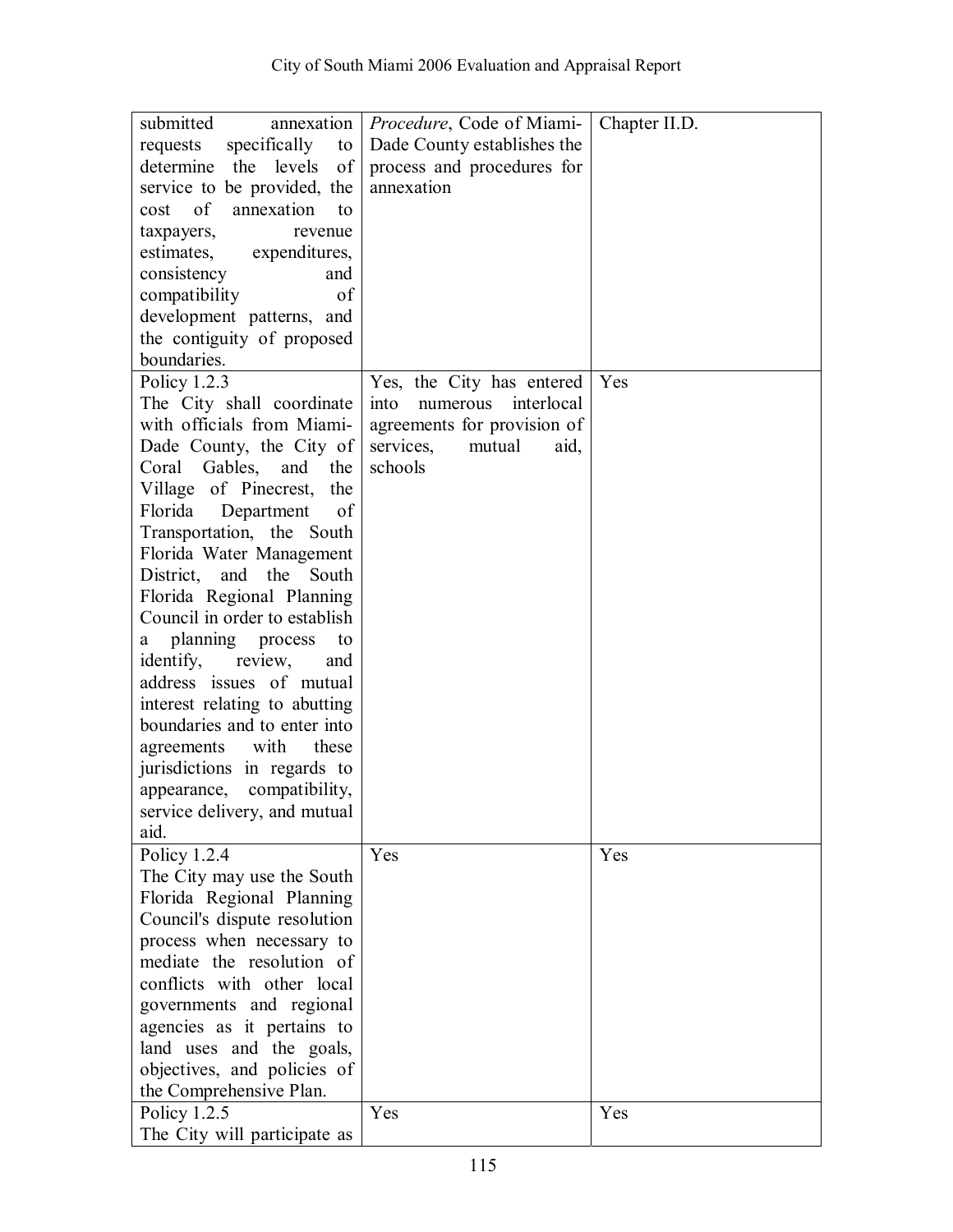| submitted                                                  | annexation   <i>Procedure</i> , Code of Miami- | Chapter II.D. |
|------------------------------------------------------------|------------------------------------------------|---------------|
| specifically<br>requests<br>to                             | Dade County establishes the                    |               |
| determine<br>the<br>levels<br>of                           | process and procedures for                     |               |
| service to be provided, the                                | annexation                                     |               |
| of<br>annexation<br>cost<br>to                             |                                                |               |
| taxpayers,<br>revenue                                      |                                                |               |
| estimates, expenditures,                                   |                                                |               |
| consistency<br>and                                         |                                                |               |
| of<br>compatibility                                        |                                                |               |
| development patterns, and                                  |                                                |               |
| the contiguity of proposed                                 |                                                |               |
| boundaries.                                                |                                                |               |
| Policy $1.2.3$                                             | Yes, the City has entered                      | Yes           |
| The City shall coordinate                                  | into<br>interlocal<br>numerous                 |               |
| with officials from Miami-                                 | agreements for provision of                    |               |
| Dade County, the City of                                   | services,<br>aid,<br>mutual                    |               |
| Gables, and the<br>Coral                                   | schools                                        |               |
| Village of Pinecrest, the                                  |                                                |               |
| Florida<br>Department<br>of                                |                                                |               |
| Transportation, the South                                  |                                                |               |
| Florida Water Management                                   |                                                |               |
| District, and the<br>South                                 |                                                |               |
|                                                            |                                                |               |
| Florida Regional Planning<br>Council in order to establish |                                                |               |
|                                                            |                                                |               |
| a planning process<br>to                                   |                                                |               |
| identify,<br>review,<br>and                                |                                                |               |
| address issues of mutual                                   |                                                |               |
| interest relating to abutting                              |                                                |               |
| boundaries and to enter into                               |                                                |               |
| with<br>these<br>agreements                                |                                                |               |
| jurisdictions in regards to                                |                                                |               |
| compatibility,<br>appearance,                              |                                                |               |
| service delivery, and mutual                               |                                                |               |
| aid.                                                       |                                                |               |
| Policy 1.2.4                                               | Yes                                            | Yes           |
| The City may use the South                                 |                                                |               |
| Florida Regional Planning                                  |                                                |               |
| Council's dispute resolution                               |                                                |               |
| process when necessary to                                  |                                                |               |
| mediate the resolution of                                  |                                                |               |
| conflicts with other local                                 |                                                |               |
| governments and regional                                   |                                                |               |
| agencies as it pertains to                                 |                                                |               |
| land uses and the goals,                                   |                                                |               |
| objectives, and policies of                                |                                                |               |
| the Comprehensive Plan.                                    |                                                |               |
| Policy 1.2.5                                               | Yes                                            | Yes           |
| The City will participate as                               |                                                |               |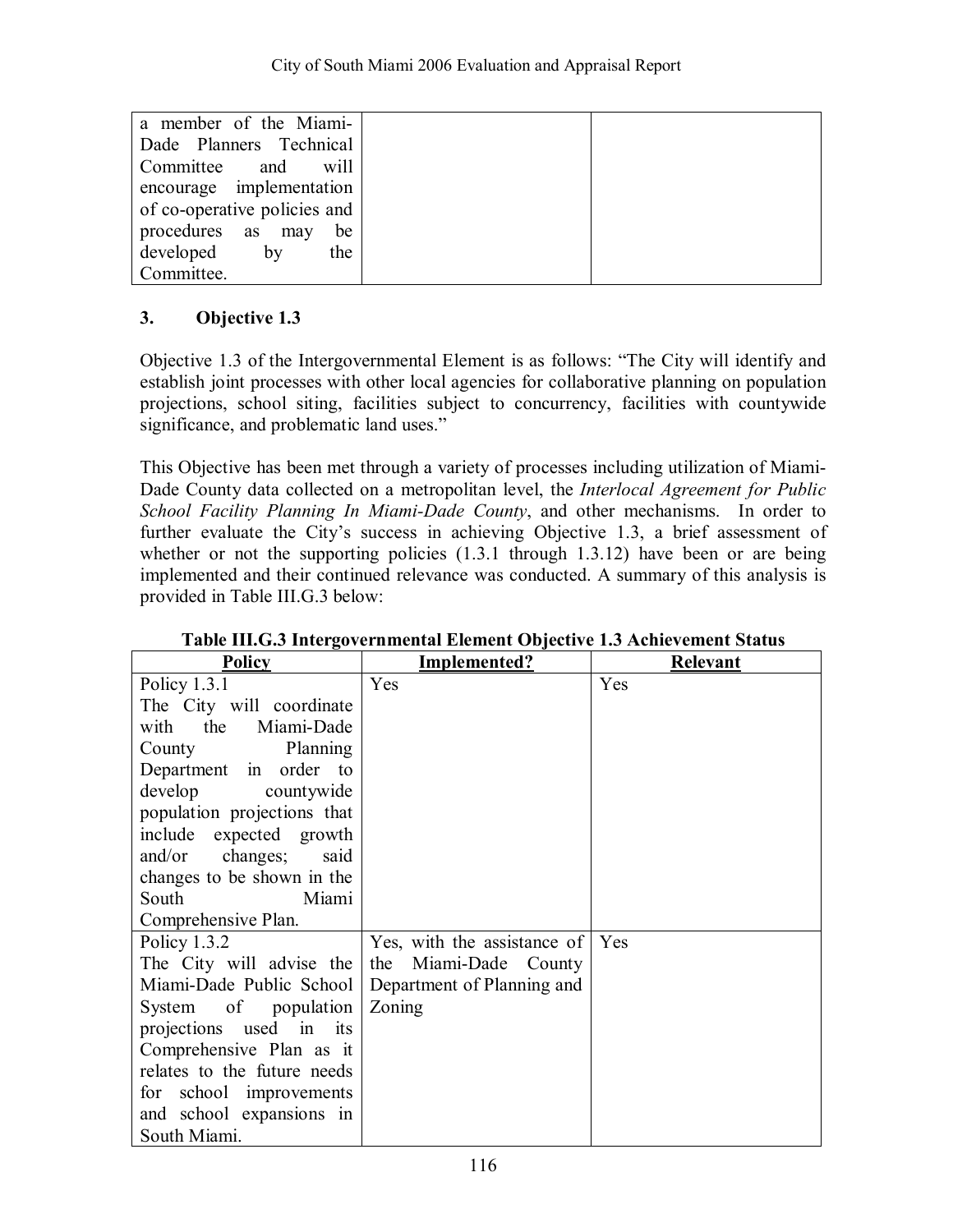| a member of the Miami-       |  |
|------------------------------|--|
|                              |  |
| Dade Planners Technical      |  |
| Committee<br>will<br>and     |  |
| encourage implementation     |  |
| of co-operative policies and |  |
| procedures as may<br>be      |  |
| developed<br>by<br>the       |  |
| Committee.                   |  |

Objective 1.3 of the Intergovernmental Element is as follows: "The City will identify and establish joint processes with other local agencies for collaborative planning on population projections, school siting, facilities subject to concurrency, facilities with countywide significance, and problematic land uses."

This Objective has been met through a variety of processes including utilization of Miami-Dade County data collected on a metropolitan level, the *Interlocal Agreement for Public School Facility Planning In Miami-Dade County*, and other mechanisms. In order to further evaluate the City's success in achieving Objective 1.3, a brief assessment of whether or not the supporting policies  $(1.3.1$  through 1.3.12) have been or are being implemented and their continued relevance was conducted. A summary of this analysis is provided in Table III.G.3 below:

| <b>Policy</b>               | Implemented?                | Relevant |
|-----------------------------|-----------------------------|----------|
| Policy $1.3.1$              | Yes                         | Yes      |
| The City will coordinate    |                             |          |
| the Miami-Dade<br>with      |                             |          |
| Planning<br>County          |                             |          |
| Department in order to      |                             |          |
| develop<br>countywide       |                             |          |
| population projections that |                             |          |
| include expected growth     |                             |          |
| changes;<br>and/or<br>said  |                             |          |
| changes to be shown in the  |                             |          |
| South<br>Miami              |                             |          |
| Comprehensive Plan.         |                             |          |
| Policy 1.3.2                | Yes, with the assistance of | Yes      |
| The City will advise the    | the Miami-Dade County       |          |
| Miami-Dade Public School    | Department of Planning and  |          |
| System of population        | Zoning                      |          |
| projections used in its     |                             |          |
| Comprehensive Plan as it    |                             |          |
| relates to the future needs |                             |          |
| for school improvements     |                             |          |
| and school expansions in    |                             |          |
| South Miami.                |                             |          |

### **Table III.G.3 Intergovernmental Element Objective 1.3 Achievement Status**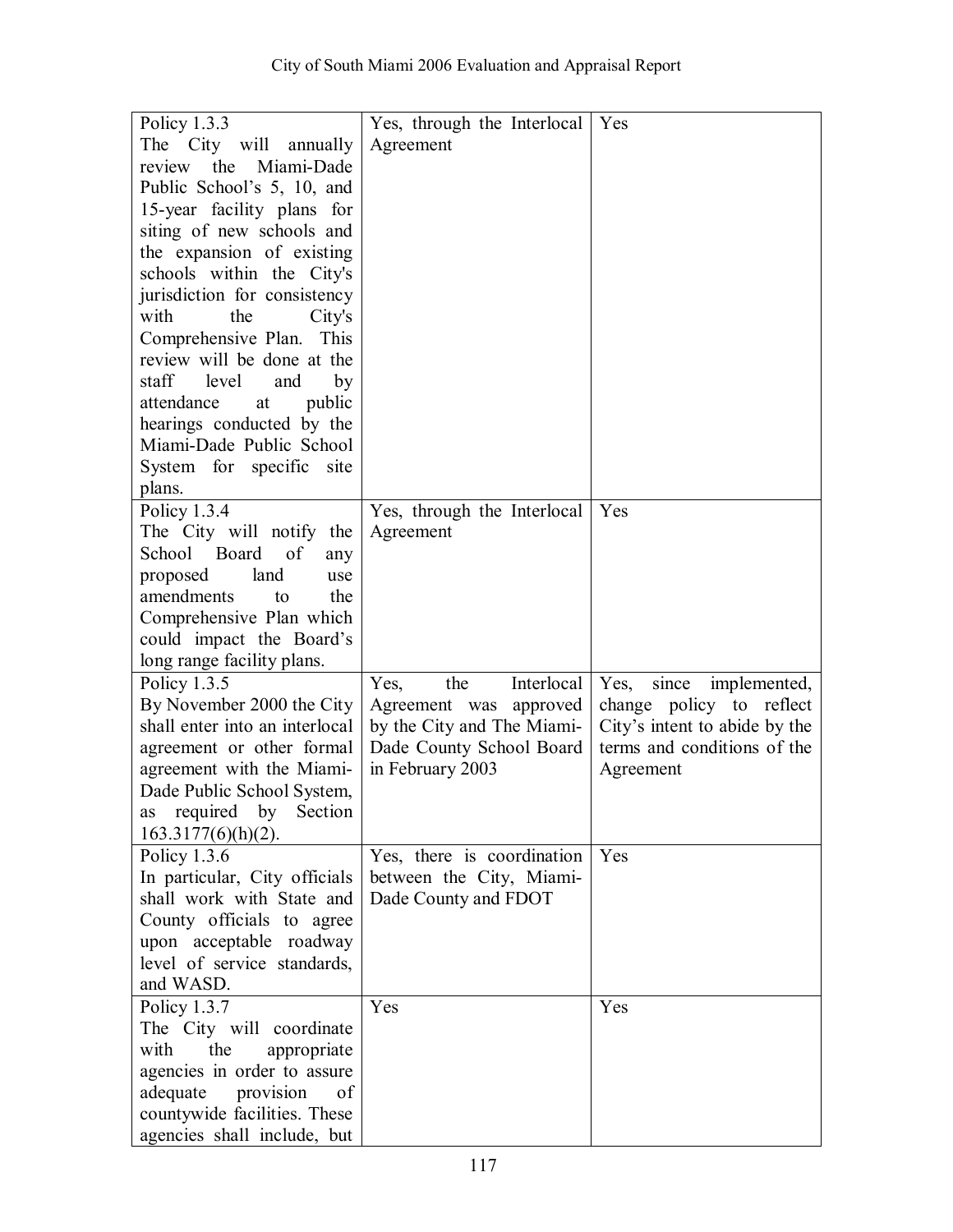| Policy 1.3.3                   | Yes, through the Interlocal | Yes                           |
|--------------------------------|-----------------------------|-------------------------------|
| The City will annually         | Agreement                   |                               |
| the<br>Miami-Dade<br>review    |                             |                               |
| Public School's 5, 10, and     |                             |                               |
| 15-year facility plans for     |                             |                               |
| siting of new schools and      |                             |                               |
| the expansion of existing      |                             |                               |
| schools within the City's      |                             |                               |
| jurisdiction for consistency   |                             |                               |
| with<br>the<br>City's          |                             |                               |
| Comprehensive Plan. This       |                             |                               |
| review will be done at the     |                             |                               |
| level                          |                             |                               |
| staff<br>and<br>by             |                             |                               |
| public<br>attendance<br>at     |                             |                               |
| hearings conducted by the      |                             |                               |
| Miami-Dade Public School       |                             |                               |
| System for specific site       |                             |                               |
| plans.                         |                             |                               |
| Policy $1.3.4$                 | Yes, through the Interlocal | Yes                           |
| The City will notify the       | Agreement                   |                               |
| School Board of<br>any         |                             |                               |
| land<br>proposed<br>use        |                             |                               |
| amendments<br>the<br>to        |                             |                               |
| Comprehensive Plan which       |                             |                               |
| could impact the Board's       |                             |                               |
| long range facility plans.     |                             |                               |
| Policy 1.3.5                   | the<br>Interlocal<br>Yes,   | Yes, since implemented,       |
| By November 2000 the City      | Agreement was approved      | change policy to reflect      |
| shall enter into an interlocal | by the City and The Miami-  | City's intent to abide by the |
| agreement or other formal      | Dade County School Board    | terms and conditions of the   |
| agreement with the Miami-      | in February 2003            | Agreement                     |
| Dade Public School System,     |                             |                               |
| as required by Section         |                             |                               |
| $163.3177(6)(h)(2)$ .          |                             |                               |
| Policy $1.3.6$                 | Yes, there is coordination  | Yes                           |
| In particular, City officials  | between the City, Miami-    |                               |
| shall work with State and      | Dade County and FDOT        |                               |
| County officials to agree      |                             |                               |
| upon acceptable roadway        |                             |                               |
| level of service standards,    |                             |                               |
| and WASD.                      |                             |                               |
| Policy $1.3.7$                 | Yes                         | Yes                           |
| The City will coordinate       |                             |                               |
| with<br>the<br>appropriate     |                             |                               |
| agencies in order to assure    |                             |                               |
| adequate provision<br>of       |                             |                               |
| countywide facilities. These   |                             |                               |
| agencies shall include, but    |                             |                               |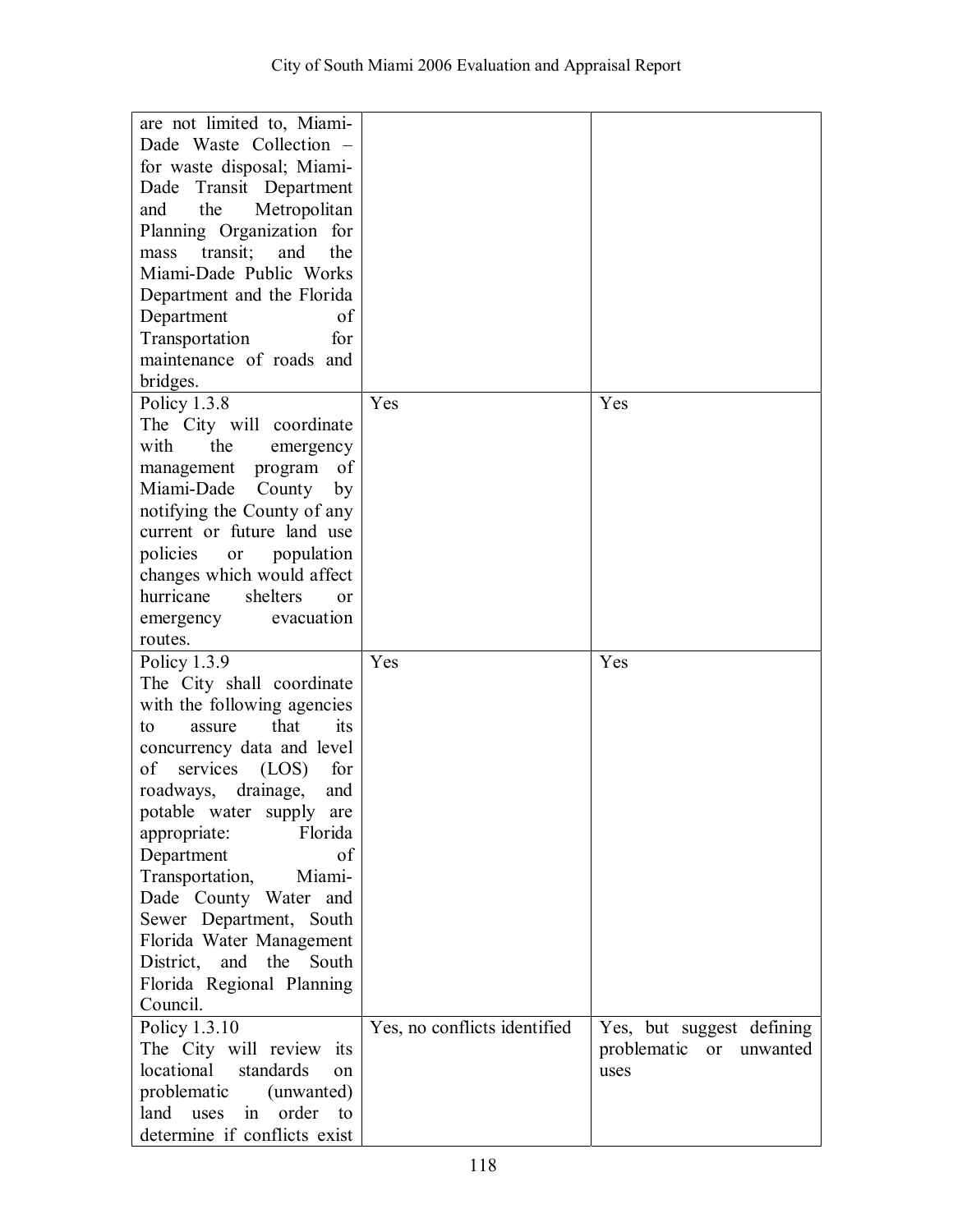| are not limited to, Miami-                                        |                              |                           |
|-------------------------------------------------------------------|------------------------------|---------------------------|
| Dade Waste Collection -                                           |                              |                           |
|                                                                   |                              |                           |
| for waste disposal; Miami-                                        |                              |                           |
| Transit Department<br>Dade                                        |                              |                           |
| the<br>Metropolitan<br>and                                        |                              |                           |
| Planning Organization for                                         |                              |                           |
| transit;<br>the<br>and<br>mass                                    |                              |                           |
| Miami-Dade Public Works                                           |                              |                           |
|                                                                   |                              |                           |
| Department and the Florida                                        |                              |                           |
| Department<br>of                                                  |                              |                           |
| Transportation<br>for                                             |                              |                           |
| maintenance of roads and                                          |                              |                           |
| bridges.                                                          |                              |                           |
| Policy $1.3.8$                                                    | Yes                          | Yes                       |
| The City will coordinate                                          |                              |                           |
| the<br>with<br>emergency                                          |                              |                           |
|                                                                   |                              |                           |
| management<br>program<br>of                                       |                              |                           |
| Miami-Dade<br>County<br>by                                        |                              |                           |
| notifying the County of any                                       |                              |                           |
| current or future land use                                        |                              |                           |
| policies<br>population<br>or                                      |                              |                           |
| changes which would affect                                        |                              |                           |
| shelters<br>hurricane<br><sub>or</sub>                            |                              |                           |
| evacuation<br>emergency                                           |                              |                           |
| routes.                                                           |                              |                           |
|                                                                   | Yes                          | Yes                       |
| Policy 1.3.9                                                      |                              |                           |
| The City shall coordinate                                         |                              |                           |
| with the following agencies                                       |                              |                           |
| that<br>its<br>to<br>assure                                       |                              |                           |
| concurrency data and level                                        |                              |                           |
| of<br>services<br>(LOS)<br>for                                    |                              |                           |
| roadways,<br>drainage,<br>and                                     |                              |                           |
| potable water supply are                                          |                              |                           |
| Florida<br>appropriate:                                           |                              |                           |
| of<br>Department                                                  |                              |                           |
| Miami-<br>Transportation,                                         |                              |                           |
| Dade County Water and                                             |                              |                           |
|                                                                   |                              |                           |
| Sewer Department, South                                           |                              |                           |
| Florida Water Management                                          |                              |                           |
| District.<br>and<br>the<br>South                                  |                              |                           |
| Florida Regional Planning                                         |                              |                           |
| Council.                                                          |                              |                           |
| Policy 1.3.10                                                     | Yes, no conflicts identified | Yes, but suggest defining |
| The City will review its                                          |                              | problematic or unwanted   |
| locational<br>standards<br>$\alpha$ n                             |                              | uses                      |
| problematic<br>(unwanted)                                         |                              |                           |
|                                                                   |                              |                           |
| order<br>land<br>uses<br>in<br>to<br>determine if conflicts exist |                              |                           |
|                                                                   |                              |                           |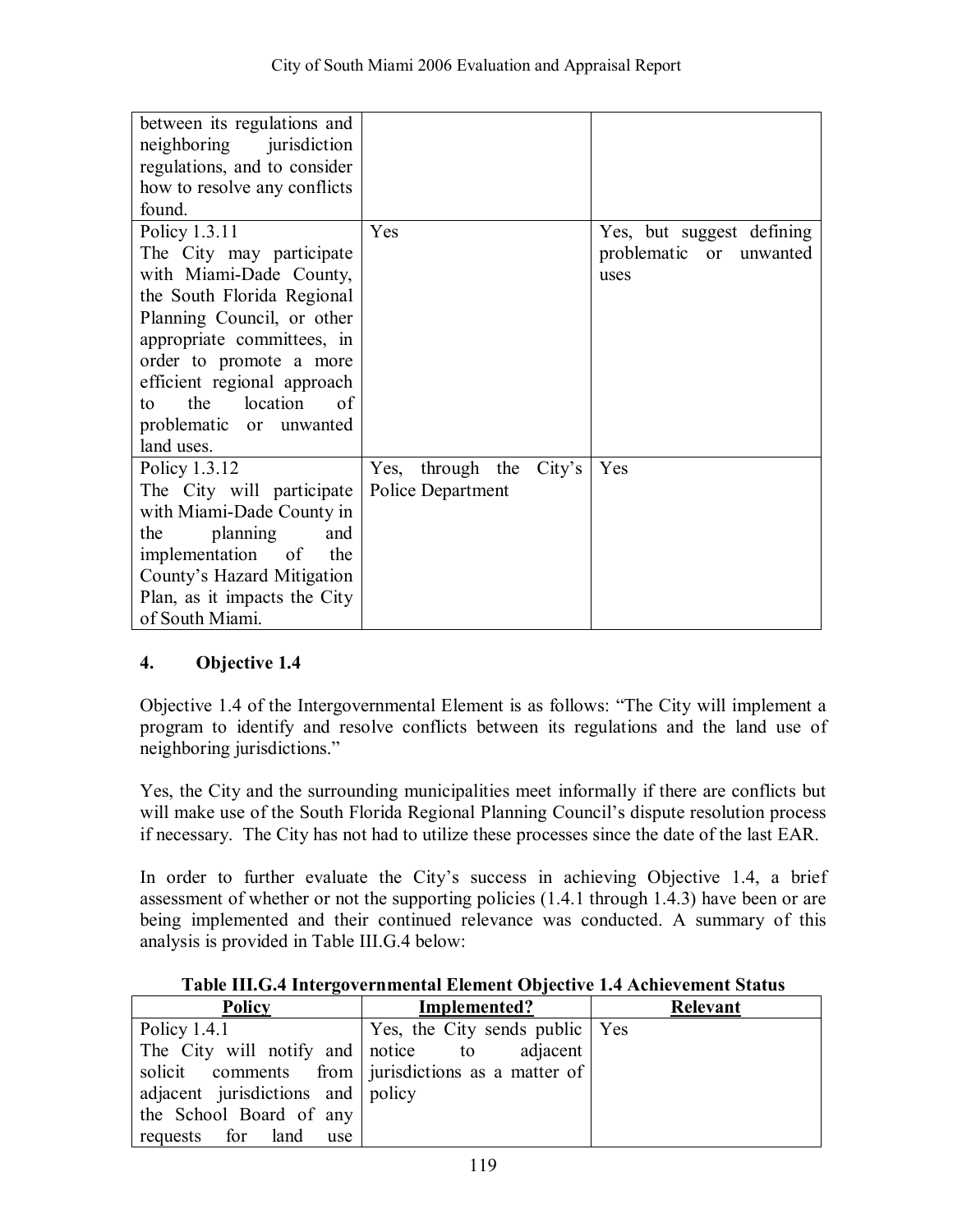| between its regulations and  |                          |                           |
|------------------------------|--------------------------|---------------------------|
| neighboring jurisdiction     |                          |                           |
| regulations, and to consider |                          |                           |
| how to resolve any conflicts |                          |                           |
| found.                       |                          |                           |
| Policy 1.3.11                | Yes                      | Yes, but suggest defining |
| The City may participate     |                          | problematic or unwanted   |
| with Miami-Dade County,      |                          | uses                      |
| the South Florida Regional   |                          |                           |
| Planning Council, or other   |                          |                           |
| appropriate committees, in   |                          |                           |
| order to promote a more      |                          |                           |
| efficient regional approach  |                          |                           |
| location<br>the<br>of<br>tο  |                          |                           |
| problematic or unwanted      |                          |                           |
| land uses.                   |                          |                           |
| Policy 1.3.12                | Yes, through the City's  | Yes                       |
| The City will participate    | <b>Police Department</b> |                           |
| with Miami-Dade County in    |                          |                           |
| the<br>planning<br>and       |                          |                           |
| implementation of<br>the     |                          |                           |
| County's Hazard Mitigation   |                          |                           |
| Plan, as it impacts the City |                          |                           |
| of South Miami.              |                          |                           |

Objective 1.4 of the Intergovernmental Element is as follows: "The City will implement a program to identify and resolve conflicts between its regulations and the land use of neighboring jurisdictions."

Yes, the City and the surrounding municipalities meet informally if there are conflicts but will make use of the South Florida Regional Planning Council's dispute resolution process if necessary. The City has not had to utilize these processes since the date of the last EAR.

In order to further evaluate the City's success in achieving Objective 1.4, a brief assessment of whether or not the supporting policies (1.4.1 through 1.4.3) have been or are being implemented and their continued relevance was conducted. A summary of this analysis is provided in Table III.G.4 below:

| Table III.G.4 Intergovernmental Element Objective 1.4 Achievement Status |
|--------------------------------------------------------------------------|
|--------------------------------------------------------------------------|

| <b>Policy</b>                      | Implemented?                                       | <b>Relevant</b> |
|------------------------------------|----------------------------------------------------|-----------------|
| Policy $1.4.1$                     | Yes, the City sends public   Yes                   |                 |
| The City will notify and notice to | adjacent                                           |                 |
|                                    | solicit comments from jurisdictions as a matter of |                 |
| adjacent jurisdictions and policy  |                                                    |                 |
| the School Board of any            |                                                    |                 |
| requests for land<br>use           |                                                    |                 |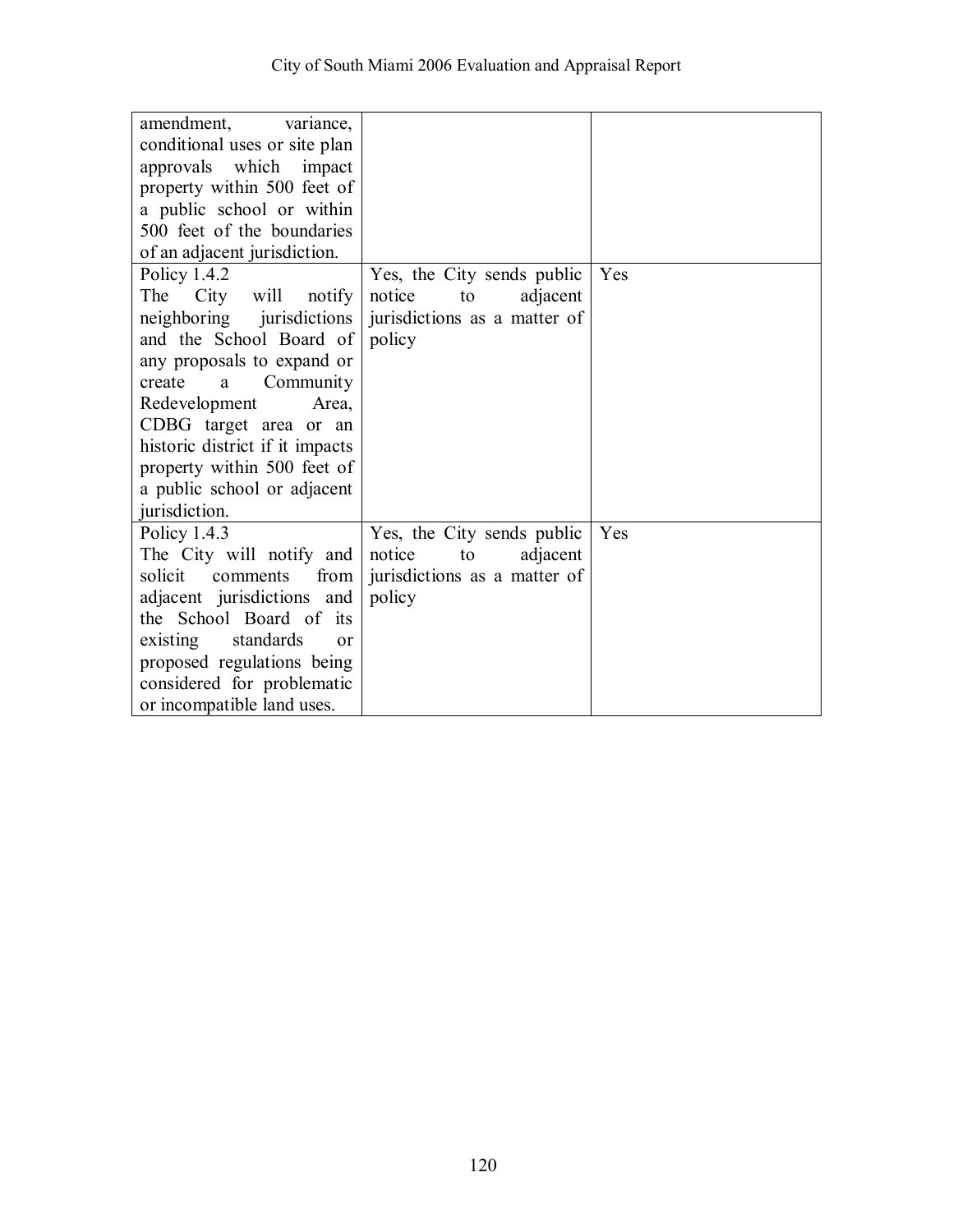| amendment, variance,            |                              |     |
|---------------------------------|------------------------------|-----|
| conditional uses or site plan   |                              |     |
| approvals which impact          |                              |     |
| property within 500 feet of     |                              |     |
| a public school or within       |                              |     |
| 500 feet of the boundaries      |                              |     |
| of an adjacent jurisdiction.    |                              |     |
| Policy $1.4.2$                  | Yes, the City sends public   | Yes |
| City<br>The<br>will notify      | notice<br>adjacent<br>to     |     |
| neighboring jurisdictions       | jurisdictions as a matter of |     |
| and the School Board of         | policy                       |     |
| any proposals to expand or      |                              |     |
| create<br>Community<br>a        |                              |     |
| Redevelopment<br>Area,          |                              |     |
| CDBG target area or an          |                              |     |
| historic district if it impacts |                              |     |
| property within 500 feet of     |                              |     |
| a public school or adjacent     |                              |     |
| jurisdiction.                   |                              |     |
| Policy 1.4.3                    | Yes, the City sends public   | Yes |
| The City will notify and        | notice<br>adjacent<br>to     |     |
| solicit<br>comments<br>from     | jurisdictions as a matter of |     |
| adjacent jurisdictions and      | policy                       |     |
| the School Board of its         |                              |     |
| existing standards<br>$\alpha$  |                              |     |
| proposed regulations being      |                              |     |
| considered for problematic      |                              |     |
| or incompatible land uses.      |                              |     |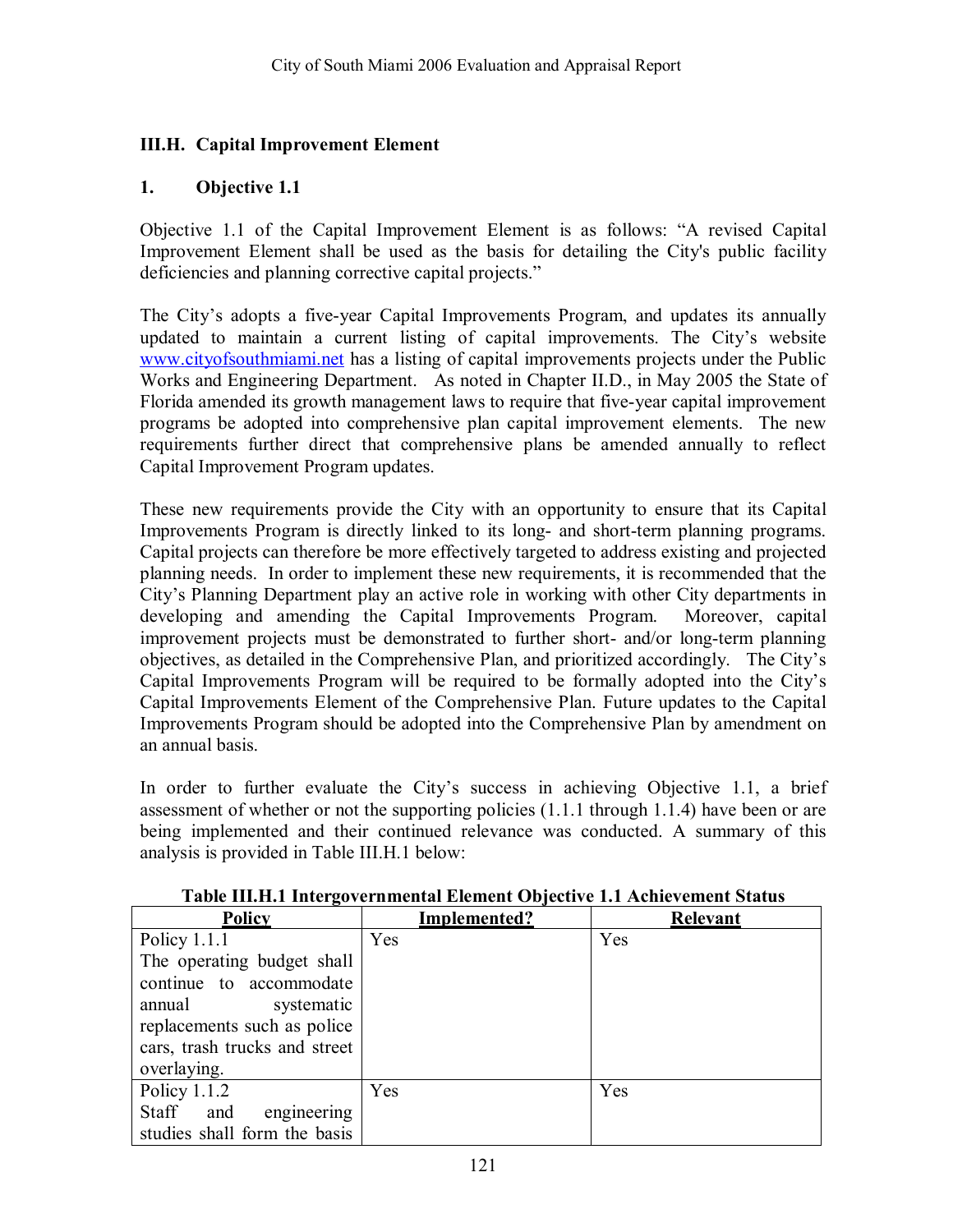### **III.H. Capital Improvement Element**

### **1. Objective 1.1**

Objective 1.1 of the Capital Improvement Element is as follows: "A revised Capital Improvement Element shall be used as the basis for detailing the City's public facility deficiencies and planning corrective capital projects."

The City's adopts a five-year Capital Improvements Program, and updates its annually updated to maintain a current listing of capital improvements. The City's website www.cityofsouthmiami.net has a listing of capital improvements projects under the Public Works and Engineering Department. As noted in Chapter II.D., in May 2005 the State of Florida amended its growth management laws to require that five-year capital improvement programs be adopted into comprehensive plan capital improvement elements. The new requirements further direct that comprehensive plans be amended annually to reflect Capital Improvement Program updates.

These new requirements provide the City with an opportunity to ensure that its Capital Improvements Program is directly linked to its long- and short-term planning programs. Capital projects can therefore be more effectively targeted to address existing and projected planning needs. In order to implement these new requirements, it is recommended that the City's Planning Department play an active role in working with other City departments in developing and amending the Capital Improvements Program. Moreover, capital improvement projects must be demonstrated to further short- and/or long-term planning objectives, as detailed in the Comprehensive Plan, and prioritized accordingly. The City's Capital Improvements Program will be required to be formally adopted into the Cityís Capital Improvements Element of the Comprehensive Plan. Future updates to the Capital Improvements Program should be adopted into the Comprehensive Plan by amendment on an annual basis.

In order to further evaluate the City's success in achieving Objective 1.1, a brief assessment of whether or not the supporting policies (1.1.1 through 1.1.4) have been or are being implemented and their continued relevance was conducted. A summary of this analysis is provided in Table III.H.1 below:

| <b>Policy</b>                 | Implemented? | <b>Relevant</b> |
|-------------------------------|--------------|-----------------|
| Policy $1.1.1$                | Yes          | Yes             |
| The operating budget shall    |              |                 |
| continue to accommodate       |              |                 |
| annual<br>systematic          |              |                 |
| replacements such as police   |              |                 |
| cars, trash trucks and street |              |                 |
| overlaying.                   |              |                 |
| Policy $1.1.2$                | Yes          | Yes             |
| Staff and<br>engineering      |              |                 |
| studies shall form the basis  |              |                 |

#### **Table III.H.1 Intergovernmental Element Objective 1.1 Achievement Status**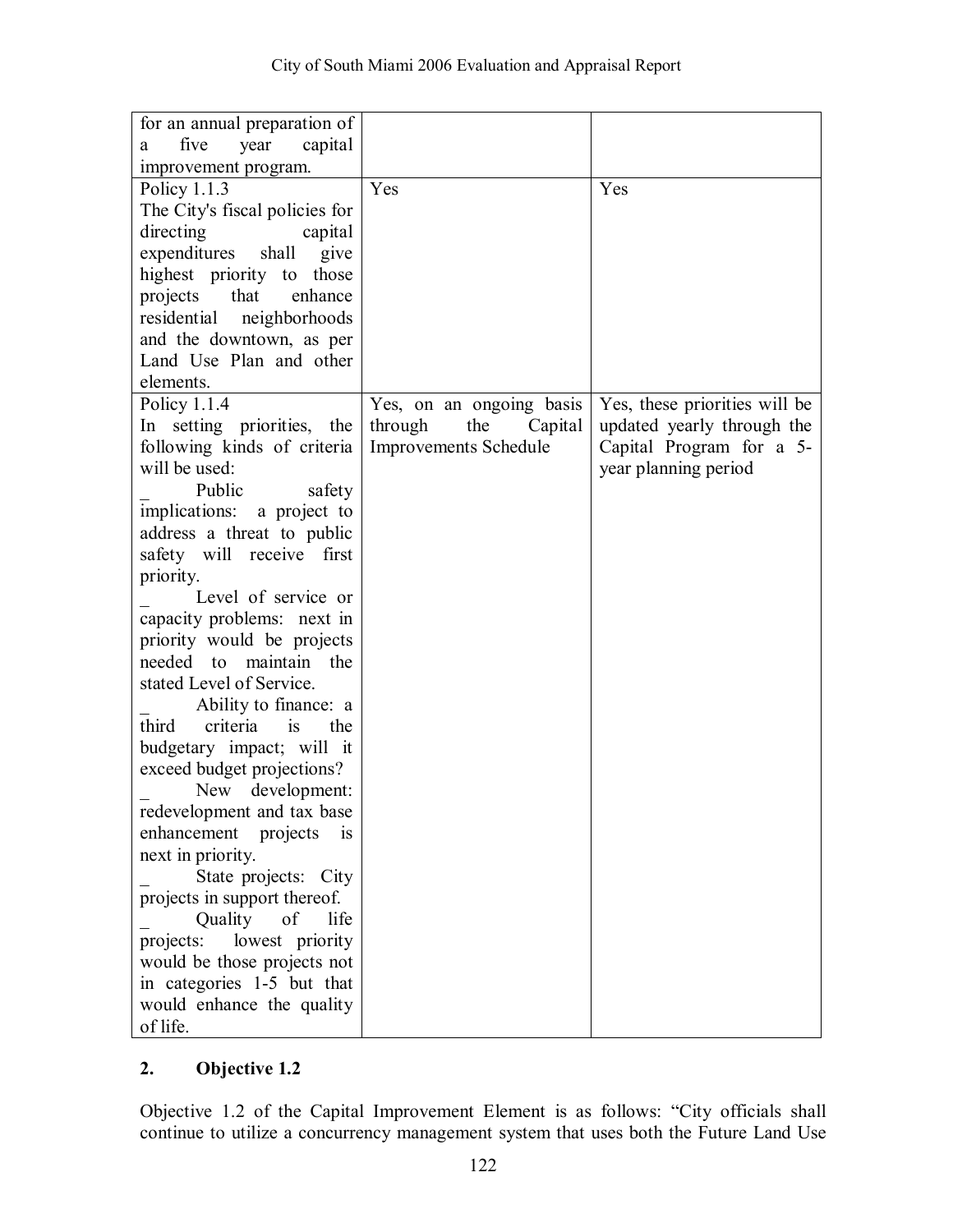| for an annual preparation of         |                              |                               |
|--------------------------------------|------------------------------|-------------------------------|
| five<br>capital<br>year<br>a         |                              |                               |
| improvement program.                 |                              |                               |
| Policy 1.1.3                         | Yes                          | Yes                           |
| The City's fiscal policies for       |                              |                               |
| directing<br>capital                 |                              |                               |
|                                      |                              |                               |
| expenditures<br>shall<br>give        |                              |                               |
| highest priority to those            |                              |                               |
| that<br>projects<br>enhance          |                              |                               |
| residential<br>neighborhoods         |                              |                               |
| and the downtown, as per             |                              |                               |
| Land Use Plan and other              |                              |                               |
| elements.                            |                              |                               |
| Policy 1.1.4                         | Yes, on an ongoing basis     | Yes, these priorities will be |
| In setting priorities, the           | through<br>Capital<br>the    | updated yearly through the    |
| following kinds of criteria          | <b>Improvements Schedule</b> | Capital Program for a 5-      |
| will be used:                        |                              | year planning period          |
| Public<br>safety                     |                              |                               |
| implications: a project to           |                              |                               |
| address a threat to public           |                              |                               |
| safety will receive first            |                              |                               |
| priority.                            |                              |                               |
| Level of service or                  |                              |                               |
| capacity problems: next in           |                              |                               |
| priority would be projects           |                              |                               |
| maintain the<br>needed to            |                              |                               |
| stated Level of Service.             |                              |                               |
| Ability to finance: a                |                              |                               |
| third<br>criteria<br>is<br>the       |                              |                               |
| budgetary impact; will it            |                              |                               |
| exceed budget projections?           |                              |                               |
| New development:                     |                              |                               |
| redevelopment and tax base           |                              |                               |
| enhancement<br>projects<br><i>is</i> |                              |                               |
| next in priority.                    |                              |                               |
| State projects: City                 |                              |                               |
| projects in support thereof.         |                              |                               |
| Quality<br>of<br>life                |                              |                               |
| lowest priority<br>projects:         |                              |                               |
| would be those projects not          |                              |                               |
| in categories 1-5 but that           |                              |                               |
| would enhance the quality            |                              |                               |
| of life.                             |                              |                               |

Objective 1.2 of the Capital Improvement Element is as follows: "City officials shall continue to utilize a concurrency management system that uses both the Future Land Use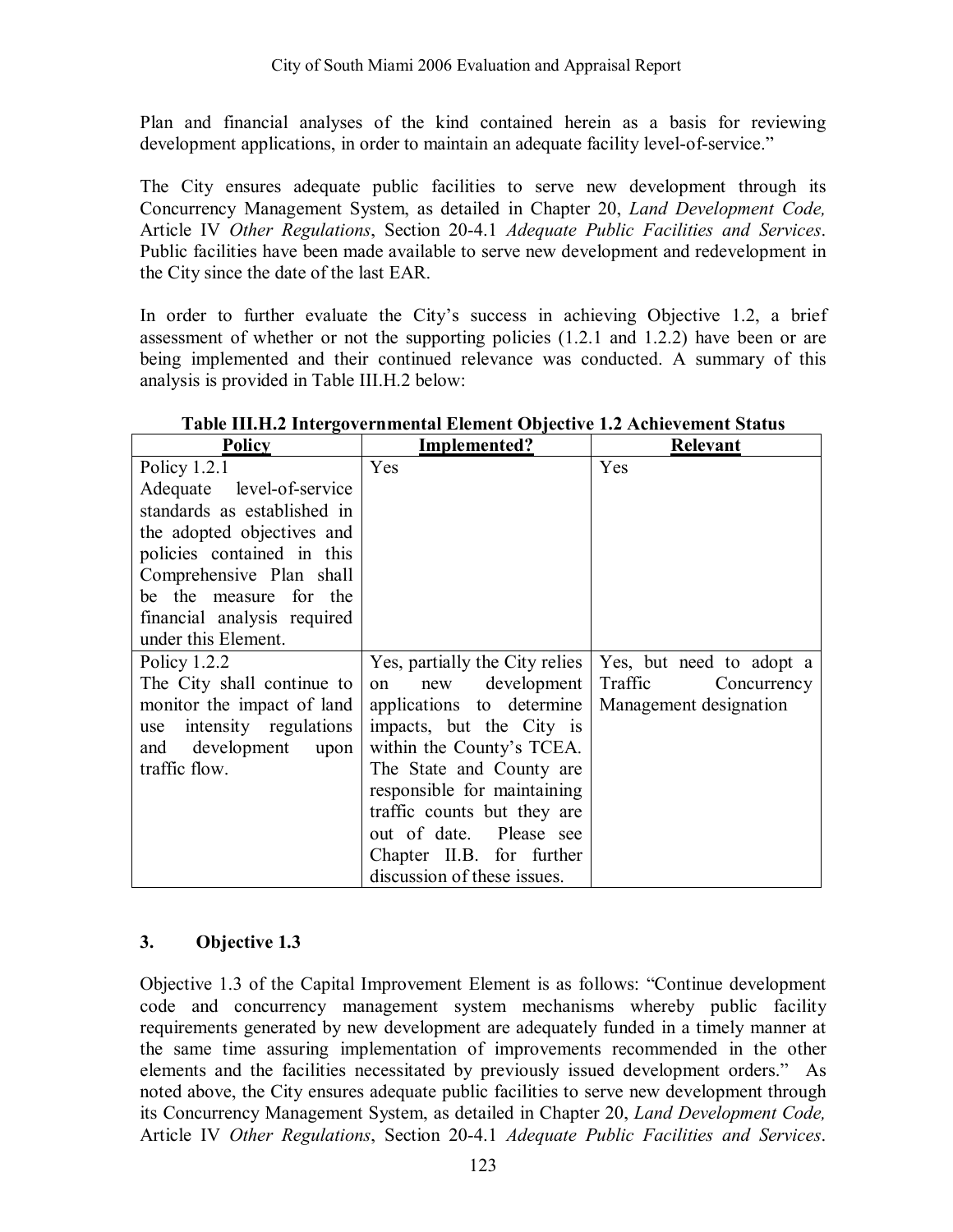Plan and financial analyses of the kind contained herein as a basis for reviewing development applications, in order to maintain an adequate facility level-of-service."

The City ensures adequate public facilities to serve new development through its Concurrency Management System, as detailed in Chapter 20, *Land Development Code,*  Article IV *Other Regulations*, Section 20-4.1 *Adequate Public Facilities and Services*. Public facilities have been made available to serve new development and redevelopment in the City since the date of the last EAR.

In order to further evaluate the City's success in achieving Objective 1.2, a brief assessment of whether or not the supporting policies (1.2.1 and 1.2.2) have been or are being implemented and their continued relevance was conducted. A summary of this analysis is provided in Table III.H.2 below:

| Policy                       | Implemented?                   | Relevant                 |
|------------------------------|--------------------------------|--------------------------|
| Policy 1.2.1                 | Yes                            | Yes                      |
| Adequate level-of-service    |                                |                          |
| standards as established in  |                                |                          |
| the adopted objectives and   |                                |                          |
| policies contained in this   |                                |                          |
| Comprehensive Plan shall     |                                |                          |
| be the measure for the       |                                |                          |
| financial analysis required  |                                |                          |
| under this Element.          |                                |                          |
| Policy $1.2.2$               | Yes, partially the City relies | Yes, but need to adopt a |
| The City shall continue to   | development  <br>new<br>on     | Traffic<br>Concurrency   |
| monitor the impact of land   | applications to determine      | Management designation   |
| intensity regulations<br>use | impacts, but the City is       |                          |
| and development<br>upon      | within the County's TCEA.      |                          |
| traffic flow.                | The State and County are       |                          |
|                              | responsible for maintaining    |                          |
|                              | traffic counts but they are    |                          |
|                              | out of date. Please see        |                          |
|                              | Chapter II.B. for further      |                          |
|                              | discussion of these issues.    |                          |

**Table III.H.2 Intergovernmental Element Objective 1.2 Achievement Status** 

# **3. Objective 1.3**

Objective 1.3 of the Capital Improvement Element is as follows: "Continue development code and concurrency management system mechanisms whereby public facility requirements generated by new development are adequately funded in a timely manner at the same time assuring implementation of improvements recommended in the other elements and the facilities necessitated by previously issued development orders." As noted above, the City ensures adequate public facilities to serve new development through its Concurrency Management System, as detailed in Chapter 20, *Land Development Code,*  Article IV *Other Regulations*, Section 20-4.1 *Adequate Public Facilities and Services*.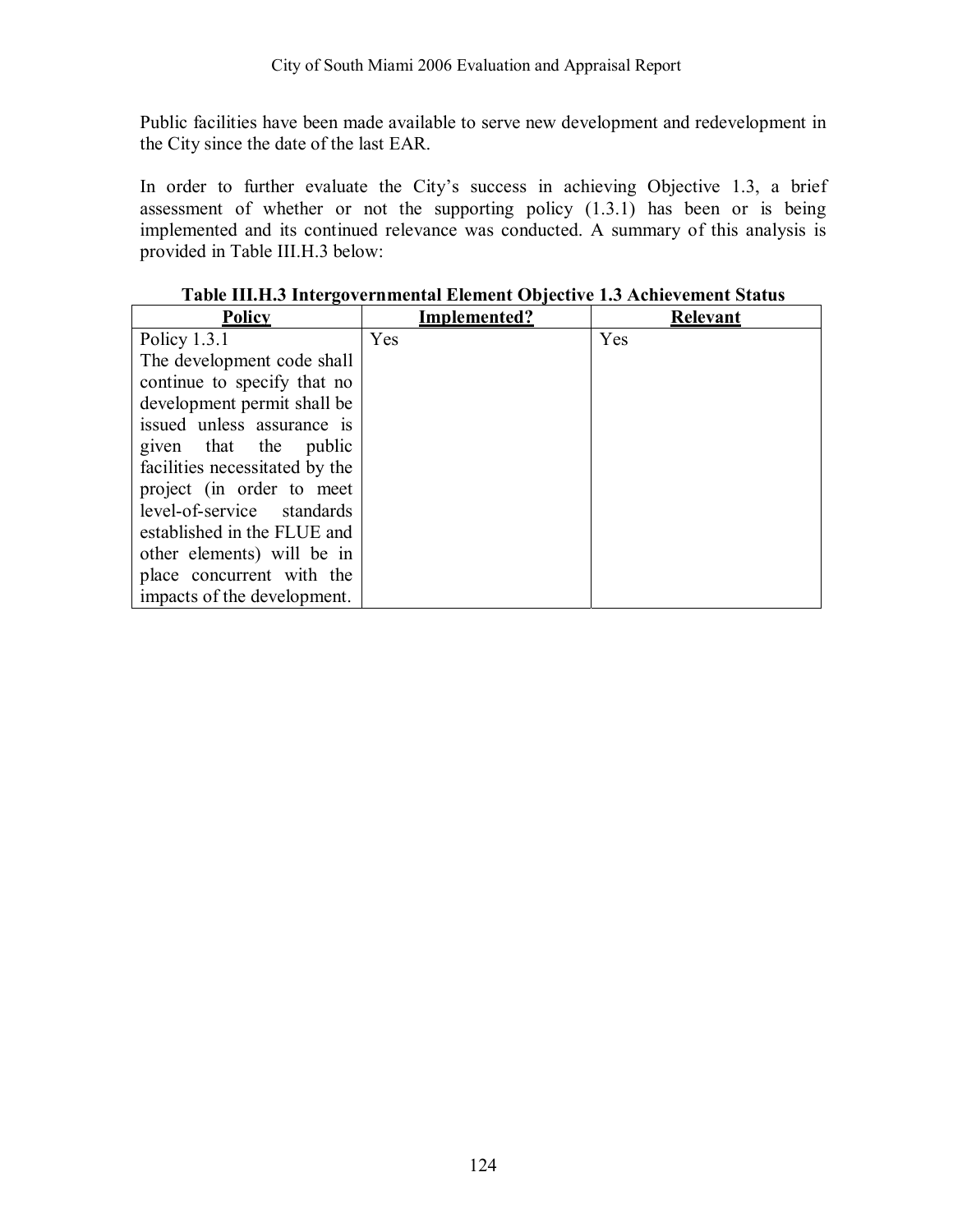Public facilities have been made available to serve new development and redevelopment in the City since the date of the last EAR.

In order to further evaluate the City's success in achieving Objective 1.3, a brief assessment of whether or not the supporting policy (1.3.1) has been or is being implemented and its continued relevance was conducted. A summary of this analysis is provided in Table III.H.3 below:

| Policy                         | Implemented? | <b>Relevant</b> |
|--------------------------------|--------------|-----------------|
| Policy $1.3.1$                 | Yes          | Yes             |
| The development code shall     |              |                 |
| continue to specify that no    |              |                 |
| development permit shall be    |              |                 |
| issued unless assurance is     |              |                 |
| given that the public          |              |                 |
| facilities necessitated by the |              |                 |
| project (in order to meet      |              |                 |
| level-of-service standards     |              |                 |
| established in the FLUE and    |              |                 |
| other elements) will be in     |              |                 |
| place concurrent with the      |              |                 |
| impacts of the development.    |              |                 |

**Table III.H.3 Intergovernmental Element Objective 1.3 Achievement Status**